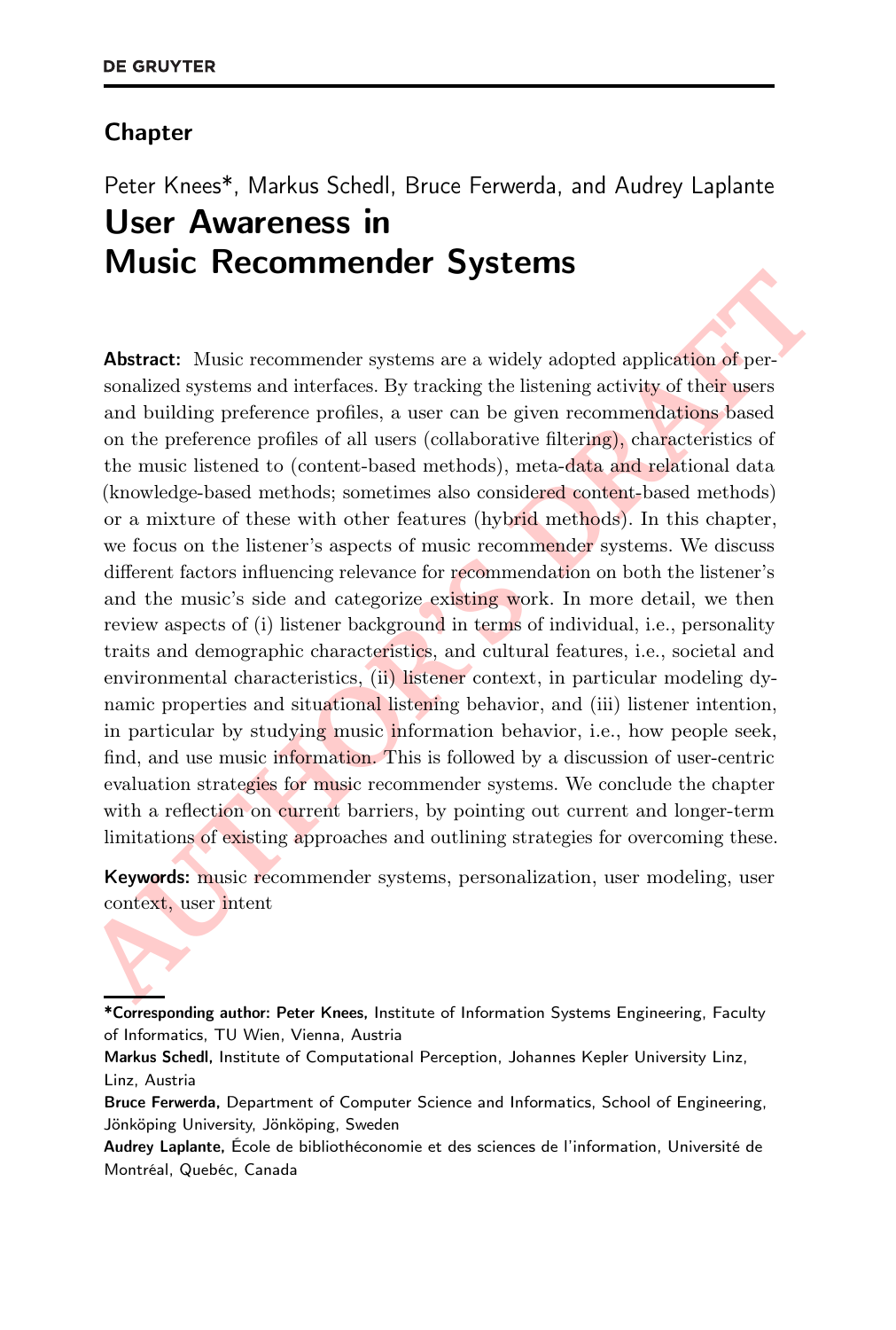### **Chapter**

# Peter Knees\*, Markus Schedl, Bruce Ferwerda, and Audrey Laplante User Awareness in Music Recommender Systems

**Abstract:** Music recommender systems are a widely adopted application of per-<br>sonalized systems and interfaces. By tracking the listening activity of their users<br>and building preference profiles of all users (collaborativ Abstract: Music recommender systems are a widely adopted application of personalized systems and interfaces. By tracking the listening activity of their users and building preference profiles, a user can be given recommendations based on the preference profiles of all users (collaborative filtering), characteristics of the music listened to (content-based methods), meta-data and relational data (knowledge-based methods; sometimes also considered content-based methods) or a mixture of these with other features (hybrid methods). In this chapter, we focus on the listener's aspects of music recommender systems. We discuss different factors influencing relevance for recommendation on both the listener's and the music's side and categorize existing work. In more detail, we then review aspects of (i) listener background in terms of individual, i.e., personality traits and demographic characteristics, and cultural features, i.e., societal and environmental characteristics, (ii) listener context, in particular modeling dynamic properties and situational listening behavior, and (iii) listener intention, in particular by studying music information behavior, i.e., how people seek, find, and use music information. This is followed by a discussion of user-centric evaluation strategies for music recommender systems. We conclude the chapter with a reflection on current barriers, by pointing out current and longer-term limitations of existing approaches and outlining strategies for overcoming these.

Keywords: music recommender systems, personalization, user modeling, user context, user intent

\*Corresponding author: Peter Knees, Institute of Information Systems Engineering, Faculty of Informatics, TU Wien, Vienna, Austria

Markus Schedl, Institute of Computational Perception, Johannes Kepler University Linz, Linz, Austria

Bruce Ferwerda, Department of Computer Science and Informatics, School of Engineering, Jönköping University, Jönköping, Sweden

Audrey Laplante, École de bibliothéconomie et des sciences de l'information, Université de Montréal, Quebéc, Canada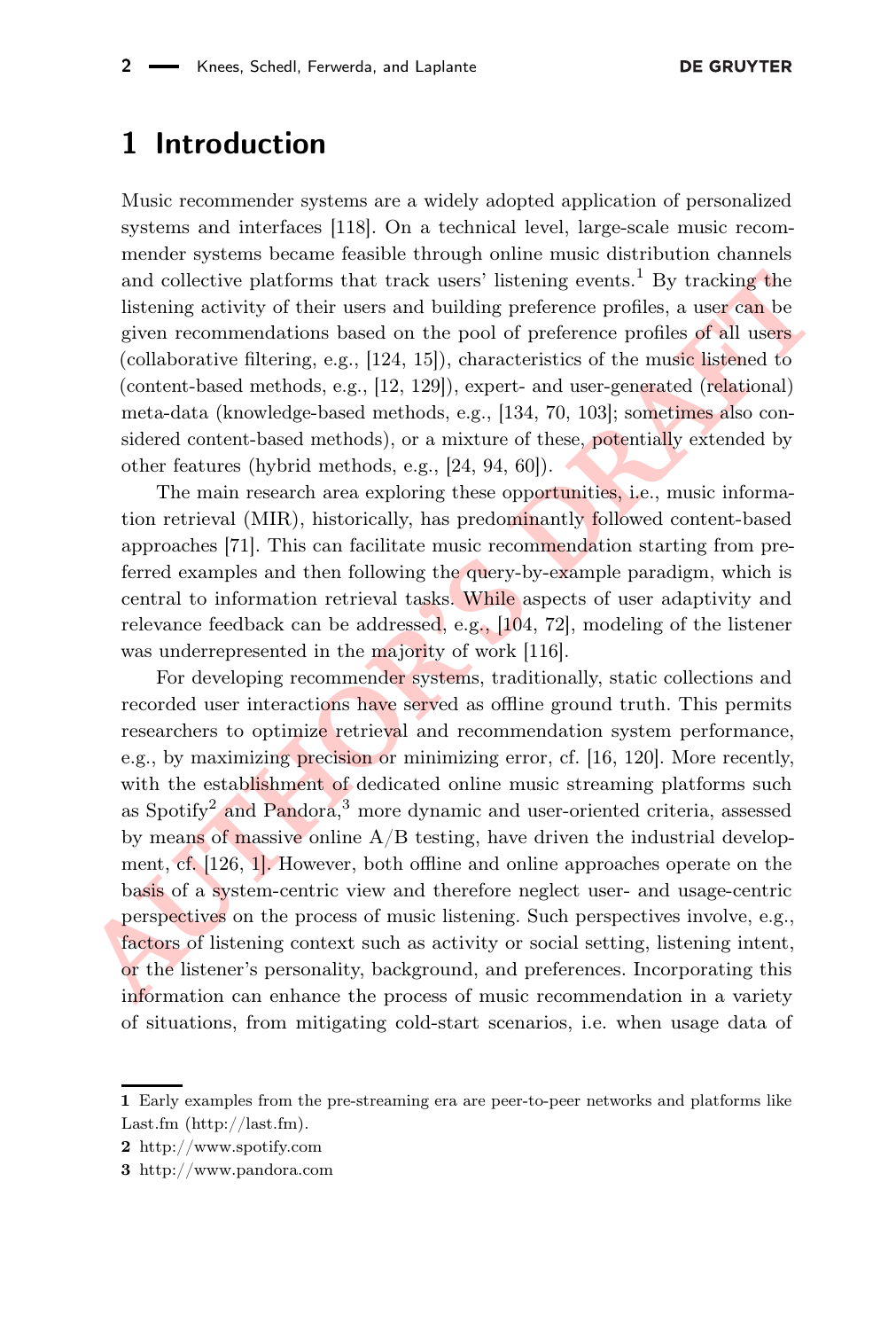## 1 Introduction

Music recommender systems are a widely adopted application of personalized systems and interfaces [\[118\]](#page-35-0). On a technical level, large-scale music recommender systems became feasible through online music distribution channels and collective platforms that track users' listening events.<sup>1</sup> By tracking the listening activity of their users and building preference profiles, a user can be given recommendations based on the pool of preference profiles of all users (collaborative filtering, e.g., [\[124,](#page-35-1) [15\]](#page-26-0)), characteristics of the music listened to (content-based methods, e.g., [\[12,](#page-26-1) [129\]](#page-36-0)), expert- and user-generated (relational) meta-data (knowledge-based methods, e.g., [\[134,](#page-36-1) 70, 103]; sometimes also considered content-based methods), or a mixture of these, potentially extended by other features (hybrid methods, e.g., [\[24,](#page-27-0) [94,](#page-33-0) 60]).

The main research area exploring these opportunities, i.e., music information retrieval (MIR), historically, has predominantly followed content-based approaches [\[71\]](#page-31-1). This can facilitate music recommendation starting from preferred examples and then following the query-by-example paradigm, which is central to information retrieval tasks. While aspects of user adaptivity and relevance feedback can be addressed, e.g., [\[104,](#page-34-1) [72\]](#page-31-2), modeling of the listener was underrepresented in the majority of work [\[116\]](#page-35-2).

and collective platforms that track users' listening events.<sup>1</sup> By tracking the listening activity of their users and building preference profiles, a user can be given recommendations based on the pool of preference profi For developing recommender systems, traditionally, static collections and recorded user interactions have served as offline ground truth. This permits researchers to optimize retrieval and recommendation system performance, e.g., by maximizing precision or minimizing error, cf. [\[16,](#page-26-2) [120\]](#page-35-3). More recently, with the establishment of dedicated online music streaming platforms such as Spotify<sup>2</sup> and Pandora,<sup>3</sup> more dynamic and user-oriented criteria, assessed by means of massive online  $A/B$  testing, have driven the industrial development, cf. [126, 1]. However, both offline and online approaches operate on the basis of a system-centric view and therefore neglect user- and usage-centric perspectives on the process of music listening. Such perspectives involve, e.g., factors of listening context such as activity or social setting, listening intent, or the listener's personality, background, and preferences. Incorporating this information can enhance the process of music recommendation in a variety of situations, from mitigating cold-start scenarios, i.e. when usage data of

<span id="page-1-0"></span><sup>1</sup> Early examples from the pre-streaming era are peer-to-peer networks and platforms like Last.fm [\(http://last.fm\)](http://last.fm).

<span id="page-1-1"></span><sup>2</sup> <http://www.spotify.com>

<span id="page-1-2"></span><sup>3</sup> <http://www.pandora.com>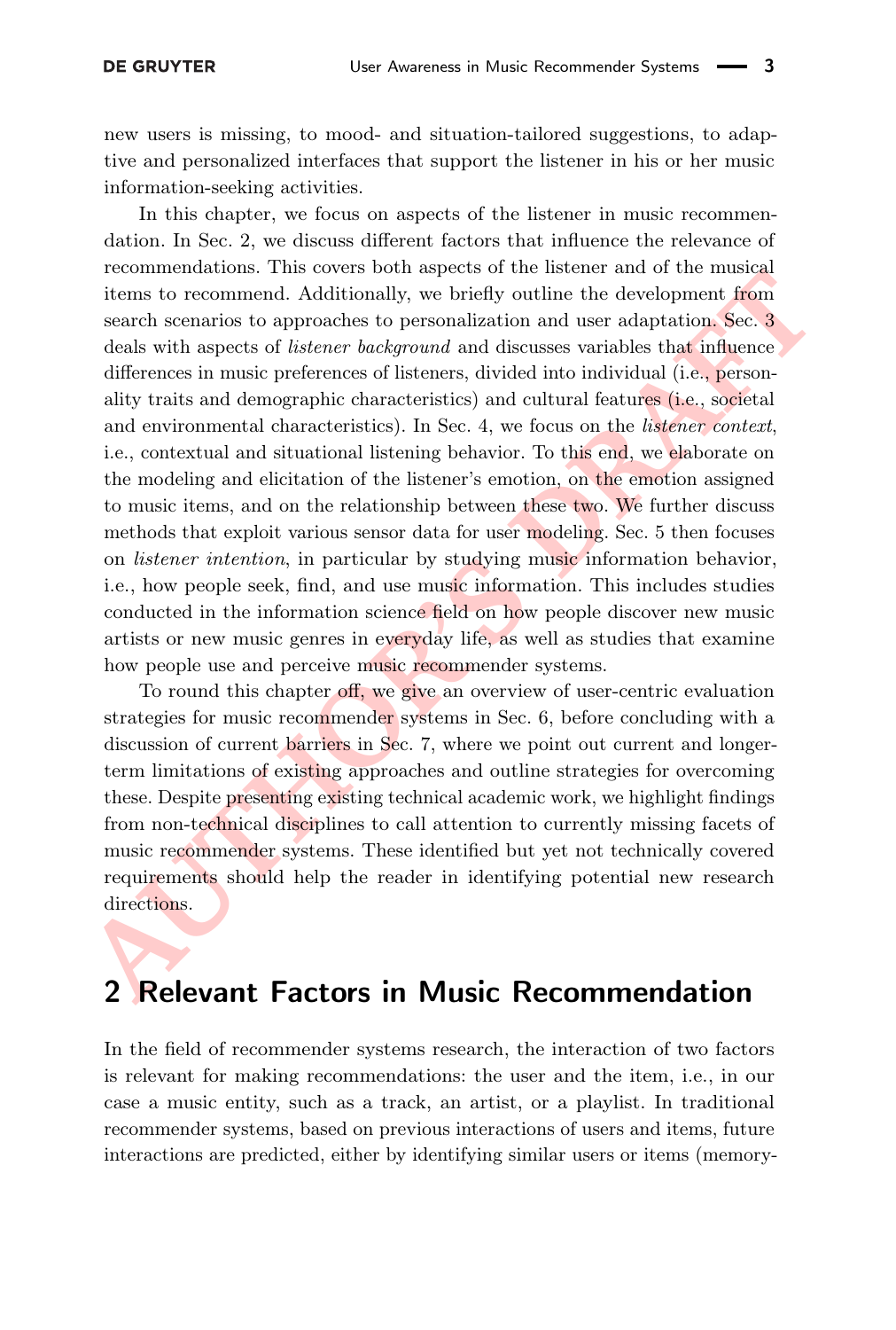new users is missing, to mood- and situation-tailored suggestions, to adaptive and personalized interfaces that support the listener in his or her music information-seeking activities.

From the commentations of the section of the section of the section and the commend. Additionally, we briefly outline the development from<br>search scenarios to approaches to personalization and user adaptation. Sec. 3<br>deals In this chapter, we focus on aspects of the listener in music recommendation. In Sec. [2,](#page-2-0) we discuss different factors that influence the relevance of recommendations. This covers both aspects of the listener and of the musical items to recommend. Additionally, we briefly outline the development from search scenarios to approaches to personalization and user adaptation. Sec. 3 deals with aspects of *listener background* and discusses variables that influence differences in music preferences of listeners, divided into individual (i.e., personality traits and demographic characteristics) and cultural features (i.e., societal and environmental characteristics). In Sec. [4,](#page-9-0) we focus on the *listener context*, i.e., contextual and situational listening behavior. To this end, we elaborate on the modeling and elicitation of the listener's emotion, on the emotion assigned to music items, and on the relationship between these two. We further discuss methods that exploit various sensor data for user modeling. Sec. 5 then focuses on listener intention, in particular by studying music information behavior, i.e., how people seek, find, and use music information. This includes studies conducted in the information science field on how people discover new music artists or new music genres in everyday life, as well as studies that examine how people use and perceive music recommender systems.

To round this chapter off, we give an overview of user-centric evaluation strategies for music recommender systems in Sec. [6,](#page-21-0) before concluding with a discussion of current barriers in Sec. 7, where we point out current and longerterm limitations of existing approaches and outline strategies for overcoming these. Despite presenting existing technical academic work, we highlight findings from non-technical disciplines to call attention to currently missing facets of music recommender systems. These identified but yet not technically covered requirements should help the reader in identifying potential new research directions.

# <span id="page-2-0"></span>2 Relevant Factors in Music Recommendation

In the field of recommender systems research, the interaction of two factors is relevant for making recommendations: the user and the item, i.e., in our case a music entity, such as a track, an artist, or a playlist. In traditional recommender systems, based on previous interactions of users and items, future interactions are predicted, either by identifying similar users or items (memory-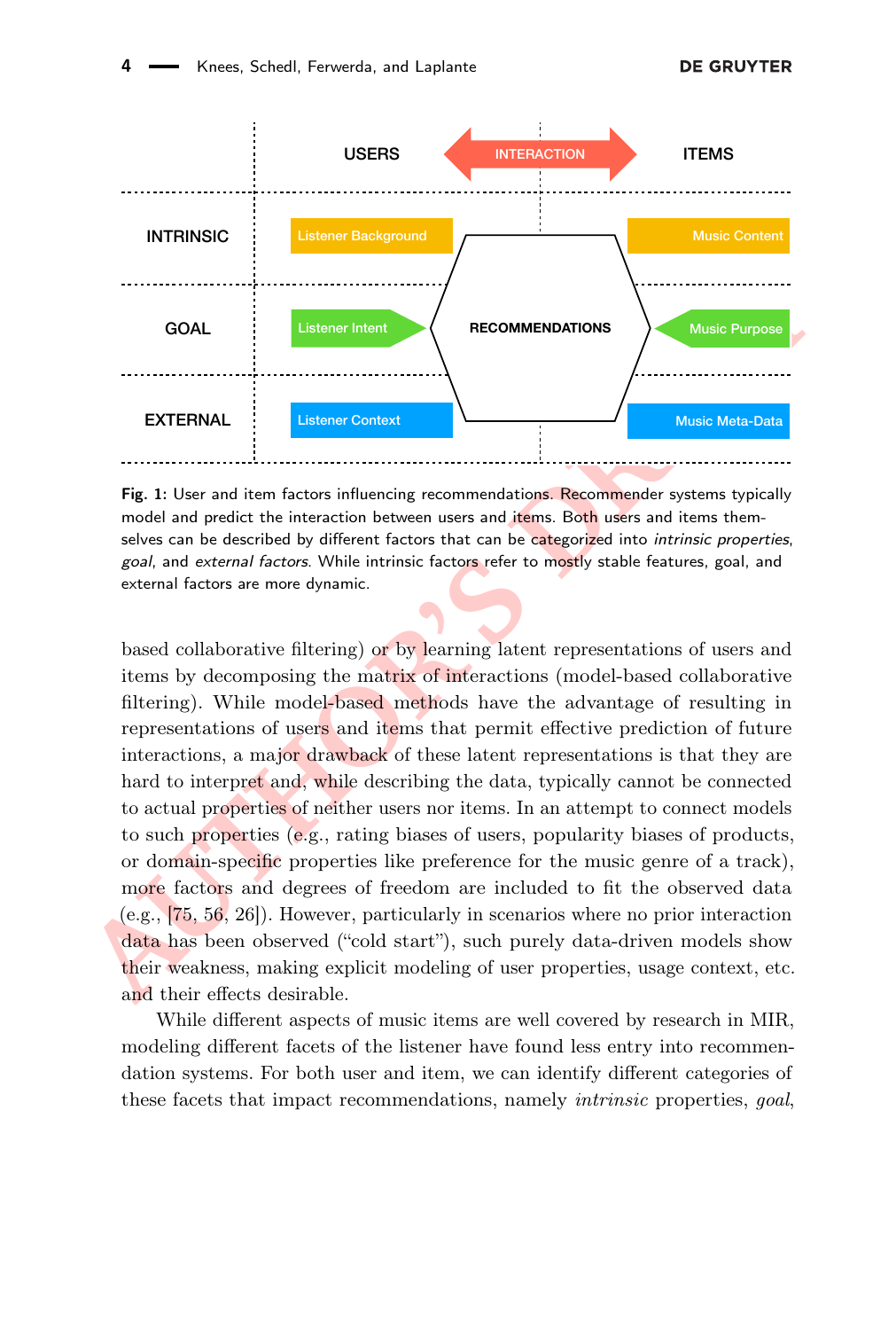<span id="page-3-0"></span>

Fig. 1: User and item factors influencing recommendations. Recommender systems typically model and predict the interaction between users and items. Both users and items themselves can be described by different factors that can be categorized into intrinsic properties, goal, and external factors. While intrinsic factors refer to mostly stable features, goal, and external factors are more dynamic.

**[A](#page-31-3)BAL Distinct Internet Internet Internet Internet Internet Internet Internet Internet Context Internet Context Internet Context Internet Context Internet Context Internet Context Internet Context Internet Internet Interne** based collaborative filtering) or by learning latent representations of users and items by decomposing the matrix of interactions (model-based collaborative filtering). While model-based methods have the advantage of resulting in representations of users and items that permit effective prediction of future interactions, a major drawback of these latent representations is that they are hard to interpret and, while describing the data, typically cannot be connected to actual properties of neither users nor items. In an attempt to connect models to such properties (e.g., rating biases of users, popularity biases of products, or domain-specific properties like preference for the music genre of a track), more factors and degrees of freedom are included to fit the observed data (e.g., [75, 56, 26]). However, particularly in scenarios where no prior interaction data has been observed ("cold start"), such purely data-driven models show their weakness, making explicit modeling of user properties, usage context, etc. and their effects desirable.

While different aspects of music items are well covered by research in MIR, modeling different facets of the listener have found less entry into recommendation systems. For both user and item, we can identify different categories of these facets that impact recommendations, namely intrinsic properties, goal,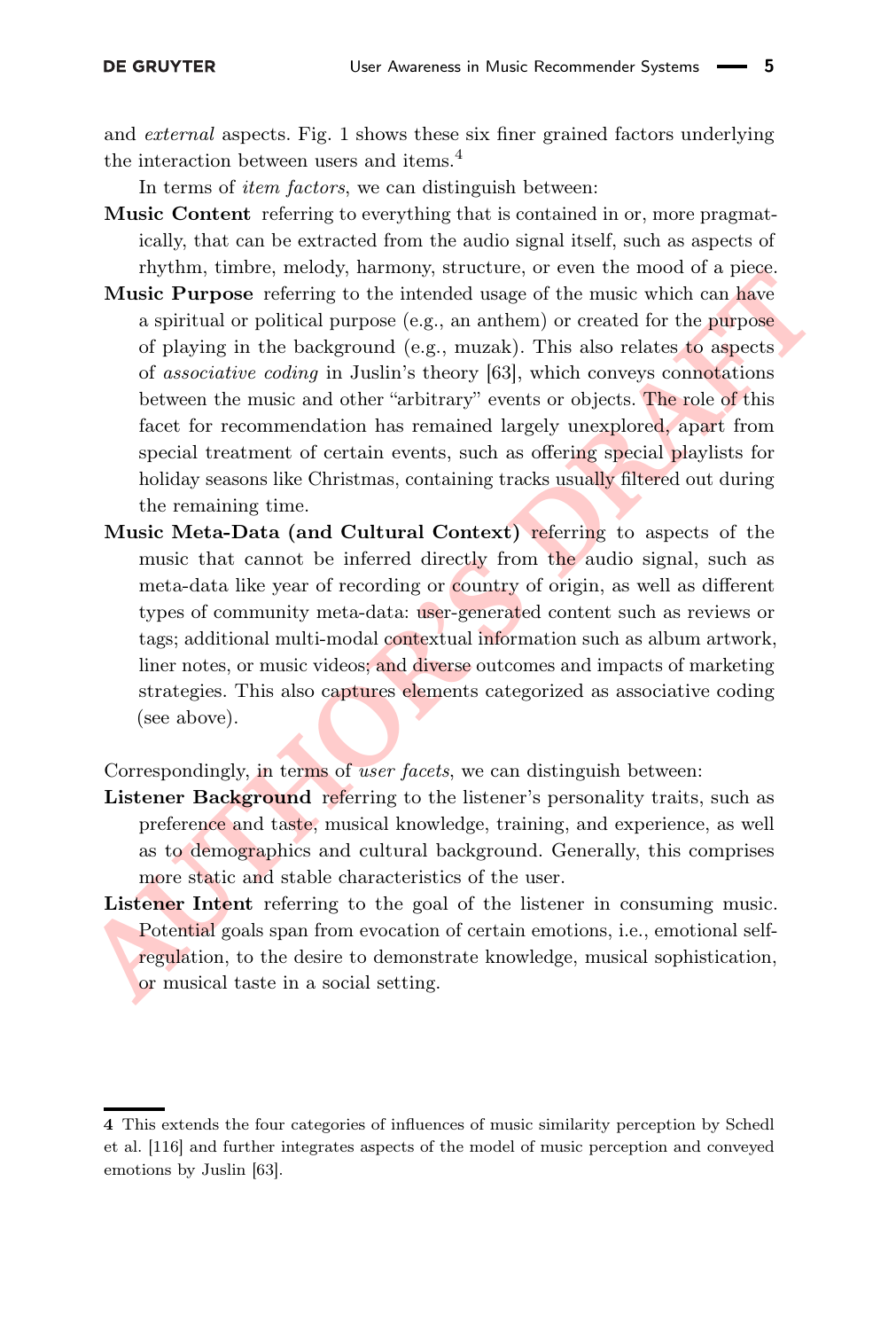and external aspects. Fig. [1](#page-3-0) shows these six finer grained factors underlying the interaction between users and items.<sup>[4](#page-4-0)</sup>

In terms of item factors, we can distinguish between:

- Music Content referring to everything that is contained in or, more pragmatically, that can be extracted from the audio signal itself, such as aspects of rhythm, timbre, melody, harmony, structure, or even the mood of a piece.
- **Equival** or priori, intentivis, match, increasing the stream in the spectra of the intended usage of the music which can have a spiritual or political purpose (e.g., an anthem) or created for the purpose of playing in th Music Purpose referring to the intended usage of the music which can have a spiritual or political purpose (e.g., an anthem) or created for the purpose of playing in the background (e.g., muzak). This also relates to aspects of associative coding in Juslin's theory [\[63\]](#page-30-2), which conveys connotations between the music and other "arbitrary" events or objects. The role of this facet for recommendation has remained largely unexplored, apart from special treatment of certain events, such as offering special playlists for holiday seasons like Christmas, containing tracks usually filtered out during the remaining time.
	- Music Meta-Data (and Cultural Context) referring to aspects of the music that cannot be inferred directly from the audio signal, such as meta-data like year of recording or country of origin, as well as different types of community meta-data: user-generated content such as reviews or tags; additional multi-modal contextual information such as album artwork, liner notes, or music videos; and diverse outcomes and impacts of marketing strategies. This also captures elements categorized as associative coding (see above).

Correspondingly, in terms of *user facets*, we can distinguish between:

- Listener Background referring to the listener's personality traits, such as preference and taste, musical knowledge, training, and experience, as well as to demographics and cultural background. Generally, this comprises more static and stable characteristics of the user.
- Listener Intent referring to the goal of the listener in consuming music. Potential goals span from evocation of certain emotions, i.e., emotional selfregulation, to the desire to demonstrate knowledge, musical sophistication, or musical taste in a social setting.

<span id="page-4-0"></span><sup>4</sup> This extends the four categories of influences of music similarity perception by Schedl et al. [\[116\]](#page-35-2) and further integrates aspects of the model of music perception and conveyed emotions by Juslin [\[63\]](#page-30-2).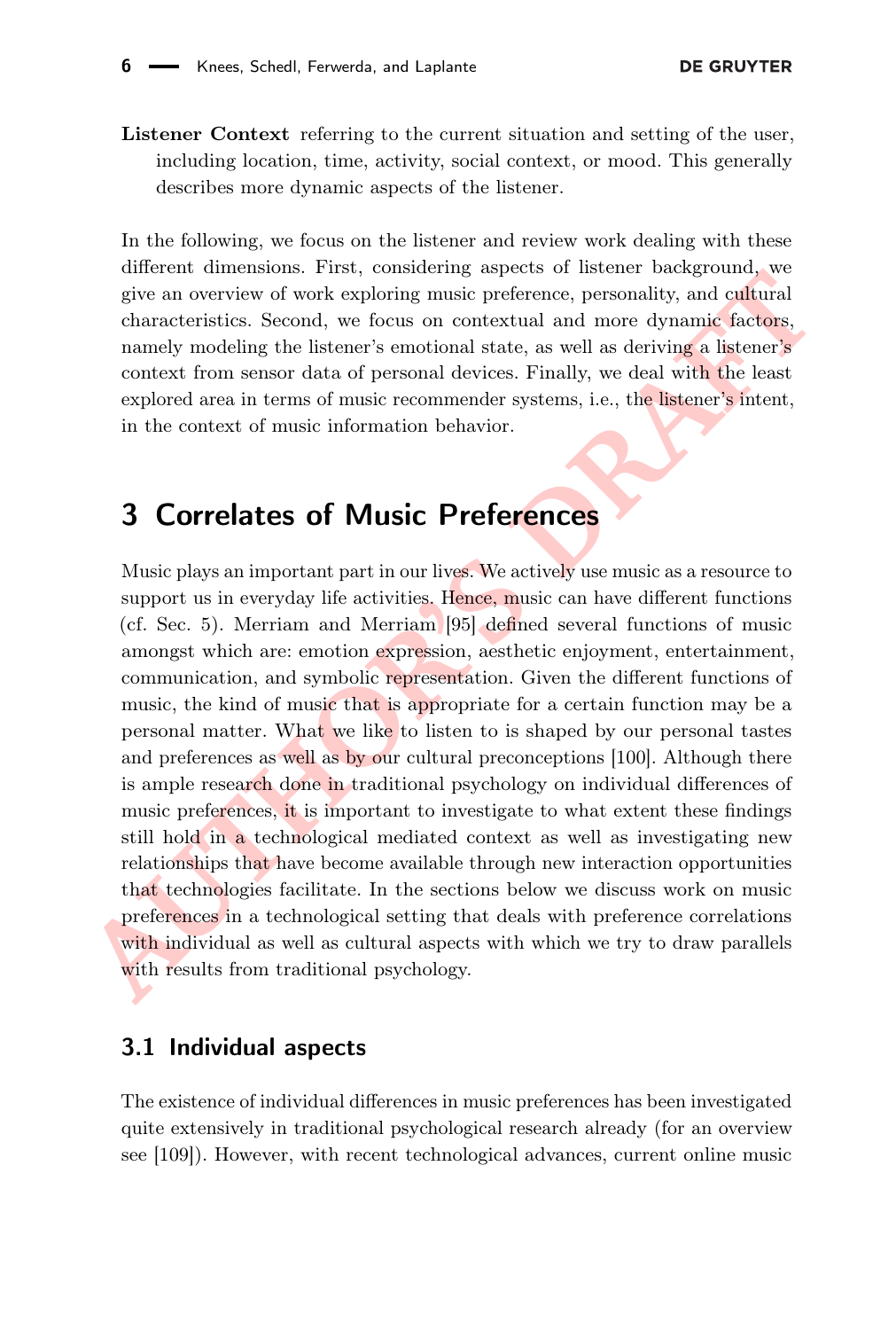Listener Context referring to the current situation and setting of the user, including location, time, activity, social context, or mood. This generally describes more dynamic aspects of the listener.

In the following, we focus on the listener and review work dealing with these different dimensions. First, considering aspects of listener background, we give an overview of work exploring music preference, personality, and cultural characteristics. Second, we focus on contextual and more dynamic factors, namely modeling the listener's emotional state, as well as deriving a listener's context from sensor data of personal devices. Finally, we deal with the least explored area in terms of music recommender systems, i.e., the listener's intent, in the context of music information behavior.

## <span id="page-5-0"></span>3 Correlates of Music Preferences

meantamentalisms. That, tonsidening exploses on assets on a spectral context and provide an overview of work exploring music preference, personality, and cuffural characteristics. Second, we focus on contextual and more dy Music plays an important part in our lives. We actively use music as a resource to support us in everyday life activities. Hence, music can have different functions (cf. Sec. 5). Merriam and Merriam [95] defined several functions of music amongst which are: emotion expression, aesthetic enjoyment, entertainment, communication, and symbolic representation. Given the different functions of music, the kind of music that is appropriate for a certain function may be a personal matter. What we like to listen to is shaped by our personal tastes and preferences as well as by our cultural preconceptions [\[100\]](#page-33-2). Although there is ample research done in traditional psychology on individual differences of music preferences, it is important to investigate to what extent these findings still hold in a technological mediated context as well as investigating new relationships that have become available through new interaction opportunities that technologies facilitate. In the sections below we discuss work on music preferences in a technological setting that deals with preference correlations with individual as well as cultural aspects with which we try to draw parallels with results from traditional psychology.

### <span id="page-5-1"></span>3.1 Individual aspects

The existence of individual differences in music preferences has been investigated quite extensively in traditional psychological research already (for an overview see [\[109\]](#page-34-2)). However, with recent technological advances, current online music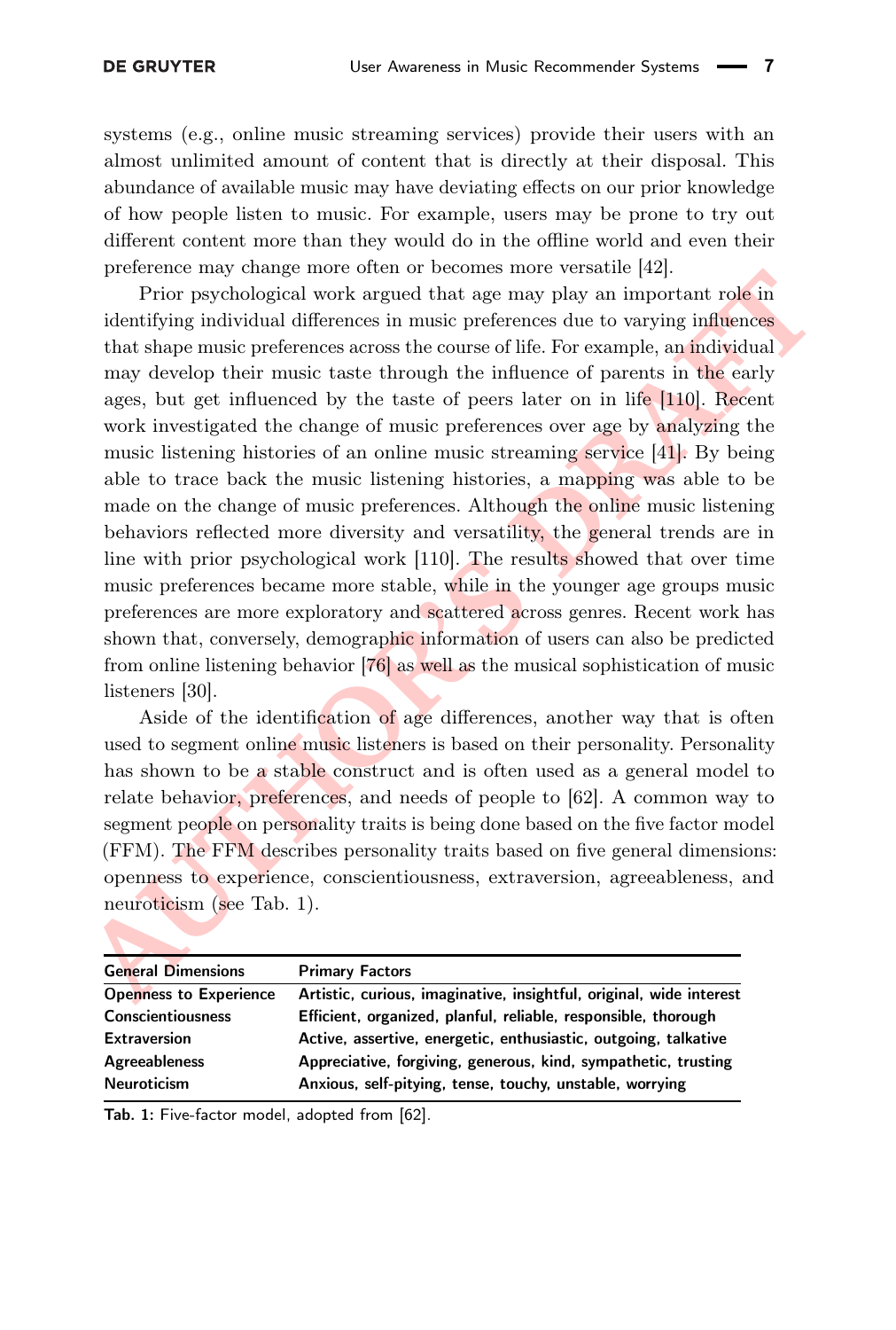systems (e.g., online music streaming services) provide their users with an almost unlimited amount of content that is directly at their disposal. This abundance of available music may have deviating effects on our prior knowledge of how people listen to music. For example, users may be prone to try out different content more than they would do in the offline world and even their preference may change more often or becomes more versatile [\[42\]](#page-28-0).

**AUTH[OR](#page-31-4)'S D[R](#page-28-1)[AF](#page-34-3)T** Prior psychological work argued that age may play an important role in identifying individual differences in music preferences due to varying influences that shape music preferences across the course of life. For example, an individual may develop their music taste through the influence of parents in the early ages, but get influenced by the taste of peers later on in life [110]. Recent work investigated the change of music preferences over age by analyzing the music listening histories of an online music streaming service [41]. By being able to trace back the music listening histories, a mapping was able to be made on the change of music preferences. Although the online music listening behaviors reflected more diversity and versatility, the general trends are in line with prior psychological work [\[110\]](#page-34-3). The results showed that over time music preferences became more stable, while in the younger age groups music preferences are more exploratory and scattered across genres. Recent work has shown that, conversely, demographic information of users can also be predicted from online listening behavior [76] as well as the musical sophistication of music listeners [30].

Aside of the identification of age differences, another way that is often used to segment online music listeners is based on their personality. Personality has shown to be a stable construct and is often used as a general model to relate behavior, preferences, and needs of people to [\[62\]](#page-30-3). A common way to segment people on personality traits is being done based on the five factor model (FFM). The FFM describes personality traits based on five general dimensions: openness to experience, conscientiousness, extraversion, agreeableness, and neuroticism (see Tab. 1).

<span id="page-6-0"></span>

| <b>General Dimensions</b>     | <b>Primary Factors</b>                                              |
|-------------------------------|---------------------------------------------------------------------|
| <b>Openness to Experience</b> | Artistic, curious, imaginative, insightful, original, wide interest |
| <b>Conscientiousness</b>      | Efficient, organized, planful, reliable, responsible, thorough      |
| <b>Extraversion</b>           | Active, assertive, energetic, enthusiastic, outgoing, talkative     |
| <b>Agreeableness</b>          | Appreciative, forgiving, generous, kind, sympathetic, trusting      |
| <b>Neuroticism</b>            | Anxious, self-pitying, tense, touchy, unstable, worrying            |

Tab. 1: Five-factor model, adopted from [\[62\]](#page-30-3).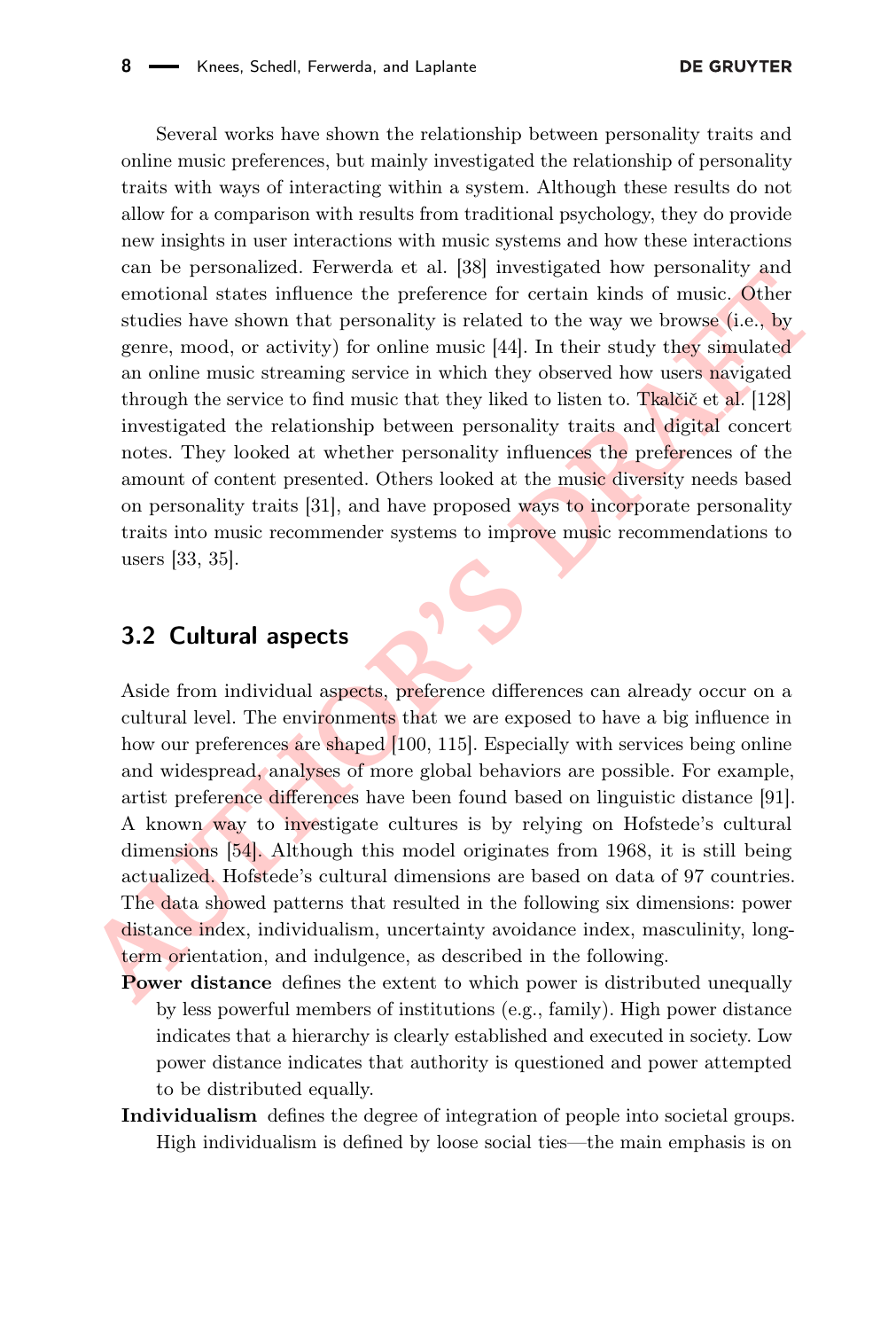For the transfer in the consideration of the consideration and the consideration of the properties have the preference for certain kinds of music ([O](#page-33-2)ther studies have shown that personality is related to the way we browse ( Several works have shown the relationship between personality traits and online music preferences, but mainly investigated the relationship of personality traits with ways of interacting within a system. Although these results do not allow for a comparison with results from traditional psychology, they do provide new insights in user interactions with music systems and how these interactions can be personalized. Ferwerda et al. [\[38\]](#page-28-2) investigated how personality and emotional states influence the preference for certain kinds of music. Other studies have shown that personality is related to the way we browse (i.e., by genre, mood, or activity) for online music [\[44\]](#page-29-0). In their study they simulated an online music streaming service in which they observed how users navigated through the service to find music that they liked to listen to. Tkalčič et al. [128] investigated the relationship between personality traits and digital concert notes. They looked at whether personality influences the preferences of the amount of content presented. Others looked at the music diversity needs based on personality traits [\[31\]](#page-27-3), and have proposed ways to incorporate personality traits into music recommender systems to improve music recommendations to users [\[33,](#page-28-3) [35\]](#page-28-4).

### 3.2 Cultural aspects

Aside from individual aspects, preference differences can already occur on a cultural level. The environments that we are exposed to have a big influence in how our preferences are shaped [100, 115]. Especially with services being online and widespread, analyses of more global behaviors are possible. For example, artist preference differences have been found based on linguistic distance [\[91\]](#page-33-3). A known way to investigate cultures is by relying on Hofstede's cultural dimensions [54]. Although this model originates from 1968, it is still being actualized. Hofstede's cultural dimensions are based on data of 97 countries. The data showed patterns that resulted in the following six dimensions: power distance index, individualism, uncertainty avoidance index, masculinity, longterm orientation, and indulgence, as described in the following.

- Power distance defines the extent to which power is distributed unequally by less powerful members of institutions (e.g., family). High power distance indicates that a hierarchy is clearly established and executed in society. Low power distance indicates that authority is questioned and power attempted to be distributed equally.
- Individualism defines the degree of integration of people into societal groups. High individualism is defined by loose social ties—the main emphasis is on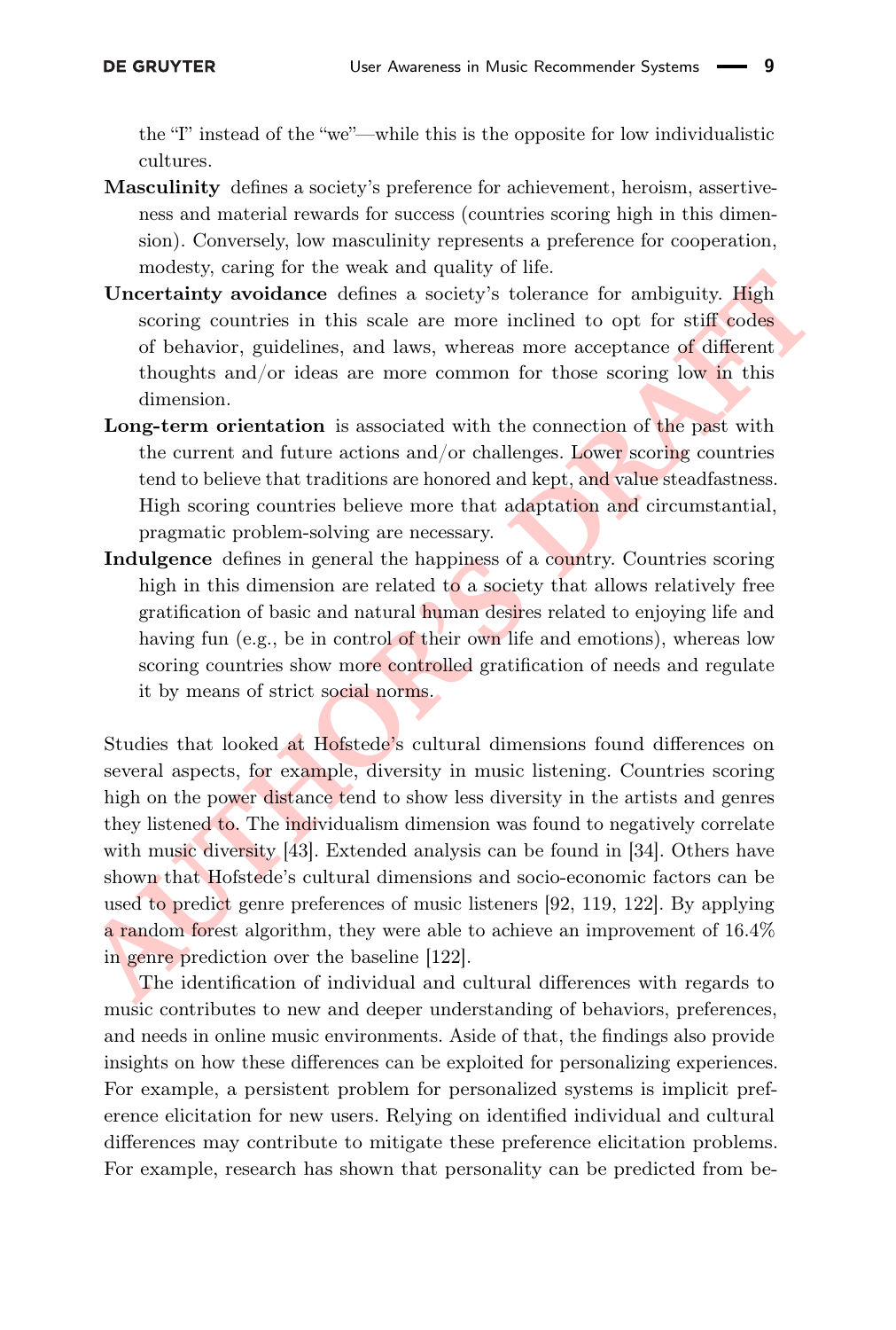the "I" instead of the "we"—while this is the opposite for low individualistic cultures.

- Masculinity defines a society's preference for achievement, heroism, assertiveness and material rewards for success (countries scoring high in this dimension). Conversely, low masculinity represents a preference for cooperation, modesty, caring for the weak and quality of life.
- Uncertainty avoidance defines a society's tolerance for ambiguity. High scoring countries in this scale are more inclined to opt for stiff codes of behavior, guidelines, and laws, whereas more acceptance of different thoughts and/or ideas are more common for those scoring low in this dimension.
- Long-term orientation is associated with the connection of the past with the current and future actions and/or challenges. Lower scoring countries tend to believe that traditions are honored and kept, and value steadfastness. High scoring countries believe more that adaptation and circumstantial, pragmatic problem-solving are necessary.
- Indulgence defines in general the happiness of a country. Countries scoring high in this dimension are related to a society that allows relatively free gratification of basic and natural human desires related to enjoying life and having fun (e.g., be in control of their own life and emotions), whereas low scoring countries show more controlled gratification of needs and regulate it by means of strict social norms.

**IDENTIFY**, **EXECUTE TO [TH](#page-29-1)E SET WAT THE SET (DECISE)** THE SCOND (INTERFALL AND SCOND CONDITIONS (THE SCOND CONDITIONS), and  $\Delta$  and  $\Delta$  and  $\Delta$  and  $\Delta$  and  $\Delta$  and  $\Delta$  and  $\Delta$  and  $\Delta$  and  $\Delta$  and  $\Delta$  and  $\Delta$  an Studies that looked at Hofstede's cultural dimensions found differences on several aspects, for example, diversity in music listening. Countries scoring high on the power distance tend to show less diversity in the artists and genres they listened to. The individualism dimension was found to negatively correlate with music diversity [43]. Extended analysis can be found in [\[34\]](#page-28-5). Others have shown that Hofstede's cultural dimensions and socio-economic factors can be used to predict genre preferences of music listeners [\[92,](#page-33-4) [119,](#page-35-5) [122\]](#page-35-6). By applying a random forest algorithm, they were able to achieve an improvement of 16.4% in genre prediction over the baseline [122].

The identification of individual and cultural differences with regards to music contributes to new and deeper understanding of behaviors, preferences, and needs in online music environments. Aside of that, the findings also provide insights on how these differences can be exploited for personalizing experiences. For example, a persistent problem for personalized systems is implicit preference elicitation for new users. Relying on identified individual and cultural differences may contribute to mitigate these preference elicitation problems. For example, research has shown that personality can be predicted from be-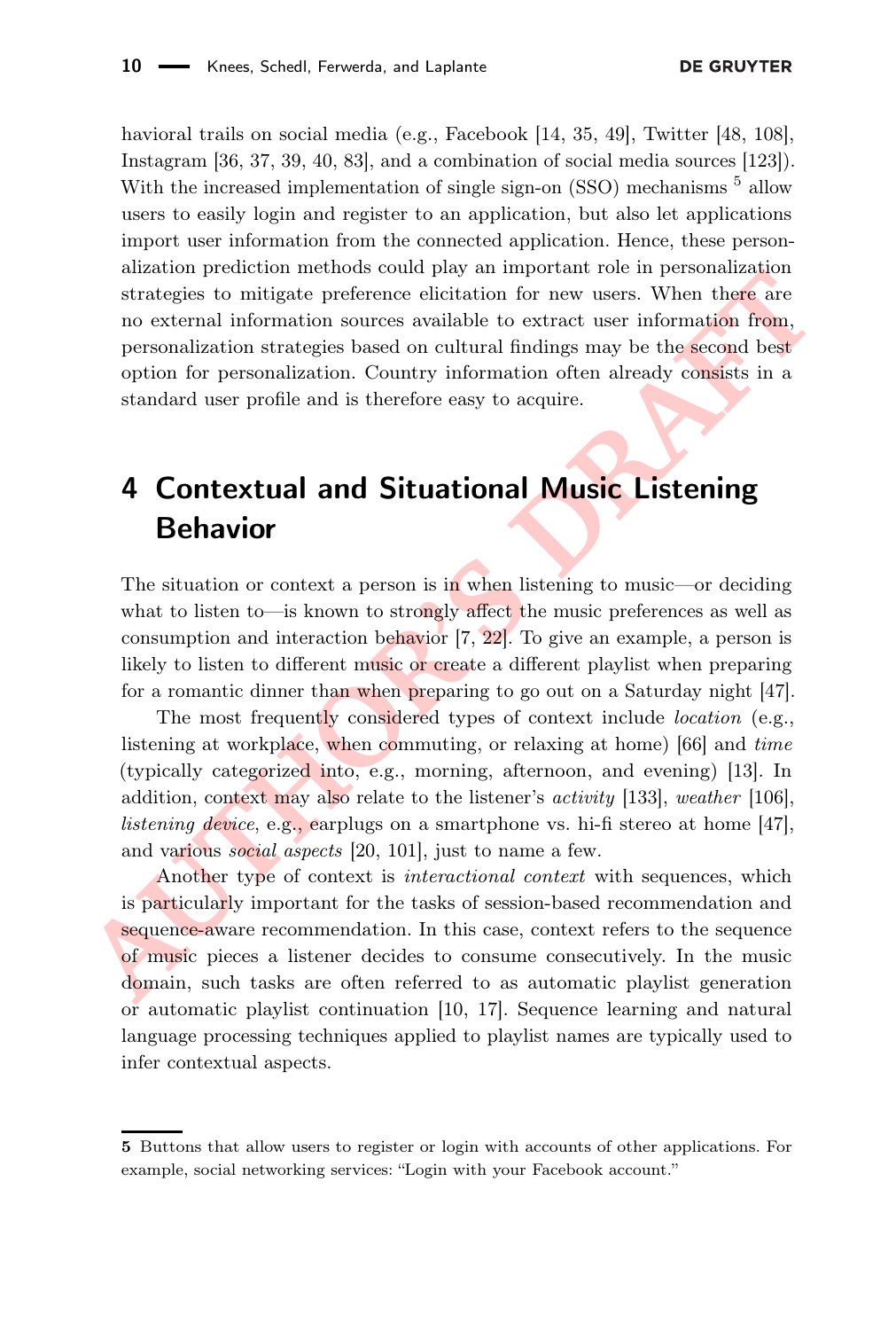havioral trails on social media (e.g., Facebook [\[14,](#page-26-3) [35,](#page-28-4) [49\]](#page-29-2), Twitter [\[48,](#page-29-3) [108\]](#page-34-4), Instagram [\[36,](#page-28-6) [37,](#page-28-7) [39,](#page-28-8) [40,](#page-28-9) [83\]](#page-32-0), and a combination of social media sources [\[123\]](#page-35-7)). With the increased implementation of single sign-on (SSO) mechanisms <sup>[5](#page-9-1)</sup> allow users to easily login and register to an application, but also let applications import user information from the connected application. Hence, these personalization prediction methods could play an important role in personalization strategies to mitigate preference elicitation for new users. When there are no external information sources available to extract user information from, personalization strategies based on cultural findings may be the second best option for personalization. Country information often already consists in a standard user profile and is therefore easy to acquire.

# <span id="page-9-0"></span>4 Contextual and Situational Music Listening Behavior

The situation or context a person is in when listening to music—or deciding what to listen to—is known to strongly affect the music preferences as well as consumption and interaction behavior [7, 22]. To give an example, a person is likely to listen to different music or create a different playlist when preparing for a romantic dinner than when preparing to go out on a Saturday night [\[47\]](#page-29-4).

Maximal presentation increases to millipse preference elicitation for new users. When there are no external information sources available to extract user information from personalization crategies based on cultural finding The most frequently considered types of context include *location* (e.g., listening at workplace, when commuting, or relaxing at home) [\[66\]](#page-31-5) and time (typically categorized into, e.g., morning, afternoon, and evening) [\[13\]](#page-26-4). In addition, context may also relate to the listener's activity [\[133\]](#page-36-4), weather [\[106\]](#page-34-5), *listening device*, e.g., earplugs on a smartphone vs. hi-fi stereo at home [\[47\]](#page-29-4), and various social aspects [20, 101], just to name a few.

Another type of context is interactional context with sequences, which is particularly important for the tasks of session-based recommendation and sequence-aware recommendation. In this case, context refers to the sequence of music pieces a listener decides to consume consecutively. In the music domain, such tasks are often referred to as automatic playlist generation or automatic playlist continuation [\[10,](#page-26-6) [17\]](#page-26-7). Sequence learning and natural language processing techniques applied to playlist names are typically used to infer contextual aspects.

<span id="page-9-1"></span><sup>5</sup> Buttons that allow users to register or login with accounts of other applications. For example, social networking services: "Login with your Facebook account."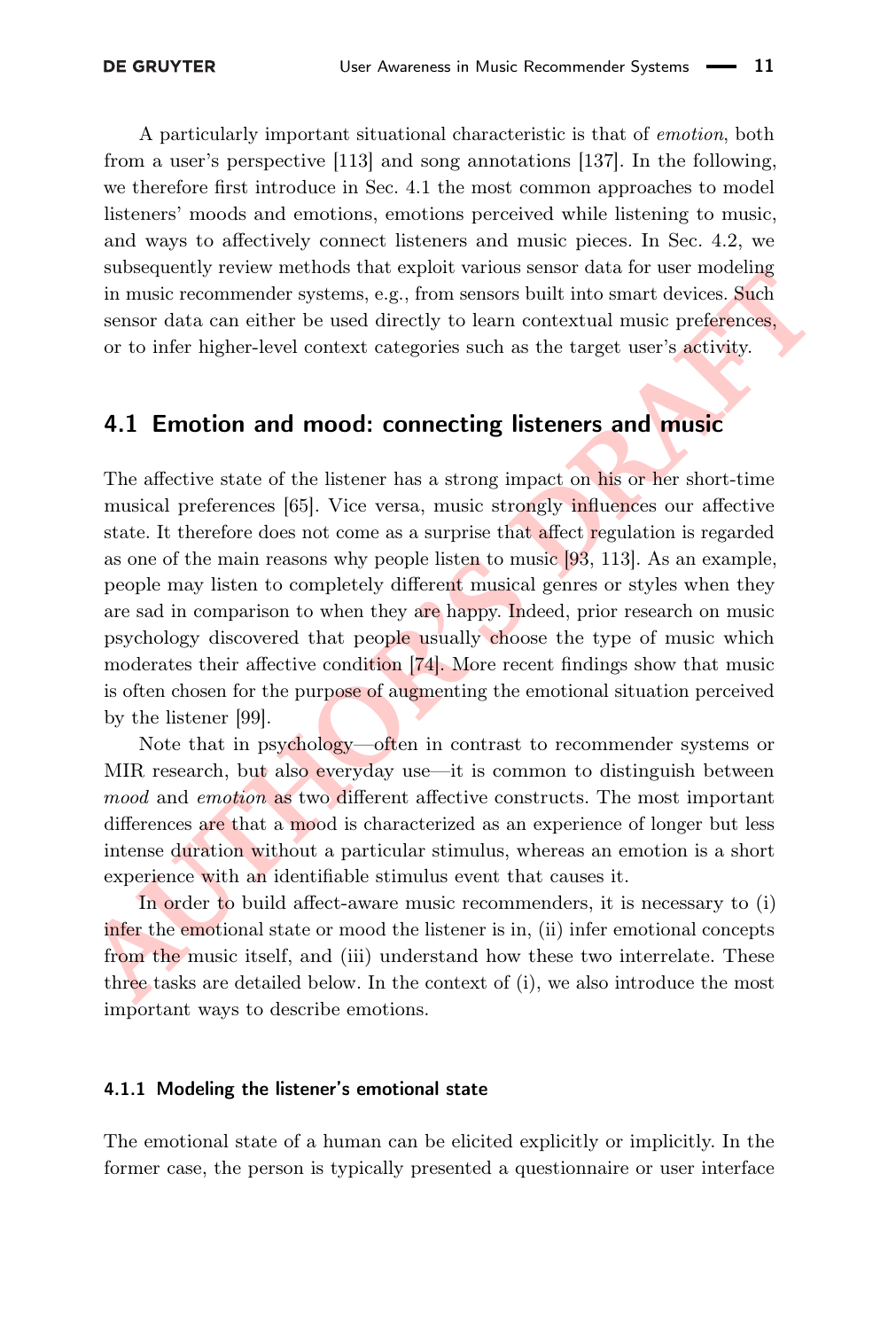A particularly important situational characteristic is that of emotion, both from a user's perspective [\[113\]](#page-34-6) and song annotations [\[137\]](#page-37-0). In the following, we therefore first introduce in Sec. [4.1](#page-10-0) the most common approaches to model listeners' moods and emotions, emotions perceived while listening to music, and ways to affectively connect listeners and music pieces. In Sec. [4.2,](#page-14-0) we subsequently review methods that exploit various sensor data for user modeling in music recommender systems, e.g., from sensors built into smart devices. Such sensor data can either be used directly to learn contextual music preferences, or to infer higher-level context categories such as the target user's activity.

### <span id="page-10-0"></span>4.1 Emotion and mood: connecting listeners and music

**EXECUTE:**<br> **AUTE:**<br> **AUTE:**<br> **AUTE:**<br> **AUTE:**<br> **AUTE:**<br> **AUTE:**<br> **AUTE:**<br> **AUTE:**<br> **AUTE:**<br> **AUTE:**<br> **AUTE:**<br> **AUTE:**<br> **AUTE:**<br> **AUTE:**<br> **AUTE:**<br> **AUTE:**<br> **AUTE:**<br> **AUTE:**<br> **AUTE:**<br> **AUTE:**<br> **AUTE:**<br> **AUTE:**<br> **AUTE:**<br> **A** The affective state of the listener has a strong impact on his or her short-time musical preferences [\[65\]](#page-30-5). Vice versa, music strongly influences our affective state. It therefore does not come as a surprise that affect regulation is regarded as one of the main reasons why people listen to music [93, 113]. As an example, people may listen to completely different musical genres or styles when they are sad in comparison to when they are happy. Indeed, prior research on music psychology discovered that people usually choose the type of music which moderates their affective condition [74]. More recent findings show that music is often chosen for the purpose of augmenting the emotional situation perceived by the listener [99].

Note that in psychology—often in contrast to recommender systems or MIR research, but also everyday use—it is common to distinguish between mood and emotion as two different affective constructs. The most important differences are that a mood is characterized as an experience of longer but less intense duration without a particular stimulus, whereas an emotion is a short experience with an identifiable stimulus event that causes it.

In order to build affect-aware music recommenders, it is necessary to (i) infer the emotional state or mood the listener is in, (ii) infer emotional concepts from the music itself, and (iii) understand how these two interrelate. These three tasks are detailed below. In the context of (i), we also introduce the most important ways to describe emotions.

#### <span id="page-10-1"></span>4.1.1 Modeling the listener's emotional state

The emotional state of a human can be elicited explicitly or implicitly. In the former case, the person is typically presented a questionnaire or user interface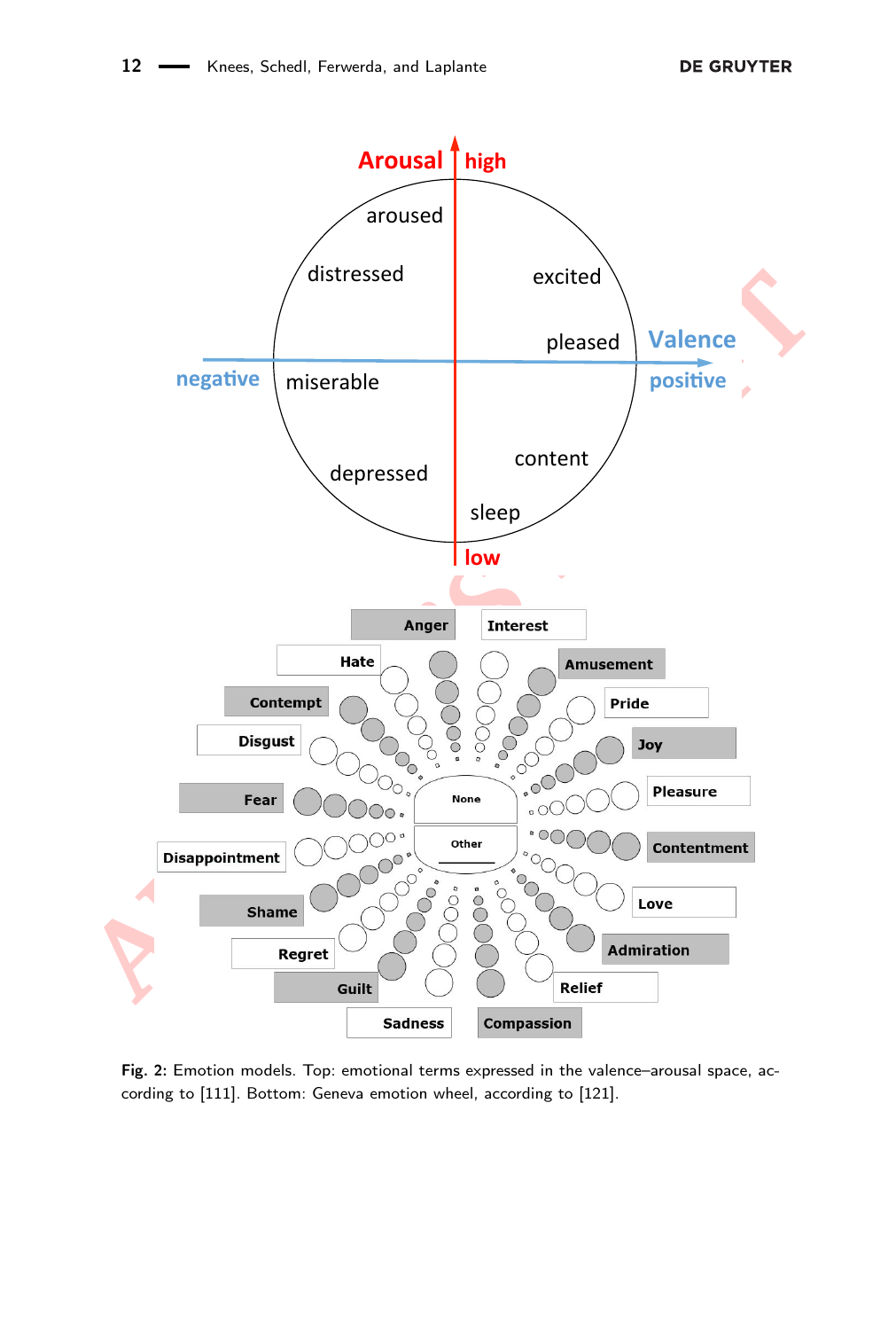<span id="page-11-0"></span>

Fig. 2: Emotion models. Top: emotional terms expressed in the valence–arousal space, according to [\[111\]](#page-34-7). Bottom: Geneva emotion wheel, according to [\[121\]](#page-35-8).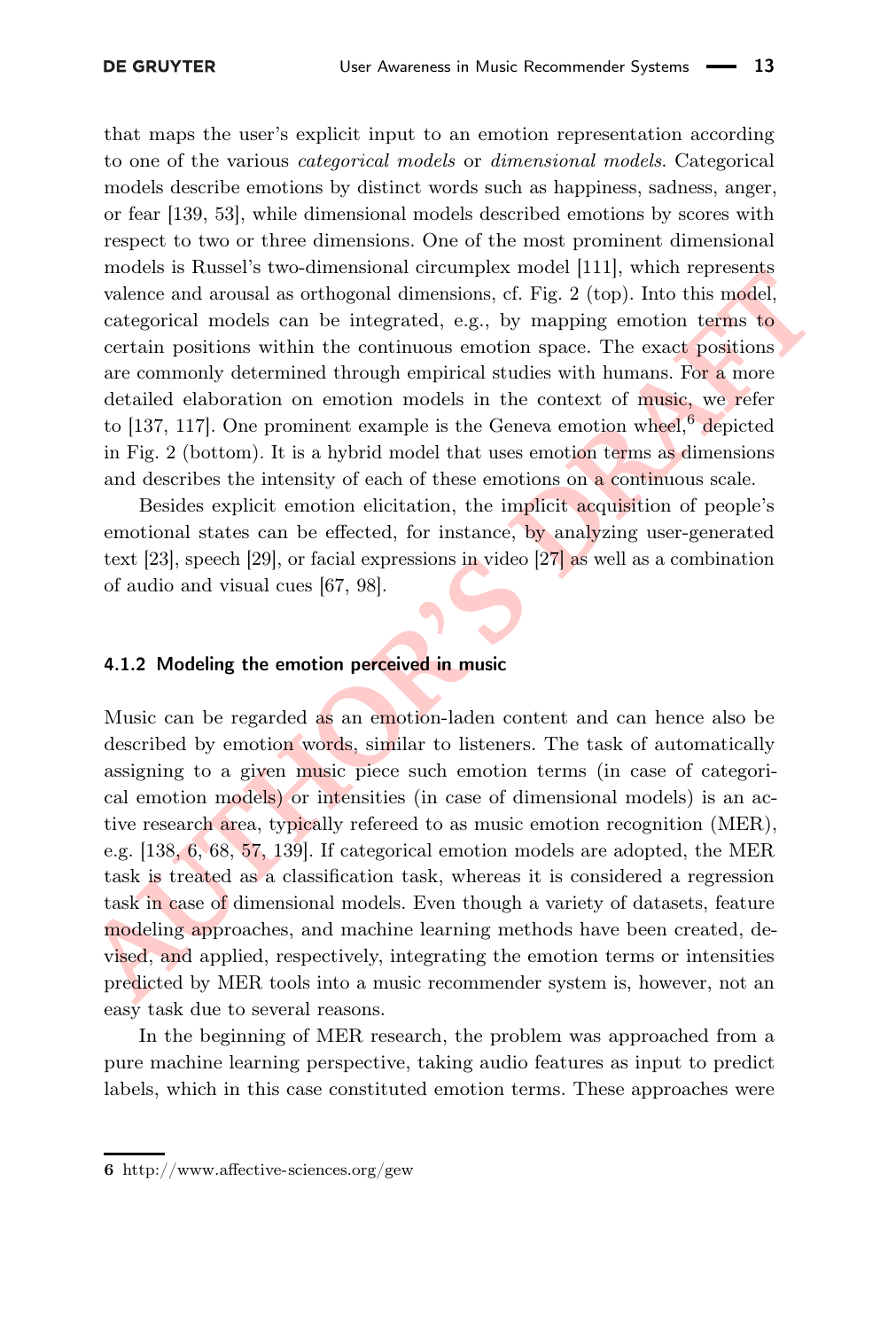that maps the user's explicit input to an emotion representation according to one of the various categorical models or dimensional models. Categorical models describe emotions by distinct words such as happiness, sadness, anger, or fear [\[139,](#page-37-1) [53\]](#page-30-6), while dimensional models described emotions by scores with respect to two or three dimensions. One of the most prominent dimensional models is Russel's two-dimensional circumplex model [\[111\]](#page-34-7), which represents valence and arousal as orthogonal dimensions, cf. Fig. 2 (top). Into this model, categorical models can be integrated, e.g., by mapping emotion terms to certain positions within the continuous emotion space. The exact positions are commonly determined through empirical studies with humans. For a more detailed elaboration on emotion models in the context of music, we refer to  $[137, 117]$  $[137, 117]$  $[137, 117]$ . One prominent example is the Geneva emotion wheel,  $6$  depicted in Fig. [2](#page-11-0) (bottom). It is a hybrid model that uses emotion terms as dimensions and describes the intensity of each of these emotions on a continuous scale.

Besides explicit emotion elicitation, the implicit acquisition of people's emotional states can be effected, for instance, by analyzing user-generated text [\[23\]](#page-27-5), speech [\[29\]](#page-27-6), or facial expressions in video [27] as well as a combination of audio and visual cues [67, 98].

#### <span id="page-12-1"></span>4.1.2 Modeling the emotion perceived in music

motion and the continuous and the motion precisions of the symbol scale and a source and arousal as orthogonal dimensions, cf. Fig. 2 (top). Into this model, categorical models can be integrated, e.g., by mapping emotion Music can be regarded as an emotion-laden content and can hence also be described by emotion words, similar to listeners. The task of automatically assigning to a given music piece such emotion terms (in case of categorical emotion models) or intensities (in case of dimensional models) is an active research area, typically refereed to as music emotion recognition (MER), e.g. [138, 6, 68, 57, 139]. If categorical emotion models are adopted, the MER task is treated as a classification task, whereas it is considered a regression task in case of dimensional models. Even though a variety of datasets, feature modeling approaches, and machine learning methods have been created, devised, and applied, respectively, integrating the emotion terms or intensities predicted by MER tools into a music recommender system is, however, not an easy task due to several reasons.

In the beginning of MER research, the problem was approached from a pure machine learning perspective, taking audio features as input to predict labels, which in this case constituted emotion terms. These approaches were

<span id="page-12-0"></span><sup>6</sup> <http://www.affective-sciences.org/gew>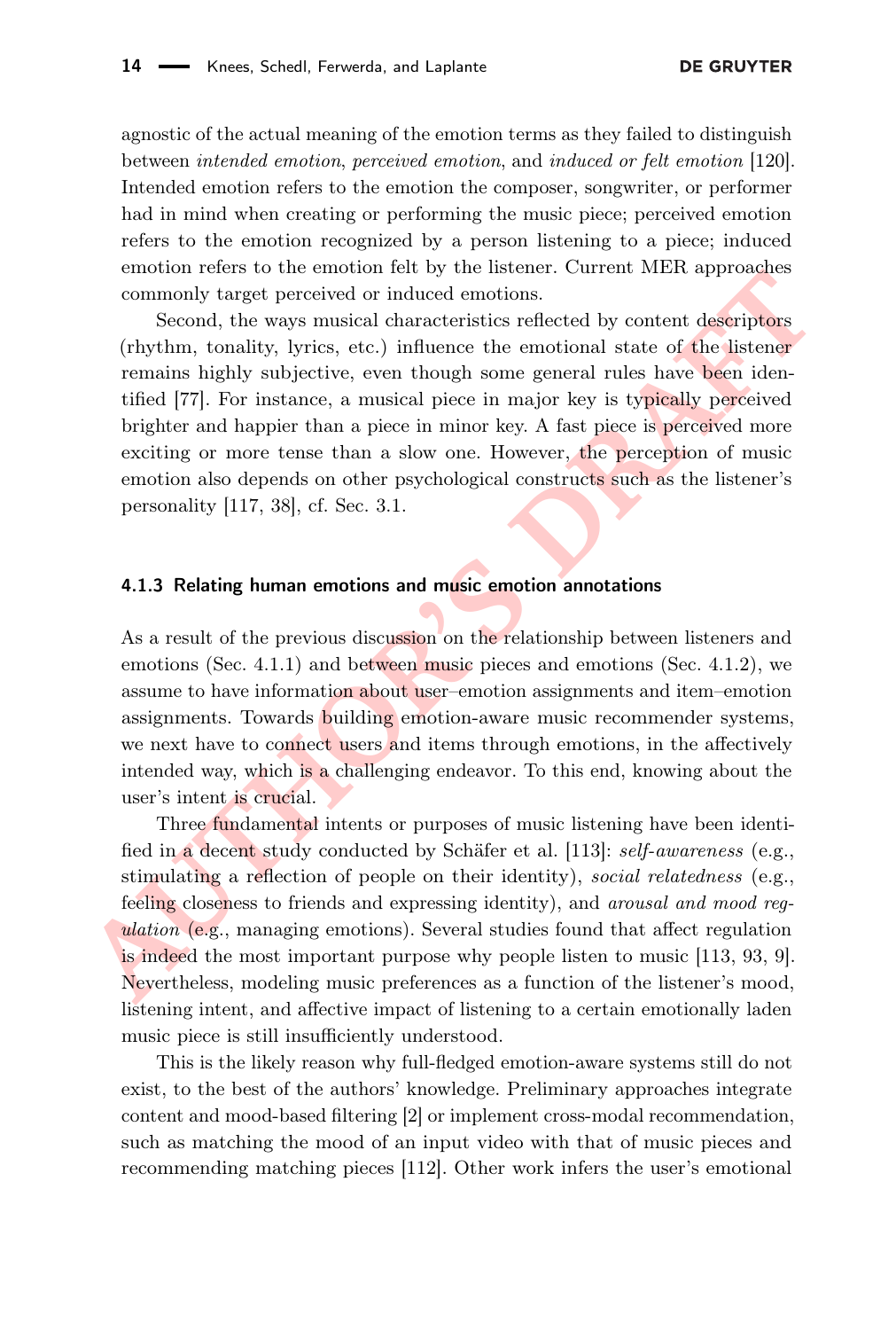agnostic of the actual meaning of the emotion terms as they failed to distinguish between intended emotion, perceived emotion, and induced or felt emotion [\[120\]](#page-35-3). Intended emotion refers to the emotion the composer, songwriter, or performer had in mind when creating or performing the music piece; perceived emotion refers to the emotion recognized by a person listening to a piece; induced emotion refers to the emotion felt by the listener. Current MER approaches commonly target perceived or induced emotions.

constant of the entotion for the method in the matter. The matter is the model in the state of the motions.<br>
Second, the ways musical characteristics reflected by content descriptors<br>
(rhythm, tonality, lyrics, etc.) influ Second, the ways musical characteristics reflected by content descriptors (rhythm, tonality, lyrics, etc.) influence the emotional state of the listener remains highly subjective, even though some general rules have been identified [\[77\]](#page-31-9). For instance, a musical piece in major key is typically perceived brighter and happier than a piece in minor key. A fast piece is perceived more exciting or more tense than a slow one. However, the perception of music emotion also depends on other psychological constructs such as the listener's personality [\[117,](#page-35-9) [38\]](#page-28-2), cf. Sec. [3.1.](#page-5-1)

#### 4.1.3 Relating human emotions and music emotion annotations

As a result of the previous discussion on the relationship between listeners and emotions (Sec. 4.1.1) and between music pieces and emotions (Sec. [4.1.2\)](#page-12-1), we assume to have information about user–emotion assignments and item–emotion assignments. Towards building emotion-aware music recommender systems, we next have to connect users and items through emotions, in the affectively intended way, which is a challenging endeavor. To this end, knowing about the user's intent is crucial.

Three fundamental intents or purposes of music listening have been identified in a decent study conducted by Schäfer et al. [\[113\]](#page-34-6): self-awareness (e.g., stimulating a reflection of people on their identity), social relatedness (e.g., feeling closeness to friends and expressing identity), and arousal and mood regulation  $(e.g.,$  managing emotions). Several studies found that affect regulation is indeed the most important purpose why people listen to music [\[113,](#page-34-6) [93,](#page-33-6) [9\]](#page-26-8). Nevertheless, modeling music preferences as a function of the listener's mood, listening intent, and affective impact of listening to a certain emotionally laden music piece is still insufficiently understood.

This is the likely reason why full-fledged emotion-aware systems still do not exist, to the best of the authors' knowledge. Preliminary approaches integrate content and mood-based filtering [\[2\]](#page-25-3) or implement cross-modal recommendation, such as matching the mood of an input video with that of music pieces and recommending matching pieces [\[112\]](#page-34-8). Other work infers the user's emotional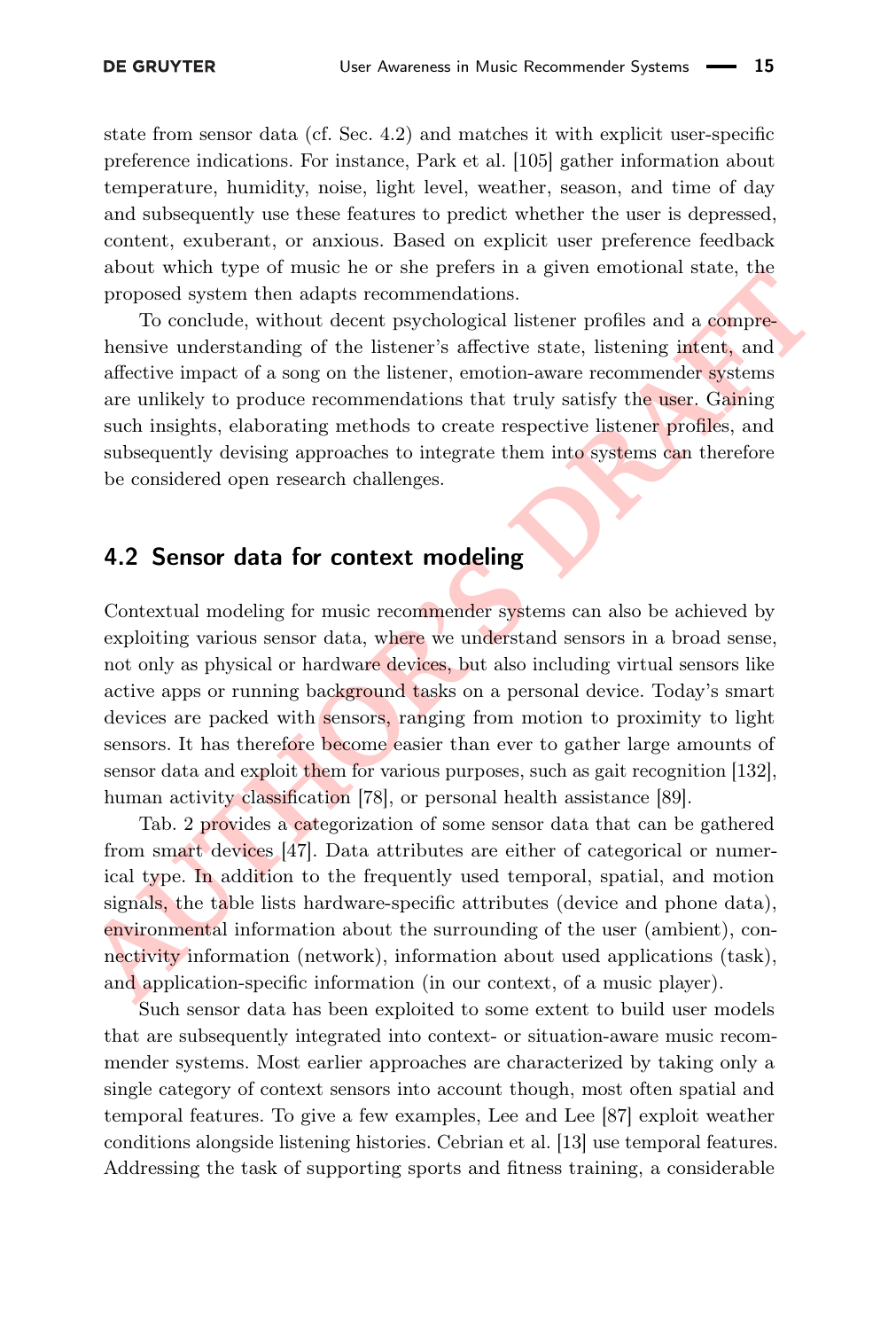state from sensor data (cf. Sec. [4.2\)](#page-14-0) and matches it with explicit user-specific preference indications. For instance, Park et al. [\[105\]](#page-34-9) gather information about temperature, humidity, noise, light level, weather, season, and time of day and subsequently use these features to predict whether the user is depressed, content, exuberant, or anxious. Based on explicit user preference feedback about which type of music he or she prefers in a given emotional state, the proposed system then adapts recommendations.

To conclude, without decent psychological listener profiles and a comprehensive understanding of the listener's affective state, listening intent, and affective impact of a song on the listener, emotion-aware recommender systems are unlikely to produce recommendations that truly satisfy the user. Gaining such insights, elaborating methods to create respective listener profiles, and subsequently devising approaches to integrate them into systems can therefore be considered open research challenges.

### <span id="page-14-0"></span>4.2 Sensor data for context modeling

From the time in the official modeling<br>the main transfer in the periodic modeling the method of the distense in the galacter profiles and a compre-<br>affective impact of a song on the listener's affective state, listening in Contextual modeling for music recommender systems can also be achieved by exploiting various sensor data, where we understand sensors in a broad sense, not only as physical or hardware devices, but also including virtual sensors like active apps or running background tasks on a personal device. Today's smart devices are packed with sensors, ranging from motion to proximity to light sensors. It has therefore become easier than ever to gather large amounts of sensor data and exploit them for various purposes, such as gait recognition [\[132\]](#page-36-5), human activity classification [78], or personal health assistance [\[89\]](#page-33-9).

Tab. 2 provides a categorization of some sensor data that can be gathered from smart devices [47]. Data attributes are either of categorical or numerical type. In addition to the frequently used temporal, spatial, and motion signals, the table lists hardware-specific attributes (device and phone data), environmental information about the surrounding of the user (ambient), connectivity information (network), information about used applications (task), and application-specific information (in our context, of a music player).

Such sensor data has been exploited to some extent to build user models that are subsequently integrated into context- or situation-aware music recommender systems. Most earlier approaches are characterized by taking only a single category of context sensors into account though, most often spatial and temporal features. To give a few examples, Lee and Lee [\[87\]](#page-32-2) exploit weather conditions alongside listening histories. Cebrian et al. [\[13\]](#page-26-4) use temporal features. Addressing the task of supporting sports and fitness training, a considerable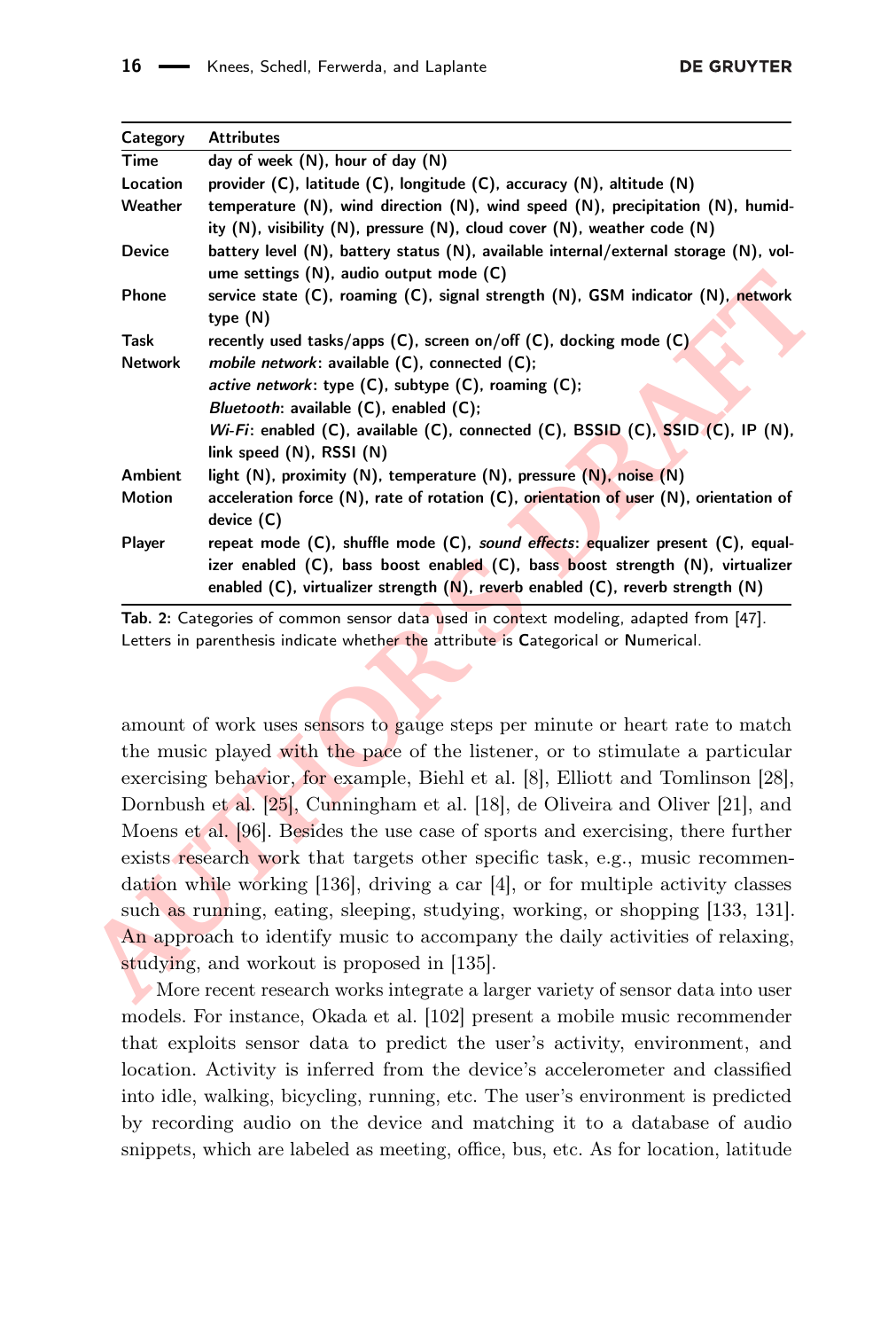<span id="page-15-0"></span>

|                | <b>Attributes</b>                                                                                                                                                                                                                                                                                                                                                                                                                                                                                                                                                                                                                                                                                                                                                                                             |
|----------------|---------------------------------------------------------------------------------------------------------------------------------------------------------------------------------------------------------------------------------------------------------------------------------------------------------------------------------------------------------------------------------------------------------------------------------------------------------------------------------------------------------------------------------------------------------------------------------------------------------------------------------------------------------------------------------------------------------------------------------------------------------------------------------------------------------------|
| Time           | day of week (N), hour of day (N)                                                                                                                                                                                                                                                                                                                                                                                                                                                                                                                                                                                                                                                                                                                                                                              |
| Location       | provider (C), latitude (C), longitude (C), accuracy (N), altitude (N)                                                                                                                                                                                                                                                                                                                                                                                                                                                                                                                                                                                                                                                                                                                                         |
| Weather        | temperature (N), wind direction (N), wind speed (N), precipitation (N), humid-                                                                                                                                                                                                                                                                                                                                                                                                                                                                                                                                                                                                                                                                                                                                |
|                | ity (N), visibility (N), pressure (N), cloud cover (N), weather code (N)                                                                                                                                                                                                                                                                                                                                                                                                                                                                                                                                                                                                                                                                                                                                      |
| <b>Device</b>  | battery level (N), battery status (N), available internal/external storage (N), vol-<br>ume settings $(N)$ , audio output mode $(C)$                                                                                                                                                                                                                                                                                                                                                                                                                                                                                                                                                                                                                                                                          |
| Phone          | service state (C), roaming (C), signal strength (N), GSM indicator (N), network<br>type $(N)$                                                                                                                                                                                                                                                                                                                                                                                                                                                                                                                                                                                                                                                                                                                 |
| <b>Task</b>    | recently used tasks/apps $(C)$ , screen on/off $(C)$ , docking mode $(C)$                                                                                                                                                                                                                                                                                                                                                                                                                                                                                                                                                                                                                                                                                                                                     |
| <b>Network</b> | mobile network: available (C), connected (C);                                                                                                                                                                                                                                                                                                                                                                                                                                                                                                                                                                                                                                                                                                                                                                 |
|                | active network: type (C), subtype (C), roaming (C);                                                                                                                                                                                                                                                                                                                                                                                                                                                                                                                                                                                                                                                                                                                                                           |
|                | Bluetooth: available (C), enabled (C);                                                                                                                                                                                                                                                                                                                                                                                                                                                                                                                                                                                                                                                                                                                                                                        |
|                | Wi-Fi: enabled (C), available (C), connected (C), BSSID (C), SSID (C), IP (N),                                                                                                                                                                                                                                                                                                                                                                                                                                                                                                                                                                                                                                                                                                                                |
|                | link speed $(N)$ , RSSI $(N)$                                                                                                                                                                                                                                                                                                                                                                                                                                                                                                                                                                                                                                                                                                                                                                                 |
| <b>Ambient</b> | light (N), proximity (N), temperature (N), pressure (N), noise (N)                                                                                                                                                                                                                                                                                                                                                                                                                                                                                                                                                                                                                                                                                                                                            |
| Motion         | acceleration force $(N)$ , rate of rotation $(C)$ , orientation of user $(N)$ , orientation of                                                                                                                                                                                                                                                                                                                                                                                                                                                                                                                                                                                                                                                                                                                |
| Player         | device (C)<br>repeat mode (C), shuffle mode (C), sound effects: equalizer present (C), equal-                                                                                                                                                                                                                                                                                                                                                                                                                                                                                                                                                                                                                                                                                                                 |
|                |                                                                                                                                                                                                                                                                                                                                                                                                                                                                                                                                                                                                                                                                                                                                                                                                               |
|                | enabled (C), virtualizer strength $(N)$ , reverb enabled (C), reverb strength $(N)$<br>Tab. 2: Categories of common sensor data used in context modeling, adapted from [47].                                                                                                                                                                                                                                                                                                                                                                                                                                                                                                                                                                                                                                  |
|                | Letters in parenthesis indicate whether the attribute is Categorical or Numerical.                                                                                                                                                                                                                                                                                                                                                                                                                                                                                                                                                                                                                                                                                                                            |
|                |                                                                                                                                                                                                                                                                                                                                                                                                                                                                                                                                                                                                                                                                                                                                                                                                               |
|                |                                                                                                                                                                                                                                                                                                                                                                                                                                                                                                                                                                                                                                                                                                                                                                                                               |
|                |                                                                                                                                                                                                                                                                                                                                                                                                                                                                                                                                                                                                                                                                                                                                                                                                               |
|                |                                                                                                                                                                                                                                                                                                                                                                                                                                                                                                                                                                                                                                                                                                                                                                                                               |
|                |                                                                                                                                                                                                                                                                                                                                                                                                                                                                                                                                                                                                                                                                                                                                                                                                               |
|                |                                                                                                                                                                                                                                                                                                                                                                                                                                                                                                                                                                                                                                                                                                                                                                                                               |
|                |                                                                                                                                                                                                                                                                                                                                                                                                                                                                                                                                                                                                                                                                                                                                                                                                               |
|                |                                                                                                                                                                                                                                                                                                                                                                                                                                                                                                                                                                                                                                                                                                                                                                                                               |
|                |                                                                                                                                                                                                                                                                                                                                                                                                                                                                                                                                                                                                                                                                                                                                                                                                               |
|                |                                                                                                                                                                                                                                                                                                                                                                                                                                                                                                                                                                                                                                                                                                                                                                                                               |
|                |                                                                                                                                                                                                                                                                                                                                                                                                                                                                                                                                                                                                                                                                                                                                                                                                               |
|                |                                                                                                                                                                                                                                                                                                                                                                                                                                                                                                                                                                                                                                                                                                                                                                                                               |
|                | amount of work uses sensors to gauge steps per minute or heart rate to match<br>the music played with the pace of the listener, or to stimulate a particular<br>exercising behavior, for example, Biehl et al. [8], Elliott and Tomlinson [28],<br>Dornbush et al. [25], Cunningham et al. [18], de Oliveira and Oliver [21], and<br>Moens et al. [96]. Besides the use case of sports and exercising, there further<br>exists research work that targets other specific task, e.g., music recommen-<br>dation while working $[136]$ , driving a car $[4]$ , or for multiple activity classes<br>such as running, eating, sleeping, studying, working, or shopping [133, 131].<br>An approach to identify music to accompany the daily activities of relaxing,<br>studying, and workout is proposed in [135]. |
|                | More recent research works integrate a larger variety of sensor data into user                                                                                                                                                                                                                                                                                                                                                                                                                                                                                                                                                                                                                                                                                                                                |

More recent research works integrate a larger variety of sensor data into user models. For instance, Okada et al. [\[102\]](#page-34-10) present a mobile music recommender that exploits sensor data to predict the user's activity, environment, and location. Activity is inferred from the device's accelerometer and classified into idle, walking, bicycling, running, etc. The user's environment is predicted by recording audio on the device and matching it to a database of audio snippets, which are labeled as meeting, office, bus, etc. As for location, latitude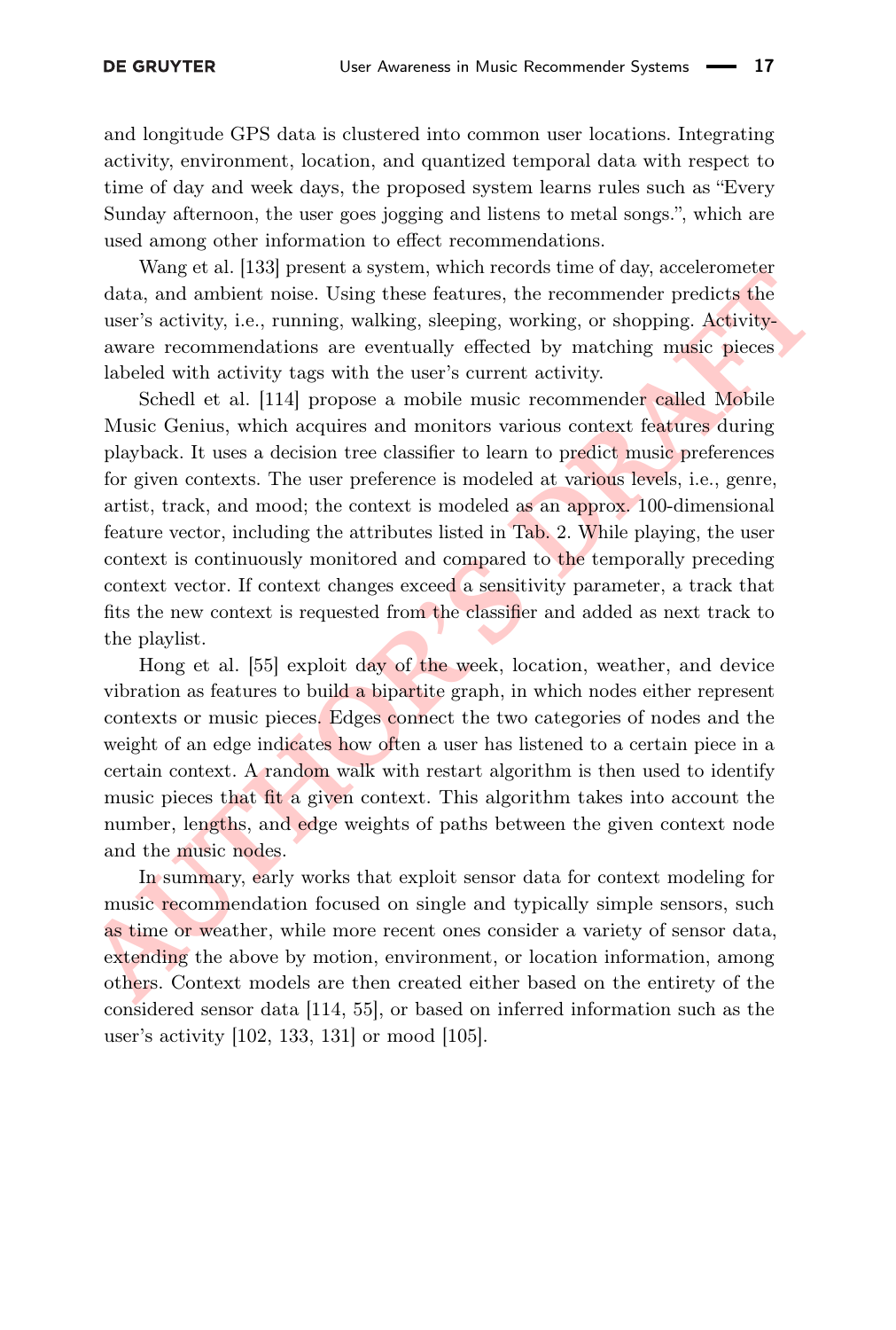and longitude GPS data is clustered into common user locations. Integrating activity, environment, location, and quantized temporal data with respect to time of day and week days, the proposed system learns rules such as "Every Sunday afternoon, the user goes jogging and listens to metal songs.", which are used among other information to effect recommendations.

Wang et al. [\[133\]](#page-36-4) present a system, which records time of day, accelerometer data, and ambient noise. Using these features, the recommender predicts the user's activity, i.e., running, walking, sleeping, working, or shopping. Activityaware recommendations are eventually effected by matching music pieces labeled with activity tags with the user's current activity.

For an irretarial and scattering weakling the scattering of the measure of the scattering temperature and ambient noise. Using these features, the recommender predicts the user's activity, i.e., running, walking, sleeping Schedl et al. [\[114\]](#page-35-10) propose a mobile music recommender called Mobile Music Genius, which acquires and monitors various context features during playback. It uses a decision tree classifier to learn to predict music preferences for given contexts. The user preference is modeled at various levels, i.e., genre, artist, track, and mood; the context is modeled as an approx. 100-dimensional feature vector, including the attributes listed in Tab. 2. While playing, the user context is continuously monitored and compared to the temporally preceding context vector. If context changes exceed a sensitivity parameter, a track that fits the new context is requested from the classifier and added as next track to the playlist.

Hong et al. [55] exploit day of the week, location, weather, and device vibration as features to build a bipartite graph, in which nodes either represent contexts or music pieces. Edges connect the two categories of nodes and the weight of an edge indicates how often a user has listened to a certain piece in a certain context. A random walk with restart algorithm is then used to identify music pieces that fit a given context. This algorithm takes into account the number, lengths, and edge weights of paths between the given context node and the music nodes.

In summary, early works that exploit sensor data for context modeling for music recommendation focused on single and typically simple sensors, such as time or weather, while more recent ones consider a variety of sensor data, extending the above by motion, environment, or location information, among others. Context models are then created either based on the entirety of the considered sensor data [\[114,](#page-35-10) [55\]](#page-30-8), or based on inferred information such as the user's activity [\[102,](#page-34-10) [133,](#page-36-4) [131\]](#page-36-6) or mood [\[105\]](#page-34-9).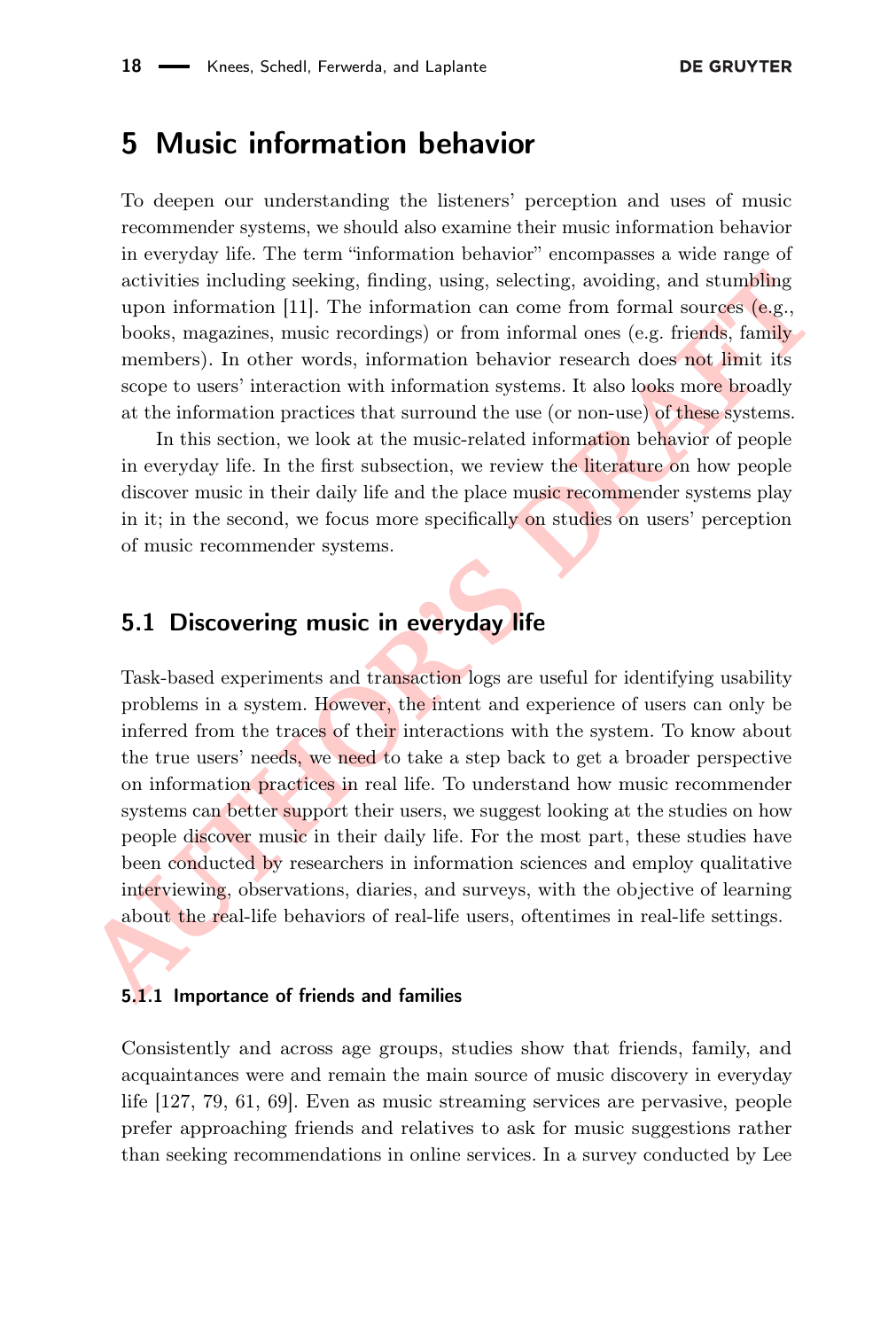## <span id="page-17-0"></span>5 Music information behavior

To deepen our understanding the listeners' perception and uses of music recommender systems, we should also examine their music information behavior in everyday life. The term "information behavior" encompasses a wide range of activities including seeking, finding, using, selecting, avoiding, and stumbling upon information [\[11\]](#page-26-10). The information can come from formal sources  $(e.g.,)$ books, magazines, music recordings) or from informal ones (e.g. friends, family members). In other words, information behavior research does not limit its scope to users' interaction with information systems. It also looks more broadly at the information practices that surround the use (or non-use) of these systems.

In this section, we look at the music-related information behavior of people in everyday life. In the first subsection, we review the literature on how people discover music in their daily life and the place music recommender systems play in it; in the second, we focus more specifically on studies on users' perception of music recommender systems.

### 5.1 Discovering music in everyday life

activities including seeking, finding, using, selecting, avoiding, and stumbling<br>upon information [11]. The information can come from formal sources (e.g.,<br>books, magazines, music recordings) or from informal ones (e.g. fr Task-based experiments and transaction logs are useful for identifying usability problems in a system. However, the intent and experience of users can only be inferred from the traces of their interactions with the system. To know about the true users' needs, we need to take a step back to get a broader perspective on information practices in real life. To understand how music recommender systems can better support their users, we suggest looking at the studies on how people discover music in their daily life. For the most part, these studies have been conducted by researchers in information sciences and employ qualitative interviewing, observations, diaries, and surveys, with the objective of learning about the real-life behaviors of real-life users, oftentimes in real-life settings.

#### 5.1.1 Importance of friends and families

Consistently and across age groups, studies show that friends, family, and acquaintances were and remain the main source of music discovery in everyday life [\[127,](#page-36-8) [79,](#page-32-3) [61,](#page-30-9) [69\]](#page-31-10). Even as music streaming services are pervasive, people prefer approaching friends and relatives to ask for music suggestions rather than seeking recommendations in online services. In a survey conducted by Lee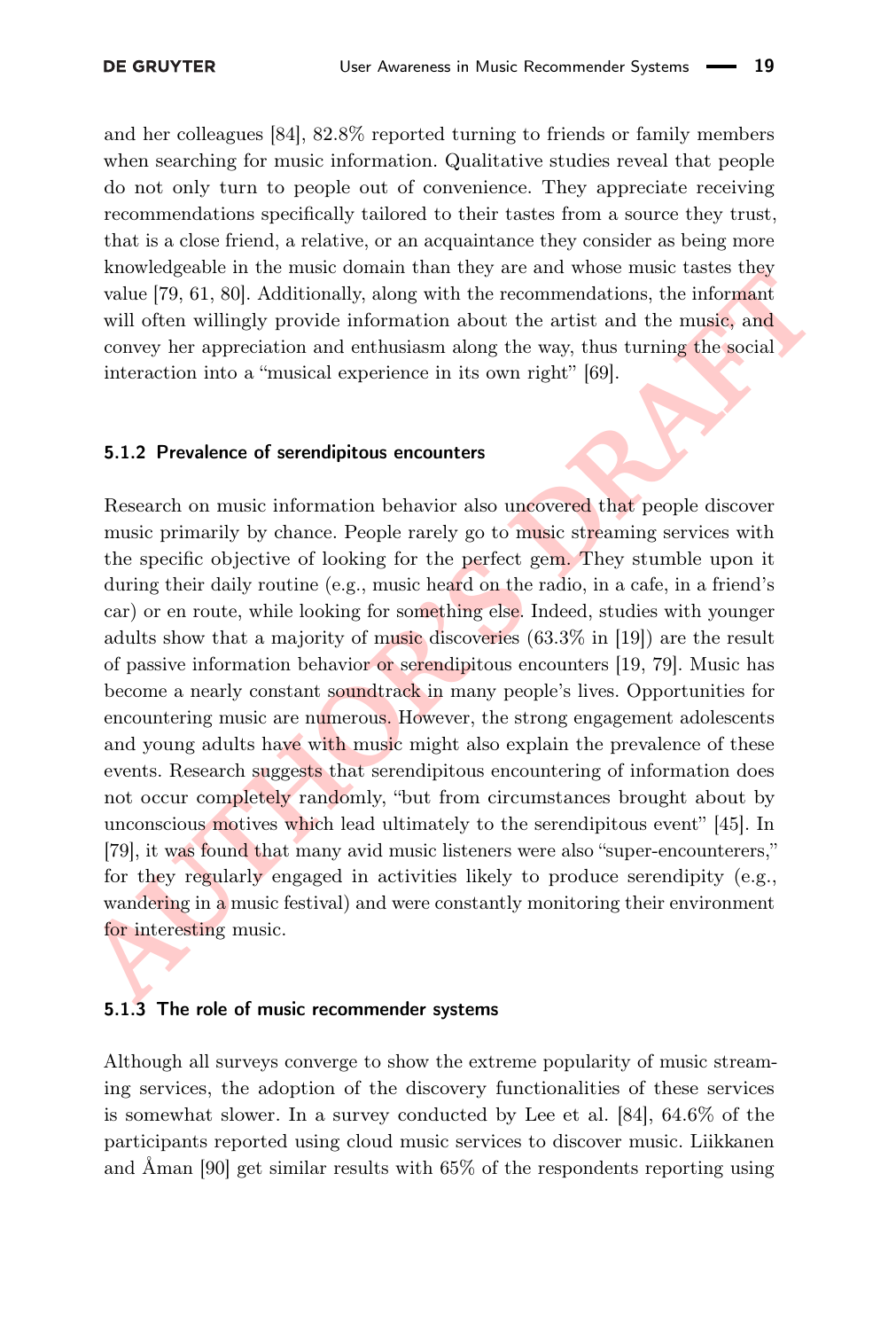and her colleagues [\[84\]](#page-32-4), 82.8% reported turning to friends or family members when searching for music information. Qualitative studies reveal that people do not only turn to people out of convenience. They appreciate receiving recommendations specifically tailored to their tastes from a source they trust, that is a close friend, a relative, or an acquaintance they consider as being more knowledgeable in the music domain than they are and whose music tastes they value [\[79,](#page-32-3) [61,](#page-30-9) [80\]](#page-32-5). Additionally, along with the recommendations, the informant will often willingly provide information about the artist and the music, and convey her appreciation and enthusiasm along the way, thus turning the social interaction into a "musical experience in its own right" [69].

#### 5.1.2 Prevalence of serendipitous encounters

**EXERCIST TO THE SET THE SET THE SET THANGES IN THE SET THANGES INTO THE SET THANGES IN THE SET THANGES IN the mass of the information into a "musical experience in its own right" [69].<br>
<b>SET THE SET THANGES IN THE SET THA** Research on music information behavior also uncovered that people discover music primarily by chance. People rarely go to music streaming services with the specific objective of looking for the perfect gem. They stumble upon it during their daily routine (e.g., music heard on the radio, in a cafe, in a friend's car) or en route, while looking for something else. Indeed, studies with younger adults show that a majority of music discoveries (63.3% in [\[19\]](#page-26-11)) are the result of passive information behavior or serendipitous encounters [\[19,](#page-26-11) [79\]](#page-32-3). Music has become a nearly constant soundtrack in many people's lives. Opportunities for encountering music are numerous. However, the strong engagement adolescents and young adults have with music might also explain the prevalence of these events. Research suggests that serendipitous encountering of information does not occur completely randomly, "but from circumstances brought about by unconscious motives which lead ultimately to the serendipitous event" [\[45\]](#page-29-5). In [79], it was found that many avid music listeners were also "super-encounterers," for they regularly engaged in activities likely to produce serendipity (e.g., wandering in a music festival) and were constantly monitoring their environment for interesting music.

### <span id="page-18-0"></span>5.1.3 The role of music recommender systems

Although all surveys converge to show the extreme popularity of music streaming services, the adoption of the discovery functionalities of these services is somewhat slower. In a survey conducted by Lee et al. [\[84\]](#page-32-4), 64.6% of the participants reported using cloud music services to discover music. Liikkanen and Åman [\[90\]](#page-33-11) get similar results with 65% of the respondents reporting using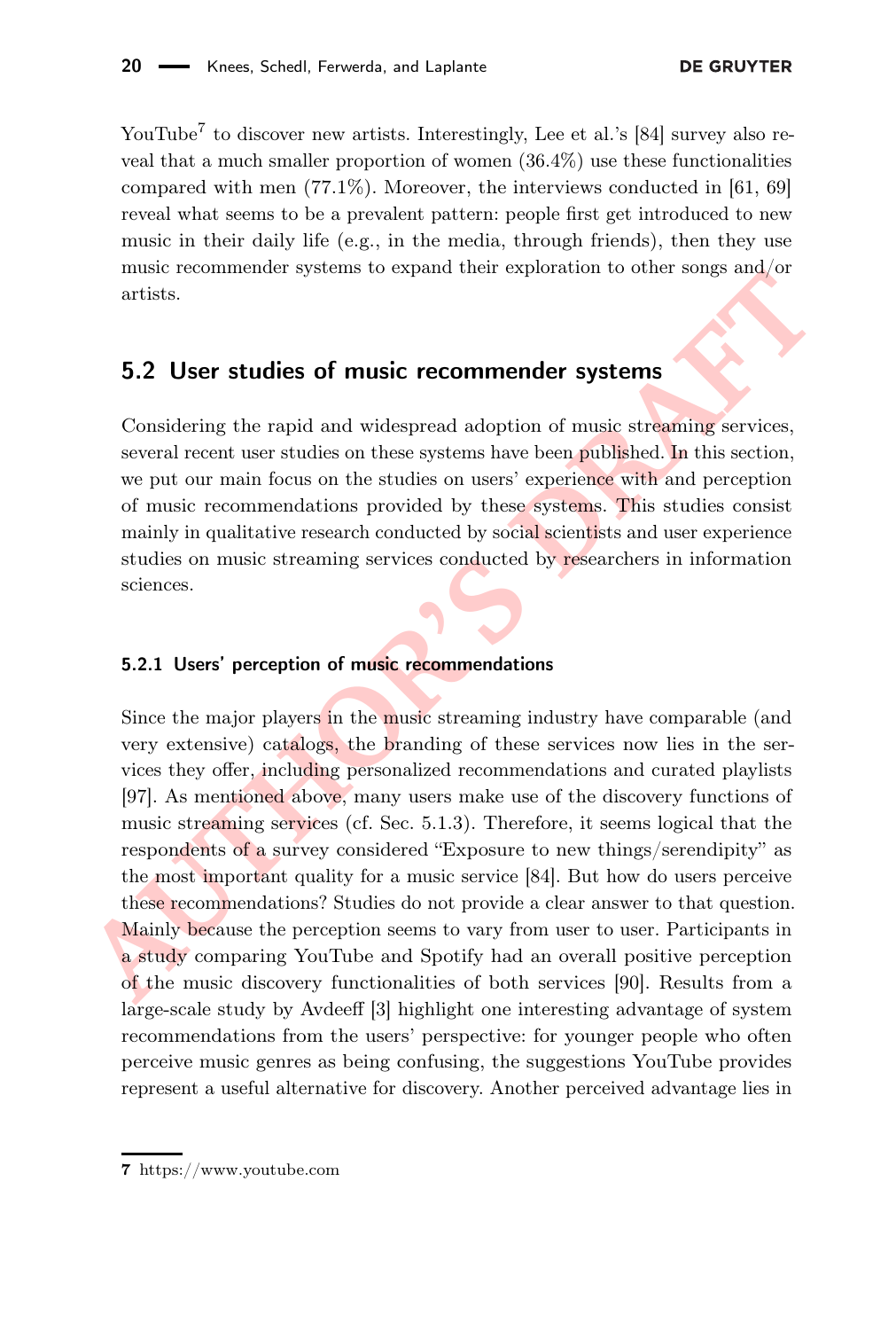YouTube<sup>[7](#page-19-0)</sup> to discover new artists. Interestingly, Lee et al.'s [\[84\]](#page-32-4) survey also reveal that a much smaller proportion of women (36.4%) use these functionalities compared with men  $(77.1\%)$ . Moreover, the interviews conducted in [\[61,](#page-30-9) [69\]](#page-31-10) reveal what seems to be a prevalent pattern: people first get introduced to new music in their daily life (e.g., in the media, through friends), then they use music recommender systems to expand their exploration to other songs and/or artists.

### 5.2 User studies of music recommender systems

Considering the rapid and widespread adoption of music streaming services, several recent user studies on these systems have been published. In this section, we put our main focus on the studies on users' experience with and perception of music recommendations provided by these systems. This studies consist mainly in qualitative research conducted by social scientists and user experience studies on music streaming services conducted by researchers in information sciences.

### 5.2.1 Users' perception of music recommendations

The state of the control above, many users make user a control point of the same state and state and the real control considering the rapid and widespread adoption of music streaming services, several recent user studies o Since the major players in the music streaming industry have comparable (and very extensive) catalogs, the branding of these services now lies in the services they offer, including personalized recommendations and curated playlists [97]. As mentioned above, many users make use of the discovery functions of music streaming services (cf. Sec. 5.1.3). Therefore, it seems logical that the respondents of a survey considered "Exposure to new things/serendipity" as the most important quality for a music service [\[84\]](#page-32-4). But how do users perceive these recommendations? Studies do not provide a clear answer to that question. Mainly because the perception seems to vary from user to user. Participants in a study comparing YouTube and Spotify had an overall positive perception of the music discovery functionalities of both services [\[90\]](#page-33-11). Results from a large-scale study by Avdeeff [\[3\]](#page-25-6) highlight one interesting advantage of system recommendations from the users' perspective: for younger people who often perceive music genres as being confusing, the suggestions YouTube provides represent a useful alternative for discovery. Another perceived advantage lies in

<span id="page-19-0"></span><sup>7</sup> <https://www.youtube.com>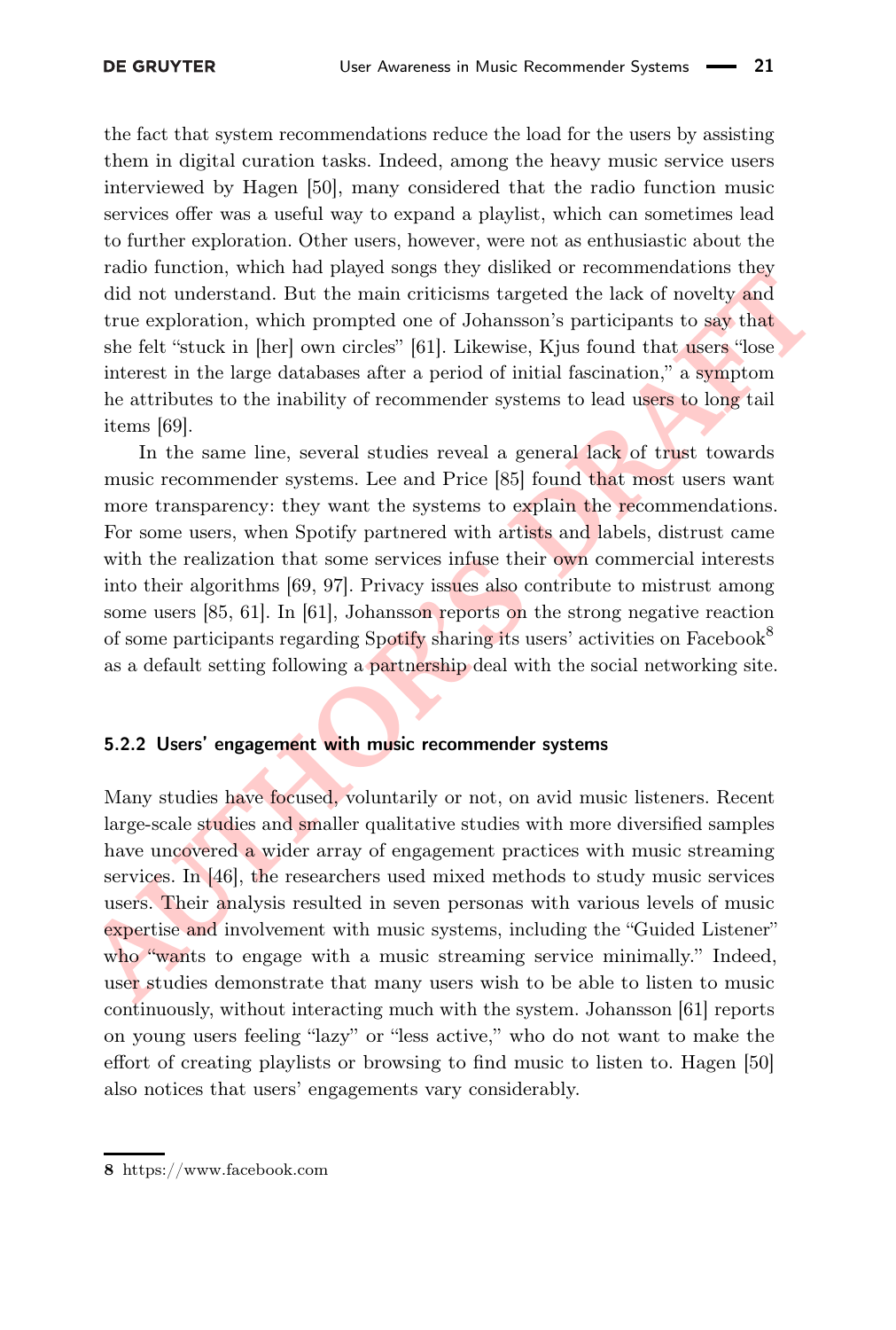the fact that system recommendations reduce the load for the users by assisting them in digital curation tasks. Indeed, among the heavy music service users interviewed by Hagen [\[50\]](#page-29-6), many considered that the radio function music services offer was a useful way to expand a playlist, which can sometimes lead to further exploration. Other users, however, were not as enthusiastic about the radio function, which had played songs they disliked or recommendations they did not understand. But the main criticisms targeted the lack of novelty and true exploration, which prompted one of Johansson's participants to say that she felt "stuck in [her] own circles" [\[61\]](#page-30-9). Likewise, Kjus found that users "lose interest in the large databases after a period of initial fascination," a symptom he attributes to the inability of recommender systems to lead users to long tail items [\[69\]](#page-31-10).

Franchies the state in and payer bases are using the using the state of incommentations and interest and interesting the main criticisms targeted the lack of novely and<br>true exploration, which prompted one of Johansson's p In the same line, several studies reveal a general lack of trust towards music recommender systems. Lee and Price [\[85\]](#page-32-6) found that most users want more transparency: they want the systems to explain the recommendations. For some users, when Spotify partnered with artists and labels, distrust came with the realization that some services infuse their own commercial interests into their algorithms [69, 97]. Privacy issues also contribute to mistrust among some users [85, 61]. In [61], Johansson reports on the strong negative reaction of some participants regarding Spotify sharing its users' activities on Facebook<sup>[8](#page-20-0)</sup> as a default setting following a partnership deal with the social networking site.

### 5.2.2 Users' engagement with music recommender systems

Many studies have focused, voluntarily or not, on avid music listeners. Recent large-scale studies and smaller qualitative studies with more diversified samples have uncovered a wider array of engagement practices with music streaming services. In [46], the researchers used mixed methods to study music services users. Their analysis resulted in seven personas with various levels of music expertise and involvement with music systems, including the "Guided Listener" who "wants to engage with a music streaming service minimally." Indeed, user studies demonstrate that many users wish to be able to listen to music continuously, without interacting much with the system. Johansson [\[61\]](#page-30-9) reports on young users feeling "lazy" or "less active," who do not want to make the effort of creating playlists or browsing to find music to listen to. Hagen [\[50\]](#page-29-6) also notices that users' engagements vary considerably.

<span id="page-20-0"></span><sup>8</sup> <https://www.facebook.com>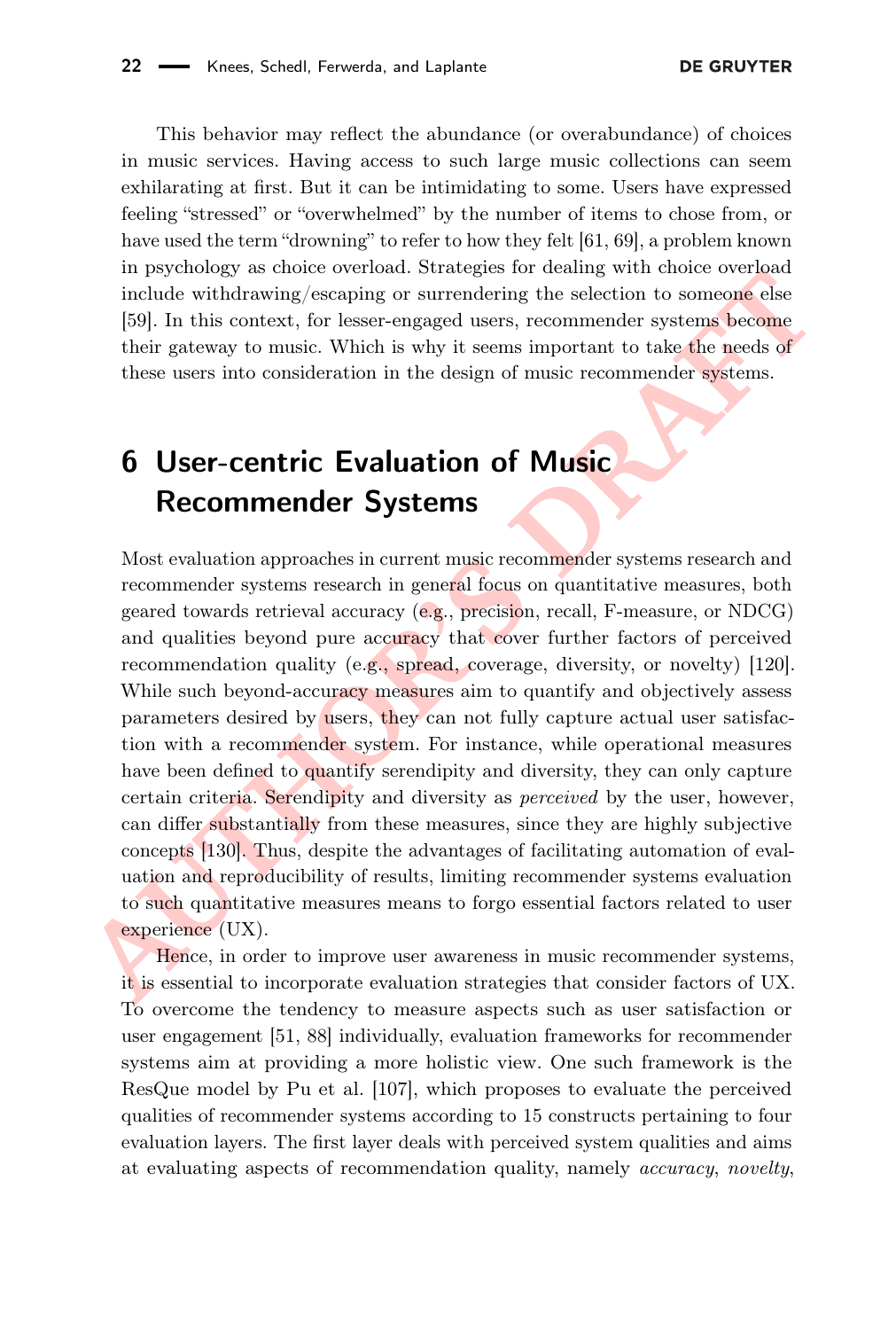This behavior may reflect the abundance (or overabundance) of choices in music services. Having access to such large music collections can seem exhilarating at first. But it can be intimidating to some. Users have expressed feeling "stressed" or "overwhelmed" by the number of items to chose from, or have used the term "drowning" to refer to how they felt [\[61,](#page-30-9) [69\]](#page-31-10), a problem known in psychology as choice overload. Strategies for dealing with choice overload include withdrawing/escaping or surrendering the selection to someone else [\[59\]](#page-30-10). In this context, for lesser-engaged users, recommender systems become their gateway to music. Which is why it seems important to take the needs of these users into consideration in the design of music recommender systems.

# <span id="page-21-0"></span>6 User-centric Evaluation of Music Recommender Systems

**Explores the control in the specifically and the mass of the selection to someone else<br>
<b>A[UT](#page-36-9)** include withdrawing/escaping or surrendering the selection to someone else<br>
[59]. In this context, for lesser-engaged users, Most evaluation approaches in current music recommender systems research and recommender systems research in general focus on quantitative measures, both geared towards retrieval accuracy (e.g., precision, recall, F-measure, or NDCG) and qualities beyond pure accuracy that cover further factors of perceived recommendation quality (e.g., spread, coverage, diversity, or novelty) [\[120\]](#page-35-3). While such beyond-accuracy measures aim to quantify and objectively assess parameters desired by users, they can not fully capture actual user satisfaction with a recommender system. For instance, while operational measures have been defined to quantify serendipity and diversity, they can only capture certain criteria. Serendipity and diversity as perceived by the user, however, can differ substantially from these measures, since they are highly subjective concepts [130]. Thus, despite the advantages of facilitating automation of evaluation and reproducibility of results, limiting recommender systems evaluation to such quantitative measures means to forgo essential factors related to user experience (UX).

Hence, in order to improve user awareness in music recommender systems, it is essential to incorporate evaluation strategies that consider factors of UX. To overcome the tendency to measure aspects such as user satisfaction or user engagement [\[51,](#page-29-8) [88\]](#page-32-7) individually, evaluation frameworks for recommender systems aim at providing a more holistic view. One such framework is the ResQue model by Pu et al. [\[107\]](#page-34-11), which proposes to evaluate the perceived qualities of recommender systems according to 15 constructs pertaining to four evaluation layers. The first layer deals with perceived system qualities and aims at evaluating aspects of recommendation quality, namely accuracy, novelty,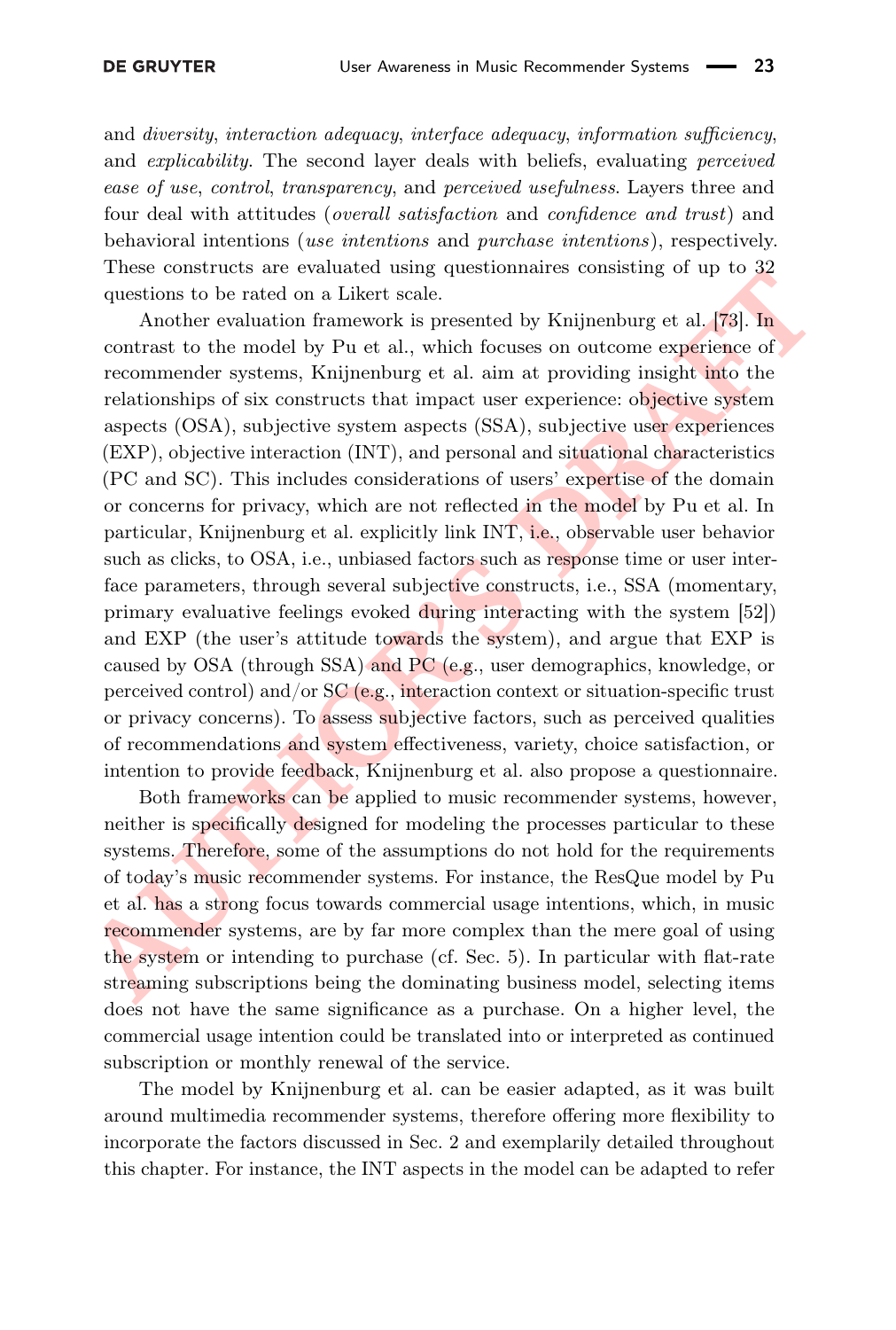#### **DE GRUYTER**

and diversity, interaction adequacy, interface adequacy, information sufficiency, and *explicability*. The second layer deals with beliefs, evaluating *perceived* ease of use, control, transparency, and perceived usefulness. Layers three and four deal with attitudes (overall satisfaction and confidence and trust) and behavioral intentions (use intentions and purchase intentions), respectively. These constructs are evaluated using questionnaires consisting of up to 32 questions to be rated on a Likert scale.

Trace tonstantes are evrained using version<br>and using the results of the results of the results of the model by Pu et al. (73). In<br>contrast to the model by Pu et al., which focuses on outcome experience of<br>recommender syst Another evaluation framework is presented by Knijnenburg et al. [73]. In contrast to the model by Pu et al., which focuses on outcome experience of recommender systems, Knijnenburg et al. aim at providing insight into the relationships of six constructs that impact user experience: objective system aspects (OSA), subjective system aspects (SSA), subjective user experiences (EXP), objective interaction (INT), and personal and situational characteristics (PC and SC). This includes considerations of users' expertise of the domain or concerns for privacy, which are not reflected in the model by Pu et al. In particular, Knijnenburg et al. explicitly link INT, i.e., observable user behavior such as clicks, to OSA, i.e., unbiased factors such as response time or user interface parameters, through several subjective constructs, i.e., SSA (momentary, primary evaluative feelings evoked during interacting with the system [\[52\]](#page-29-9)) and EXP (the user's attitude towards the system), and argue that EXP is caused by OSA (through SSA) and PC (e.g., user demographics, knowledge, or perceived control) and/or SC (e.g., interaction context or situation-specific trust or privacy concerns). To assess subjective factors, such as perceived qualities of recommendations and system effectiveness, variety, choice satisfaction, or intention to provide feedback, Knijnenburg et al. also propose a questionnaire.

Both frameworks can be applied to music recommender systems, however, neither is specifically designed for modeling the processes particular to these systems. Therefore, some of the assumptions do not hold for the requirements of today's music recommender systems. For instance, the ResQue model by Pu et al. has a strong focus towards commercial usage intentions, which, in music recommender systems, are by far more complex than the mere goal of using the system or intending to purchase (cf. Sec. 5). In particular with flat-rate streaming subscriptions being the dominating business model, selecting items does not have the same significance as a purchase. On a higher level, the commercial usage intention could be translated into or interpreted as continued subscription or monthly renewal of the service.

The model by Knijnenburg et al. can be easier adapted, as it was built around multimedia recommender systems, therefore offering more flexibility to incorporate the factors discussed in Sec. [2](#page-2-0) and exemplarily detailed throughout this chapter. For instance, the INT aspects in the model can be adapted to refer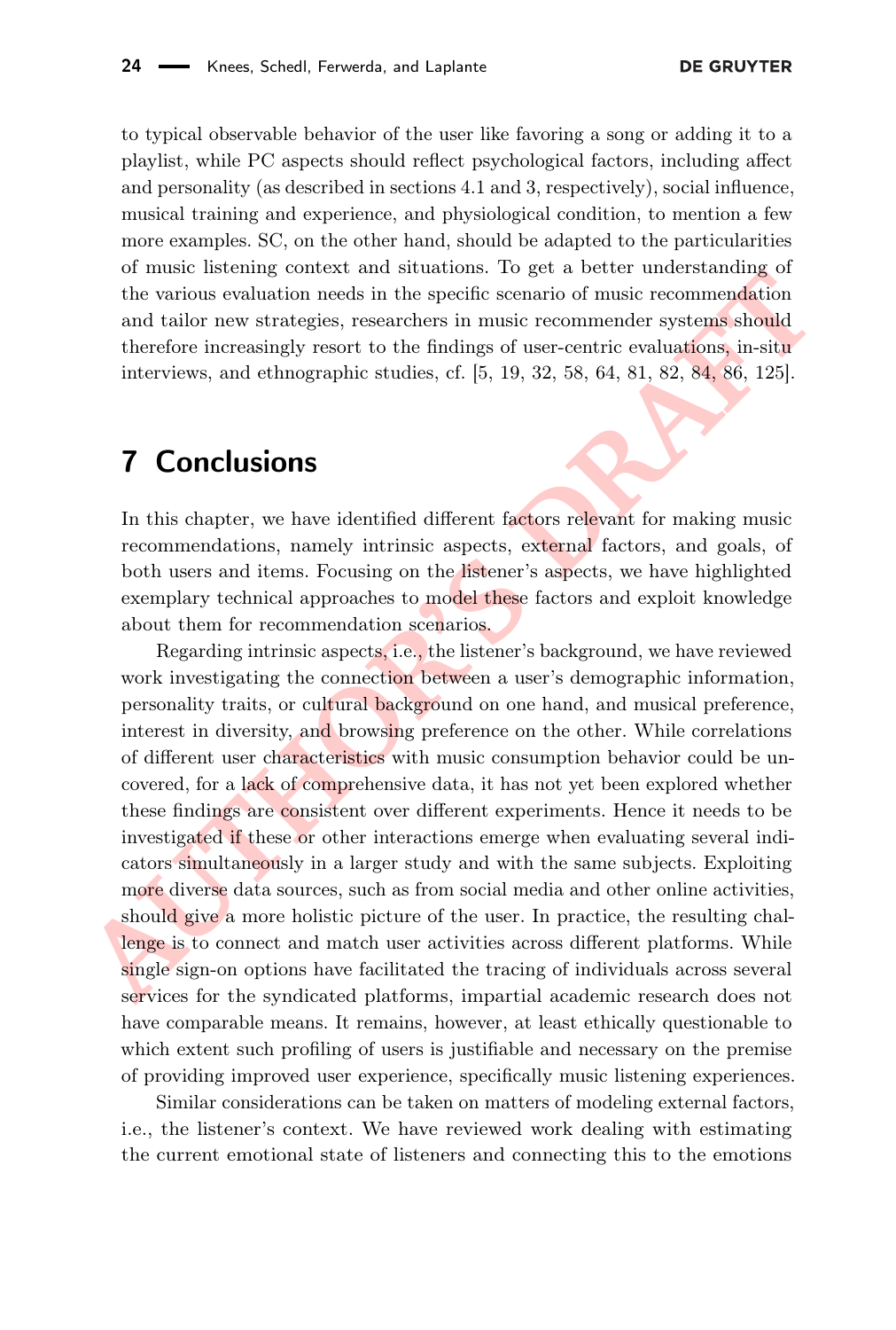to typical observable behavior of the user like favoring a song or adding it to a playlist, while PC aspects should reflect psychological factors, including affect and personality (as described in sections [4.1](#page-10-0) and [3,](#page-5-0) respectively), social influence, musical training and experience, and physiological condition, to mention a few more examples. SC, on the other hand, should be adapted to the particularities of music listening context and situations. To get a better understanding of the various evaluation needs in the specific scenario of music recommendation and tailor new strategies, researchers in music recommender systems should therefore increasingly resort to the findings of user-centric evaluations, in-situ interviews, and ethnographic studies, cf. [\[5,](#page-25-7) [19,](#page-26-11) 32, 58, 64, 81, 82, 84, 86, 125].

## <span id="page-23-0"></span>7 Conclusions

In this chapter, we have identified different factors relevant for making music recommendations, namely intrinsic aspects, external factors, and goals, of both users and items. Focusing on the listener's aspects, we have highlighted exemplary technical approaches to model these factors and exploit knowledge about them for recommendation scenarios.

[F](#page-32-4)or mast rastemation meets and automanism of the give a foctor understanding on<br>the various evaluation meets in the specific scenario of music recommendation<br>and tailor new strategies, researchers in music recommender syst Regarding intrinsic aspects, i.e., the listener's background, we have reviewed work investigating the connection between a user's demographic information, personality traits, or cultural background on one hand, and musical preference, interest in diversity, and browsing preference on the other. While correlations of different user characteristics with music consumption behavior could be uncovered, for a lack of comprehensive data, it has not yet been explored whether these findings are consistent over different experiments. Hence it needs to be investigated if these or other interactions emerge when evaluating several indicators simultaneously in a larger study and with the same subjects. Exploiting more diverse data sources, such as from social media and other online activities, should give a more holistic picture of the user. In practice, the resulting challenge is to connect and match user activities across different platforms. While single sign-on options have facilitated the tracing of individuals across several services for the syndicated platforms, impartial academic research does not have comparable means. It remains, however, at least ethically questionable to which extent such profiling of users is justifiable and necessary on the premise of providing improved user experience, specifically music listening experiences.

Similar considerations can be taken on matters of modeling external factors, i.e., the listener's context. We have reviewed work dealing with estimating the current emotional state of listeners and connecting this to the emotions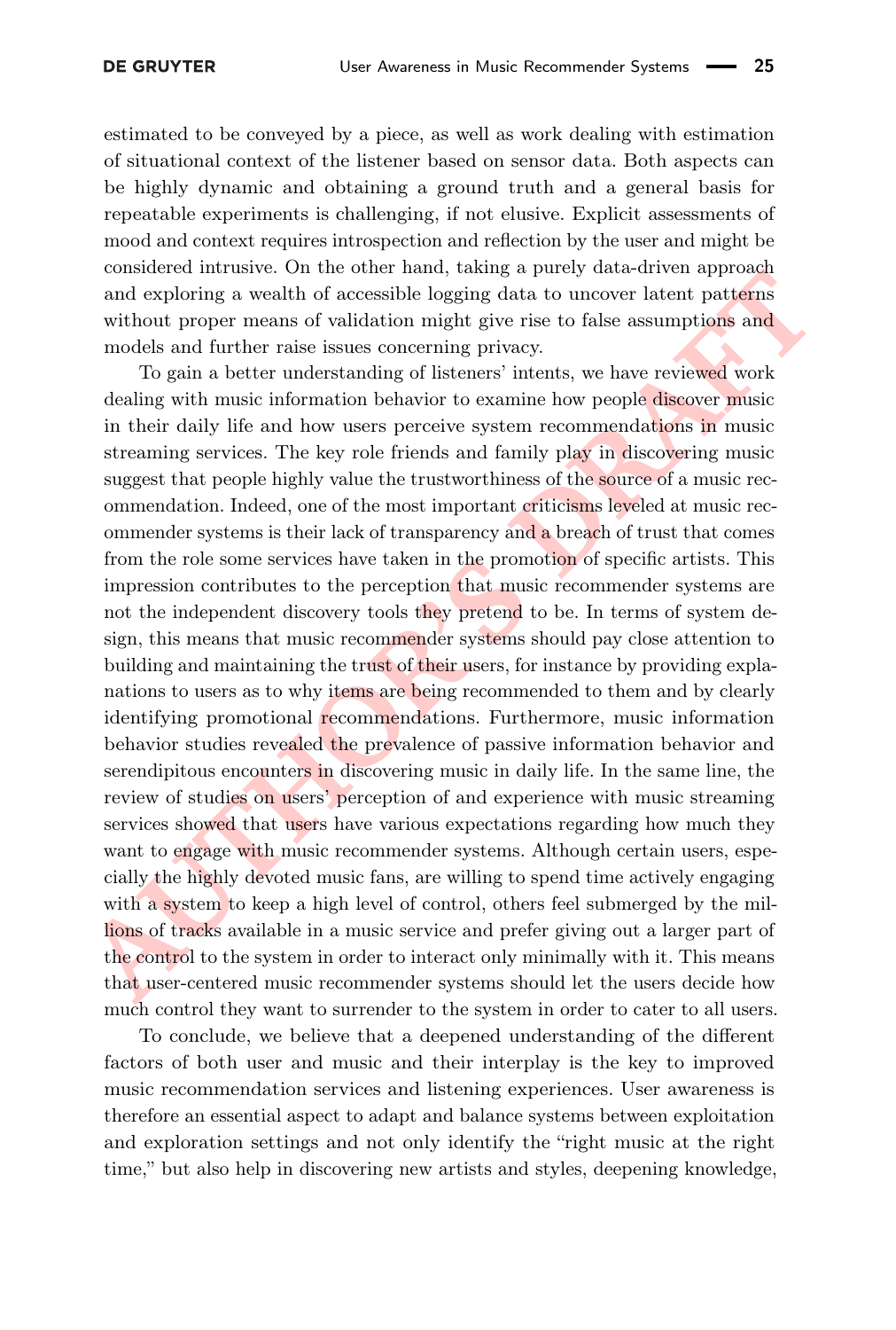#### **DE GRUYTER**

estimated to be conveyed by a piece, as well as work dealing with estimation of situational context of the listener based on sensor data. Both aspects can be highly dynamic and obtaining a ground truth and a general basis for repeatable experiments is challenging, if not elusive. Explicit assessments of mood and context requires introspection and reflection by the user and might be considered intrusive. On the other hand, taking a purely data-driven approach and exploring a wealth of accessible logging data to uncover latent patterns without proper means of validation might give rise to false assumptions and models and further raise issues concerning privacy.

considered matrice. On the back near near, using a pumey diarety<br>entrical approximate approximate approximate approximate approximate and exploring a wealth of accessible logging data to uncover latent patterns without pr To gain a better understanding of listeners' intents, we have reviewed work dealing with music information behavior to examine how people discover music in their daily life and how users perceive system recommendations in music streaming services. The key role friends and family play in discovering music suggest that people highly value the trustworthiness of the source of a music recommendation. Indeed, one of the most important criticisms leveled at music recommender systems is their lack of transparency and a breach of trust that comes from the role some services have taken in the promotion of specific artists. This impression contributes to the perception that music recommender systems are not the independent discovery tools they pretend to be. In terms of system design, this means that music recommender systems should pay close attention to building and maintaining the trust of their users, for instance by providing explanations to users as to why items are being recommended to them and by clearly identifying promotional recommendations. Furthermore, music information behavior studies revealed the prevalence of passive information behavior and serendipitous encounters in discovering music in daily life. In the same line, the review of studies on users' perception of and experience with music streaming services showed that users have various expectations regarding how much they want to engage with music recommender systems. Although certain users, especially the highly devoted music fans, are willing to spend time actively engaging with a system to keep a high level of control, others feel submerged by the millions of tracks available in a music service and prefer giving out a larger part of the control to the system in order to interact only minimally with it. This means that user-centered music recommender systems should let the users decide how much control they want to surrender to the system in order to cater to all users.

To conclude, we believe that a deepened understanding of the different factors of both user and music and their interplay is the key to improved music recommendation services and listening experiences. User awareness is therefore an essential aspect to adapt and balance systems between exploitation and exploration settings and not only identify the "right music at the right time," but also help in discovering new artists and styles, deepening knowledge,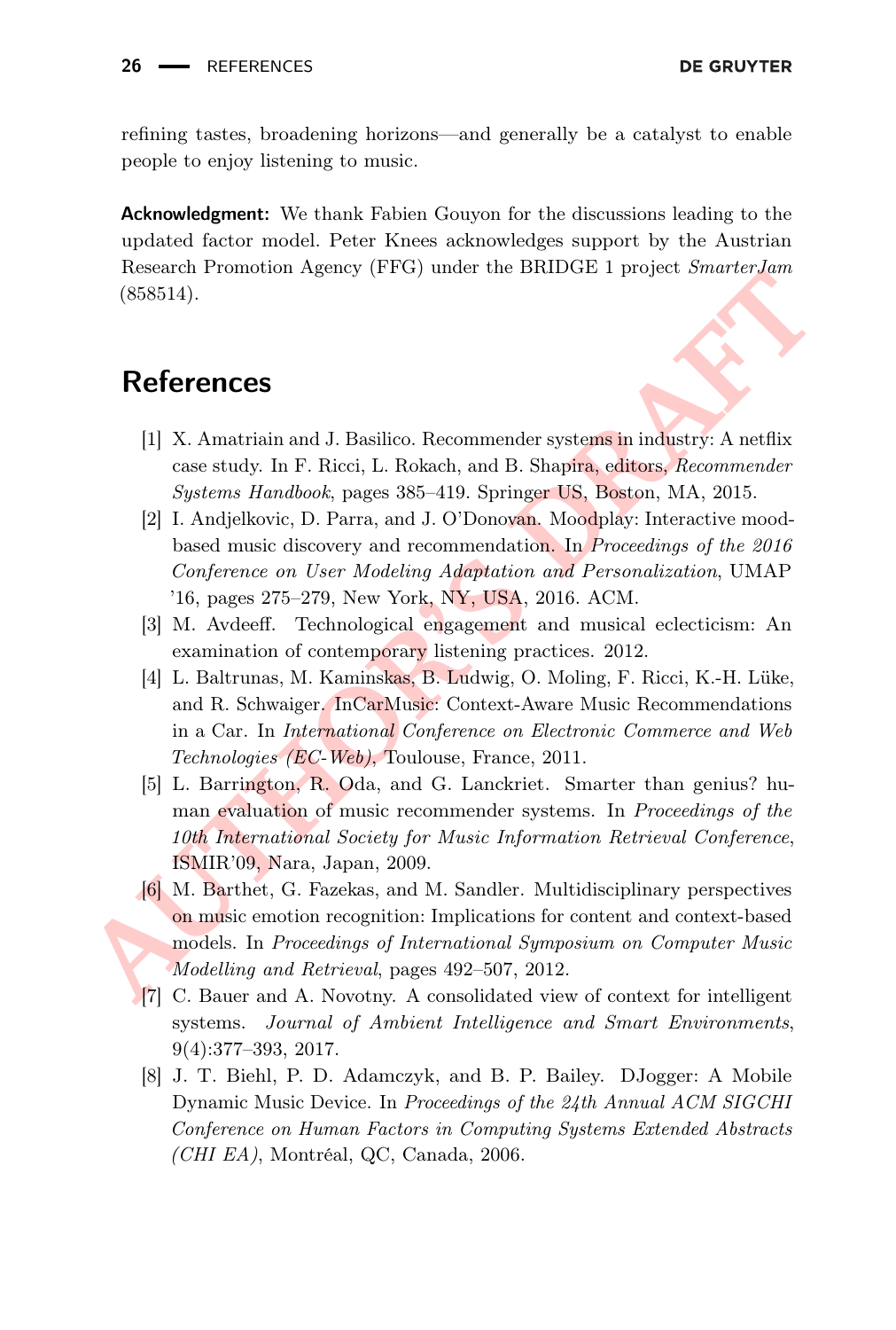refining tastes, broadening horizons—and generally be a catalyst to enable people to enjoy listening to music.

Acknowledgment: We thank Fabien Gouyon for the discussions leading to the updated factor model. Peter Knees acknowledges support by the Austrian Research Promotion Agency (FFG) under the BRIDGE 1 project SmarterJam (858514).

## **References**

- <span id="page-25-0"></span>[1] X. Amatriain and J. Basilico. Recommender systems in industry: A netflix case study. In F. Ricci, L. Rokach, and B. Shapira, editors, Recommender Systems Handbook, pages 385–419. Springer US, Boston, MA, 2015.
- <span id="page-25-3"></span>[2] I. Andjelkovic, D. Parra, and J. O'Donovan. Moodplay: Interactive moodbased music discovery and recommendation. In Proceedings of the 2016 Conference on User Modeling Adaptation and Personalization, UMAP '16, pages 275–279, New York, NY, USA, 2016. ACM.
- <span id="page-25-6"></span>[3] M. Avdeeff. Technological engagement and musical eclecticism: An examination of contemporary listening practices. 2012.
- <span id="page-25-5"></span>[4] L. Baltrunas, M. Kaminskas, B. Ludwig, O. Moling, F. Ricci, K.-H. Lüke, and R. Schwaiger. InCarMusic: Context-Aware Music Recommendations in a Car. In International Conference on Electronic Commerce and Web Technologies (EC-Web), Toulouse, France, 2011.
- <span id="page-25-7"></span><span id="page-25-4"></span><span id="page-25-2"></span><span id="page-25-1"></span>[5] L. Barrington, R. Oda, and G. Lanckriet. Smarter than genius? human evaluation of music recommender systems. In Proceedings of the 10th International Society for Music Information Retrieval Conference, ISMIR'09, Nara, Japan, 2009.
- (858514).<br> **ALTER CONDUCTS CONSIGNATION** (858514).<br> **ALTER CONDUCTS CONDUCT** (1995). The Reservoirs and B. Baspine, editors, *Facementer cases statys, In T. Rick, L. Robech, and B.* Shapine, coltors, *Facementer Systems Ha* [6] M. Barthet, G. Fazekas, and M. Sandler. Multidisciplinary perspectives on music emotion recognition: Implications for content and context-based models. In Proceedings of International Symposium on Computer Music Modelling and Retrieval, pages 492–507, 2012.
	- [7] C. Bauer and A. Novotny. A consolidated view of context for intelligent systems. Journal of Ambient Intelligence and Smart Environments, 9(4):377–393, 2017.
	- [8] J. T. Biehl, P. D. Adamczyk, and B. P. Bailey. DJogger: A Mobile Dynamic Music Device. In Proceedings of the 24th Annual ACM SIGCHI Conference on Human Factors in Computing Systems Extended Abstracts (CHI EA), Montréal, QC, Canada, 2006.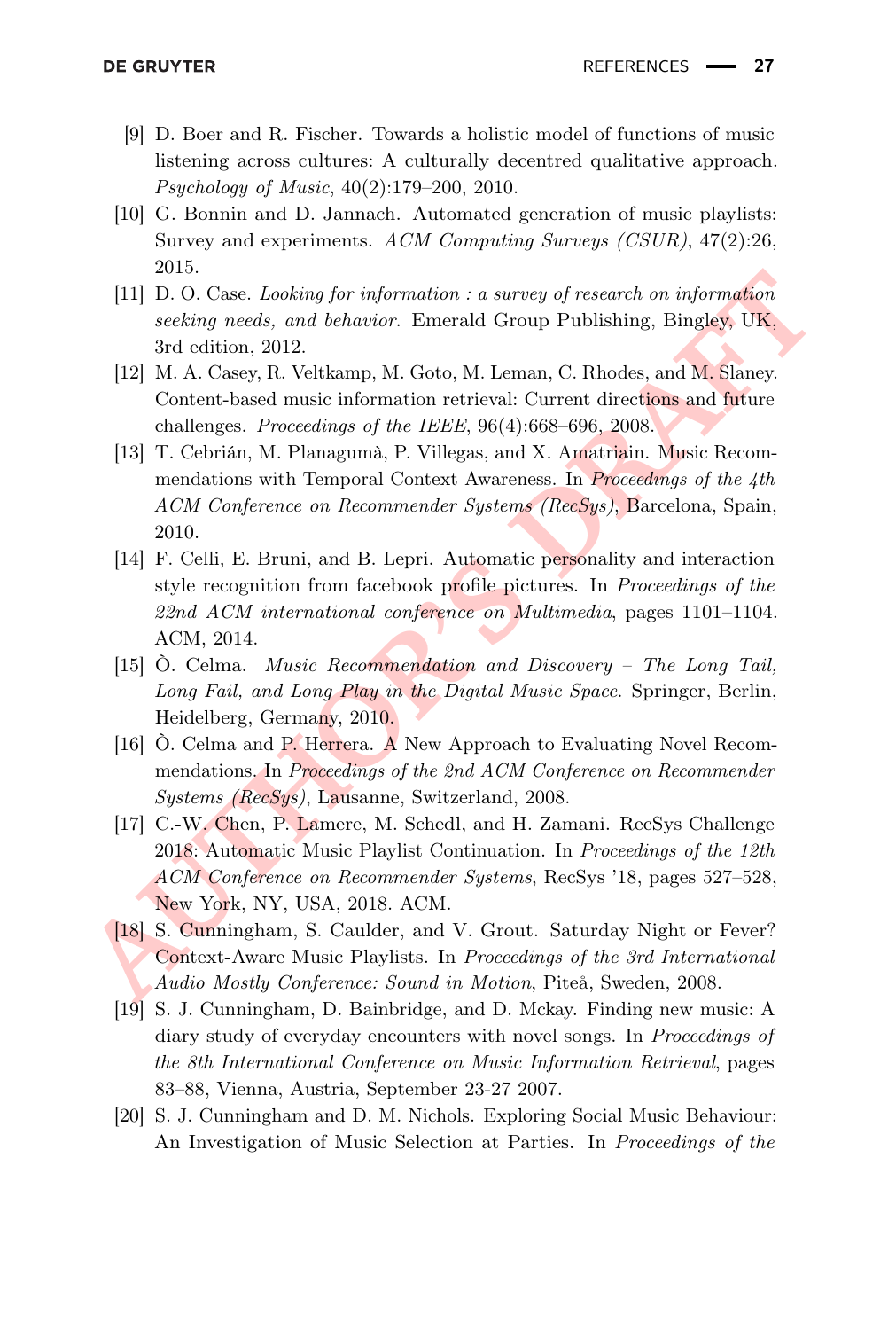- <span id="page-26-8"></span>[9] D. Boer and R. Fischer. Towards a holistic model of functions of music listening across cultures: A culturally decentred qualitative approach. Psychology of Music, 40(2):179–200, 2010.
- <span id="page-26-6"></span>[10] G. Bonnin and D. Jannach. Automated generation of music playlists: Survey and experiments. ACM Computing Surveys (CSUR), 47(2):26, 2015.
- <span id="page-26-10"></span>[11] D. O. Case. Looking for information : a survey of research on information seeking needs, and behavior. Emerald Group Publishing, Bingley, UK, 3rd edition, 2012.
- <span id="page-26-1"></span>[12] M. A. Casey, R. Veltkamp, M. Goto, M. Leman, C. Rhodes, and M. Slaney. Content-based music information retrieval: Current directions and future challenges. Proceedings of the IEEE, 96(4):668–696, 2008.
- <span id="page-26-4"></span>[13] T. Cebrián, M. Planagumà, P. Villegas, and X. Amatriain. Music Recommendations with Temporal Context Awareness. In *Proceedings of the 4th* ACM Conference on Recommender Systems (RecSys), Barcelona, Spain, 2010.
- <span id="page-26-3"></span>[14] F. Celli, E. Bruni, and B. Lepri. Automatic personality and interaction style recognition from facebook profile pictures. In Proceedings of the  $22nd$  ACM international conference on Multimedia, pages 1101–1104. ACM, 2014.
- <span id="page-26-0"></span>[15] Ò. Celma. Music Recommendation and Discovery – The Long Tail, Long Fail, and Long Play in the Digital Music Space. Springer, Berlin, Heidelberg, Germany, 2010.
- <span id="page-26-11"></span><span id="page-26-9"></span><span id="page-26-7"></span><span id="page-26-5"></span><span id="page-26-2"></span>[16]  $\dot{O}$ . Celma and P. Herrera. A New Approach to Evaluating Novel Recommendations. In Proceedings of the 2nd ACM Conference on Recommender Systems (RecSys), Lausanne, Switzerland, 2008.
- 1010. Case. Looking for information: a survey of research on information<br>secking needs, and behavior. Emerald Group Publishing, Bingley, UK,<br>3rd edition, 2012.<br>
121 M. A. Casey, R. Veltkamp, M. Goto, M. Leman, C. Rhodes, [17] C.-W. Chen, P. Lamere, M. Schedl, and H. Zamani. RecSys Challenge 2018: Automatic Music Playlist Continuation. In Proceedings of the 12th ACM Conference on Recommender Systems, RecSys '18, pages 527–528, New York, NY, USA, 2018. ACM.
	- [18] S. Cunningham, S. Caulder, and V. Grout. Saturday Night or Fever? Context-Aware Music Playlists. In Proceedings of the 3rd International Audio Mostly Conference: Sound in Motion, Piteå, Sweden, 2008.
	- [19] S. J. Cunningham, D. Bainbridge, and D. Mckay. Finding new music: A diary study of everyday encounters with novel songs. In Proceedings of the 8th International Conference on Music Information Retrieval, pages 83–88, Vienna, Austria, September 23-27 2007.
	- [20] S. J. Cunningham and D. M. Nichols. Exploring Social Music Behaviour: An Investigation of Music Selection at Parties. In Proceedings of the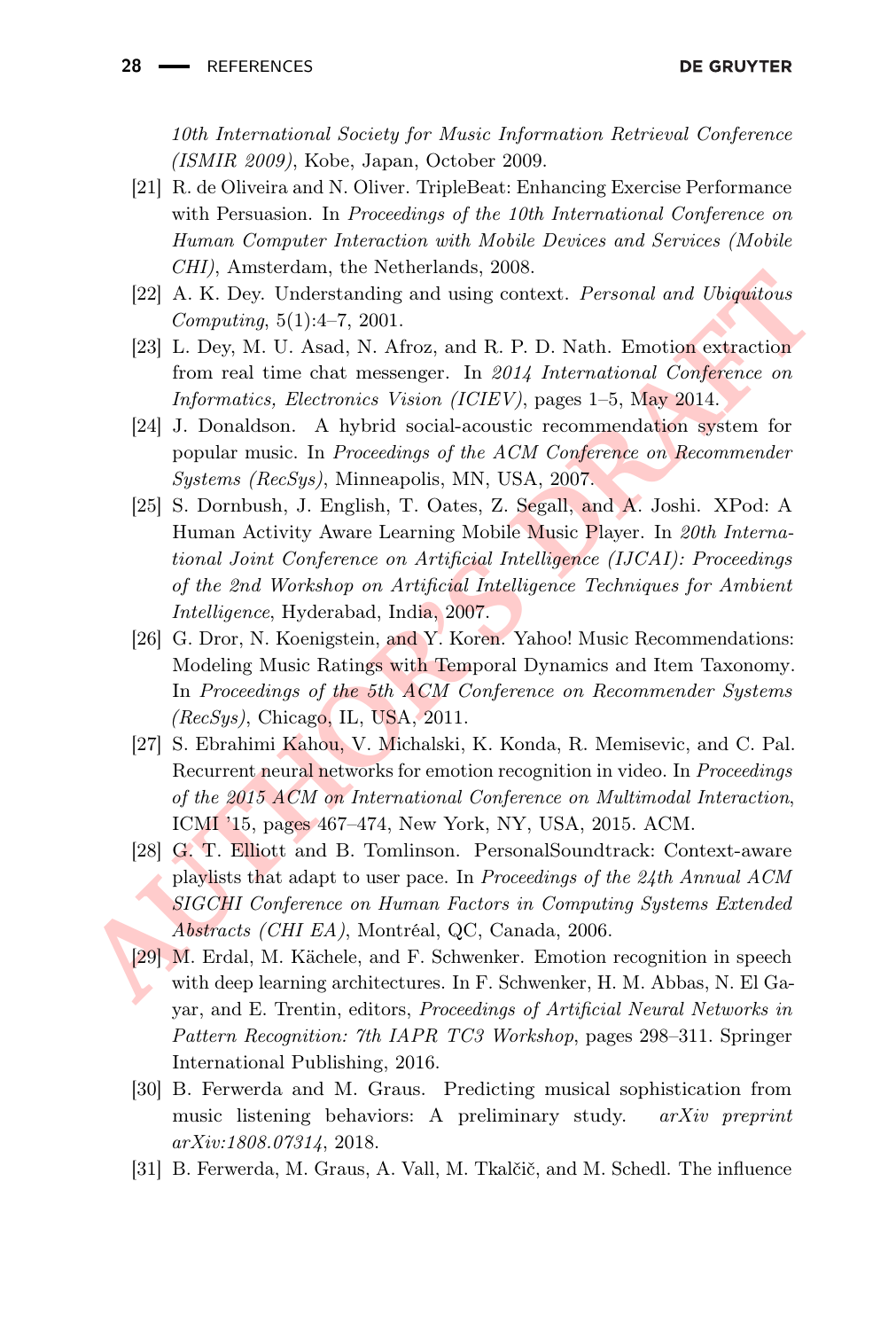10th International Society for Music Information Retrieval Conference (ISMIR 2009), Kobe, Japan, October 2009.

- <span id="page-27-10"></span>[21] R. de Oliveira and N. Oliver. TripleBeat: Enhancing Exercise Performance with Persuasion. In Proceedings of the 10th International Conference on Human Computer Interaction with Mobile Devices and Services (Mobile CHI), Amsterdam, the Netherlands, 2008.
- <span id="page-27-4"></span>[22] A. K. Dey. Understanding and using context. Personal and Ubiquitous Computing, 5(1):4–7, 2001.
- <span id="page-27-5"></span>[23] L. Dey, M. U. Asad, N. Afroz, and R. P. D. Nath. Emotion extraction from real time chat messenger. In 2014 International Conference on Informatics, Electronics Vision (ICIEV), pages 1–5, May 2014.
- <span id="page-27-9"></span><span id="page-27-8"></span><span id="page-27-7"></span><span id="page-27-6"></span><span id="page-27-3"></span><span id="page-27-2"></span><span id="page-27-1"></span><span id="page-27-0"></span>[24] J. Donaldson. A hybrid social-acoustic recommendation system for popular music. In Proceedings of the ACM Conference on Recommender Systems (RecSys), Minneapolis, MN, USA, 2007.
- 221 A. K. Dey. Understanding and using context. *Personal and Ubigations*<br>
221 A. K. Dey. Understanding and using context. *Personal and Ubigations*<br>
231 L. Dey, M. U. Asad, N. Arioz, and R. P. D. Nath. Emotion extraction [25] S. Dornbush, J. English, T. Oates, Z. Segall, and A. Joshi. XPod: A Human Activity Aware Learning Mobile Music Player. In 20th International Joint Conference on Artificial Intelligence (IJCAI): Proceedings of the 2nd Workshop on Artificial Intelligence Techniques for Ambient Intelligence, Hyderabad, India, 2007.
	- [26] G. Dror, N. Koenigstein, and Y. Koren. Yahoo! Music Recommendations: Modeling Music Ratings with Temporal Dynamics and Item Taxonomy. In Proceedings of the 5th ACM Conference on Recommender Systems  $(RecSys)$ , Chicago, IL, USA, 2011.
	- [27] S. Ebrahimi Kahou, V. Michalski, K. Konda, R. Memisevic, and C. Pal. Recurrent neural networks for emotion recognition in video. In Proceedings of the 2015 ACM on International Conference on Multimodal Interaction, ICMI '15, pages 467–474, New York, NY, USA, 2015. ACM.
	- [28] G. T. Elliott and B. Tomlinson. PersonalSoundtrack: Context-aware playlists that adapt to user pace. In Proceedings of the 24th Annual ACM SIGCHI Conference on Human Factors in Computing Systems Extended Abstracts (CHI EA), Montréal, QC, Canada, 2006.
	- [29] M. Erdal, M. Kächele, and F. Schwenker. Emotion recognition in speech with deep learning architectures. In F. Schwenker, H. M. Abbas, N. El Gayar, and E. Trentin, editors, Proceedings of Artificial Neural Networks in Pattern Recognition: 7th IAPR TC3 Workshop, pages 298–311. Springer International Publishing, 2016.
	- [30] B. Ferwerda and M. Graus. Predicting musical sophistication from music listening behaviors: A preliminary study. arXiv preprint arXiv:1808.07314, 2018.
	- [31] B. Ferwerda, M. Graus, A. Vall, M. Tkalčič, and M. Schedl. The influence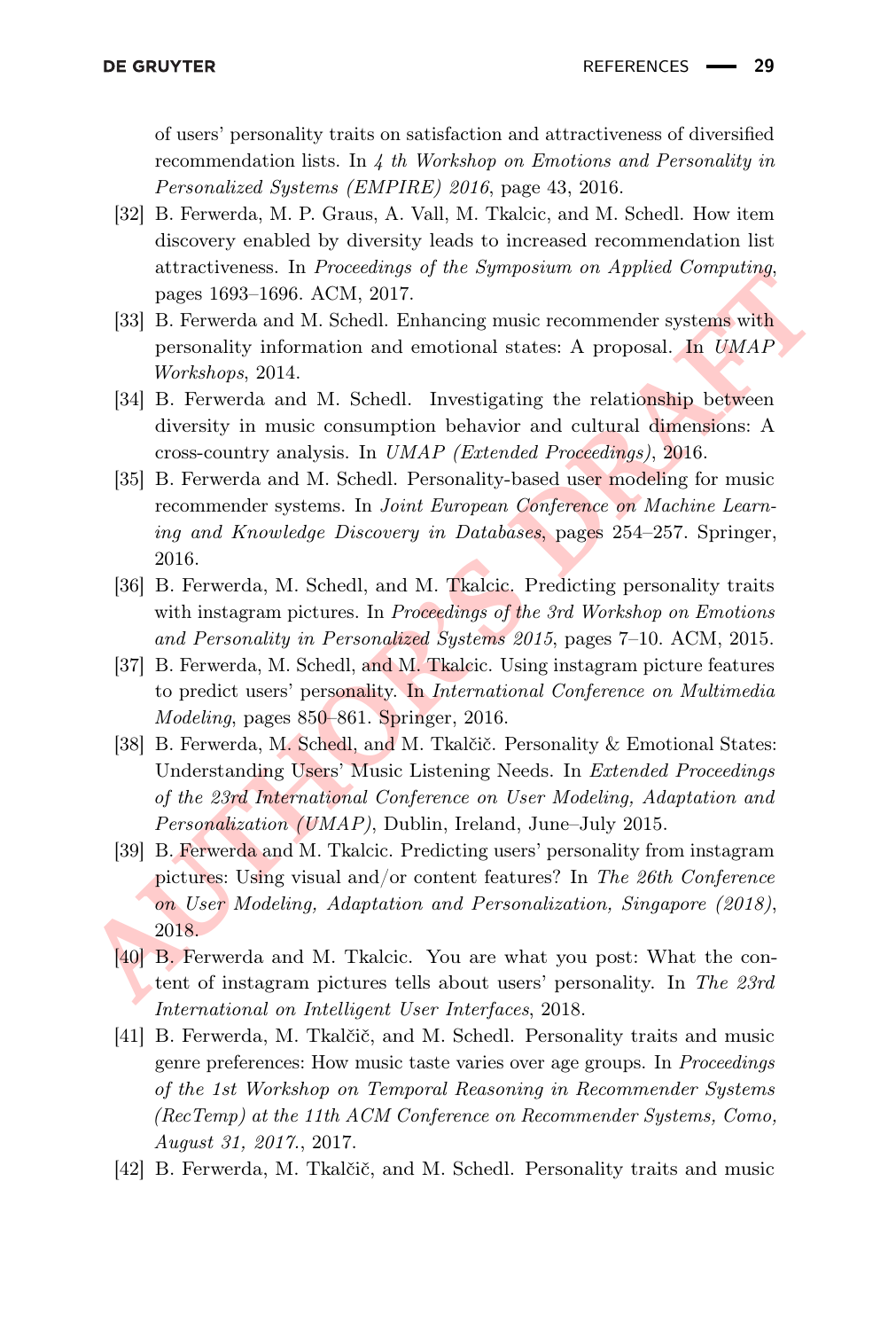of users' personality traits on satisfaction and attractiveness of diversified recommendation lists. In 4 th Workshop on Emotions and Personality in Personalized Systems (EMPIRE) 2016, page 43, 2016.

- <span id="page-28-10"></span>[32] B. Ferwerda, M. P. Graus, A. Vall, M. Tkalcic, and M. Schedl. How item discovery enabled by diversity leads to increased recommendation list attractiveness. In Proceedings of the Symposium on Applied Computing, pages 1693–1696. ACM, 2017.
- <span id="page-28-3"></span>[33] B. Ferwerda and M. Schedl. Enhancing music recommender systems with personality information and emotional states: A proposal. In UMAP Workshops, 2014.
- <span id="page-28-9"></span><span id="page-28-8"></span><span id="page-28-7"></span><span id="page-28-6"></span><span id="page-28-5"></span><span id="page-28-4"></span><span id="page-28-2"></span><span id="page-28-1"></span><span id="page-28-0"></span>[34] B. Ferwerda and M. Schedl. Investigating the relationship between diversity in music consumption behavior and cultural dimensions: A cross-country analysis. In UMAP (Extended Proceedings), 2016.
- Authrigan Internals: The Stationary of the Sylven Comparison (1983).<br>
1831 B. Ferwerda and M. Schedl. Enhancing music recommender systems with<br>
personality information and emotional states: A proposal. In UMAP<br>
1841 B. Fer [35] B. Ferwerda and M. Schedl. Personality-based user modeling for music recommender systems. In *Joint European Conference on Machine Learn*ing and Knowledge Discovery in Databases, pages 254–257. Springer, 2016.
	- [36] B. Ferwerda, M. Schedl, and M. Tkalcic. Predicting personality traits with instagram pictures. In Proceedings of the 3rd Workshop on Emotions and Personality in Personalized Systems 2015, pages 7–10. ACM, 2015.
	- [37] B. Ferwerda, M. Schedl, and M. Tkalcic. Using instagram picture features to predict users' personality. In International Conference on Multimedia Modeling, pages 850–861. Springer, 2016.
	- [38] B. Ferwerda, M. Schedl, and M. Tkalčič. Personality & Emotional States: Understanding Users' Music Listening Needs. In Extended Proceedings of the 23rd International Conference on User Modeling, Adaptation and Personalization (UMAP), Dublin, Ireland, June–July 2015.
	- [39] B. Ferwerda and M. Tkalcic. Predicting users' personality from instagram pictures: Using visual and/or content features? In The 26th Conference on User Modeling, Adaptation and Personalization, Singapore (2018), 2018.
	- [40] B. Ferwerda and M. Tkalcic. You are what you post: What the content of instagram pictures tells about users' personality. In The 23rd International on Intelligent User Interfaces, 2018.
	- [41] B. Ferwerda, M. Tkalčič, and M. Schedl. Personality traits and music genre preferences: How music taste varies over age groups. In Proceedings of the 1st Workshop on Temporal Reasoning in Recommender Systems (RecTemp) at the 11th ACM Conference on Recommender Systems, Como, August 31, 2017., 2017.
	- [42] B. Ferwerda, M. Tkalčič, and M. Schedl. Personality traits and music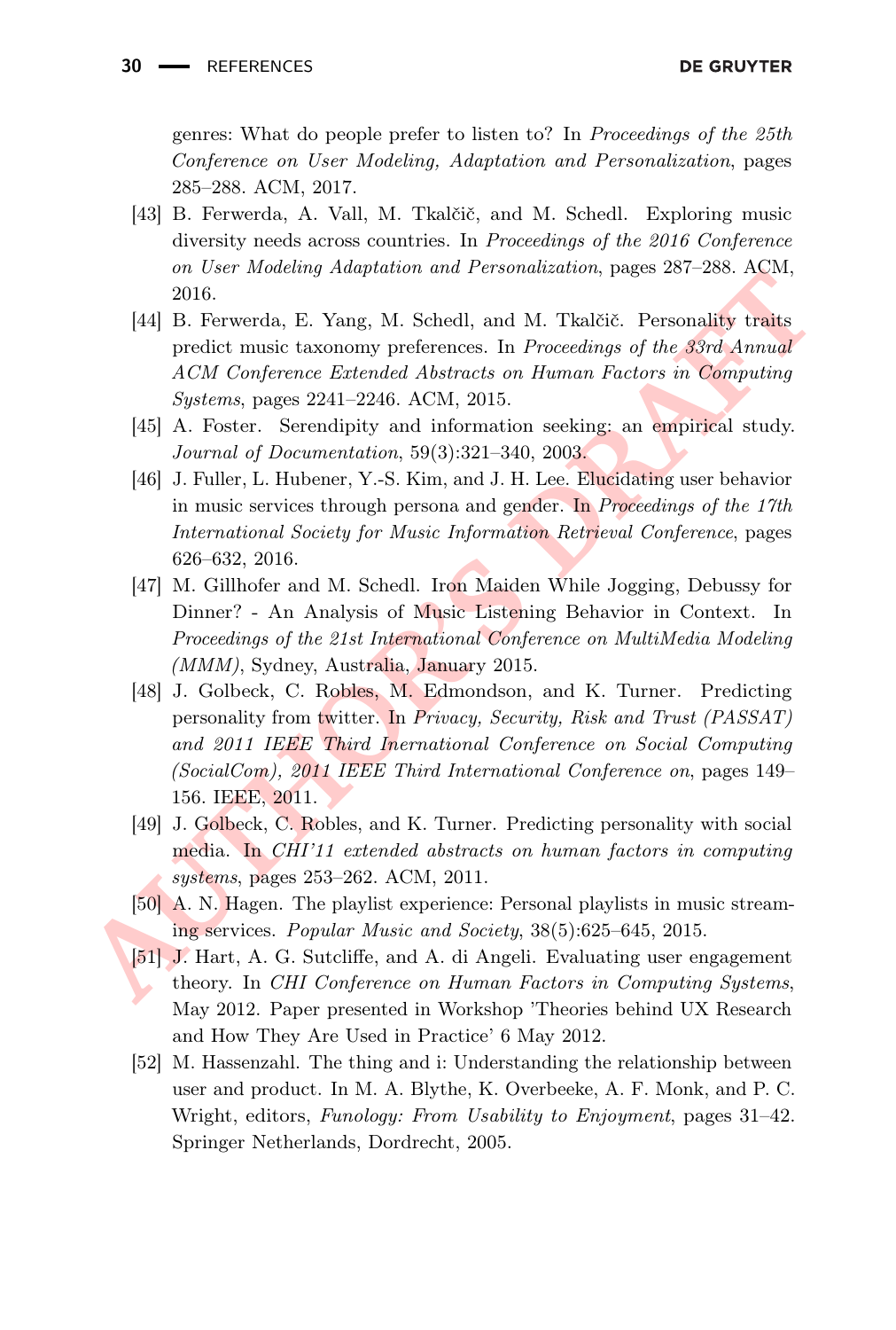genres: What do people prefer to listen to? In Proceedings of the 25th Conference on User Modeling, Adaptation and Personalization, pages 285–288. ACM, 2017.

- <span id="page-29-1"></span>[43] B. Ferwerda, A. Vall, M. Tkalčič, and M. Schedl. Exploring music diversity needs across countries. In Proceedings of the 2016 Conference on User Modeling Adaptation and Personalization, pages 287–288. ACM, 2016.
- <span id="page-29-0"></span>[44] B. Ferwerda, E. Yang, M. Schedl, and M. Tkalčič. Personality traits predict music taxonomy preferences. In Proceedings of the 33rd Annual ACM Conference Extended Abstracts on Human Factors in Computing Systems, pages 2241–2246. ACM, 2015.
- <span id="page-29-5"></span>[45] A. Foster. Serendipity and information seeking: an empirical study. Journal of Documentation, 59(3):321–340, 2003.
- <span id="page-29-7"></span>[46] J. Fuller, L. Hubener, Y.-S. Kim, and J. H. Lee. Elucidating user behavior in music services through persona and gender. In Proceedings of the 17th International Society for Music Information Retrieval Conference, pages 626–632, 2016.
- <span id="page-29-9"></span><span id="page-29-8"></span><span id="page-29-6"></span><span id="page-29-4"></span><span id="page-29-3"></span><span id="page-29-2"></span>[47] M. Gillhofer and M. Schedl. Iron Maiden While Jogging, Debussy for Dinner? - An Analysis of Music Listening Behavior in Context. In Proceedings of the 21st International Conference on MultiMedia Modeling (MMM), Sydney, Australia, January 2015.
- 2016.<br>
2016.<br>
2016.<br>
2016.<br>
2016.<br>
2016.<br>
2016.<br>
2016.<br>
2016.<br>
2016.<br>
2016.<br>
2016.<br>
2016.<br>
2016.<br>
2016.<br>
2016.<br>
2016.<br>
2016.<br>
2016.<br>
2016.<br>
2016.<br>
2016.<br>
2016.<br>
2016.<br>
2016.<br>
2016.<br>
2016.<br>
2016.<br>
2016.<br>
2016.<br>
2016.<br>
2016. [48] J. Golbeck, C. Robles, M. Edmondson, and K. Turner. Predicting personality from twitter. In Privacy, Security, Risk and Trust (PASSAT) and 2011 IEEE Third Inernational Conference on Social Computing (SocialCom),  $2011$  IEEE Third International Conference on, pages 149– 156. IEEE, 2011.
	- [49] J. Golbeck, C. Robles, and K. Turner. Predicting personality with social media. In CHI'11 extended abstracts on human factors in computing systems, pages 253–262. ACM, 2011.
	- [50] A. N. Hagen. The playlist experience: Personal playlists in music streaming services. Popular Music and Society, 38(5):625–645, 2015.
	- [51] J. Hart, A. G. Sutcliffe, and A. di Angeli. Evaluating user engagement theory. In CHI Conference on Human Factors in Computing Systems, May 2012. Paper presented in Workshop 'Theories behind UX Research and How They Are Used in Practice' 6 May 2012.
	- [52] M. Hassenzahl. The thing and i: Understanding the relationship between user and product. In M. A. Blythe, K. Overbeeke, A. F. Monk, and P. C. Wright, editors, Funology: From Usability to Enjoyment, pages  $31-42$ . Springer Netherlands, Dordrecht, 2005.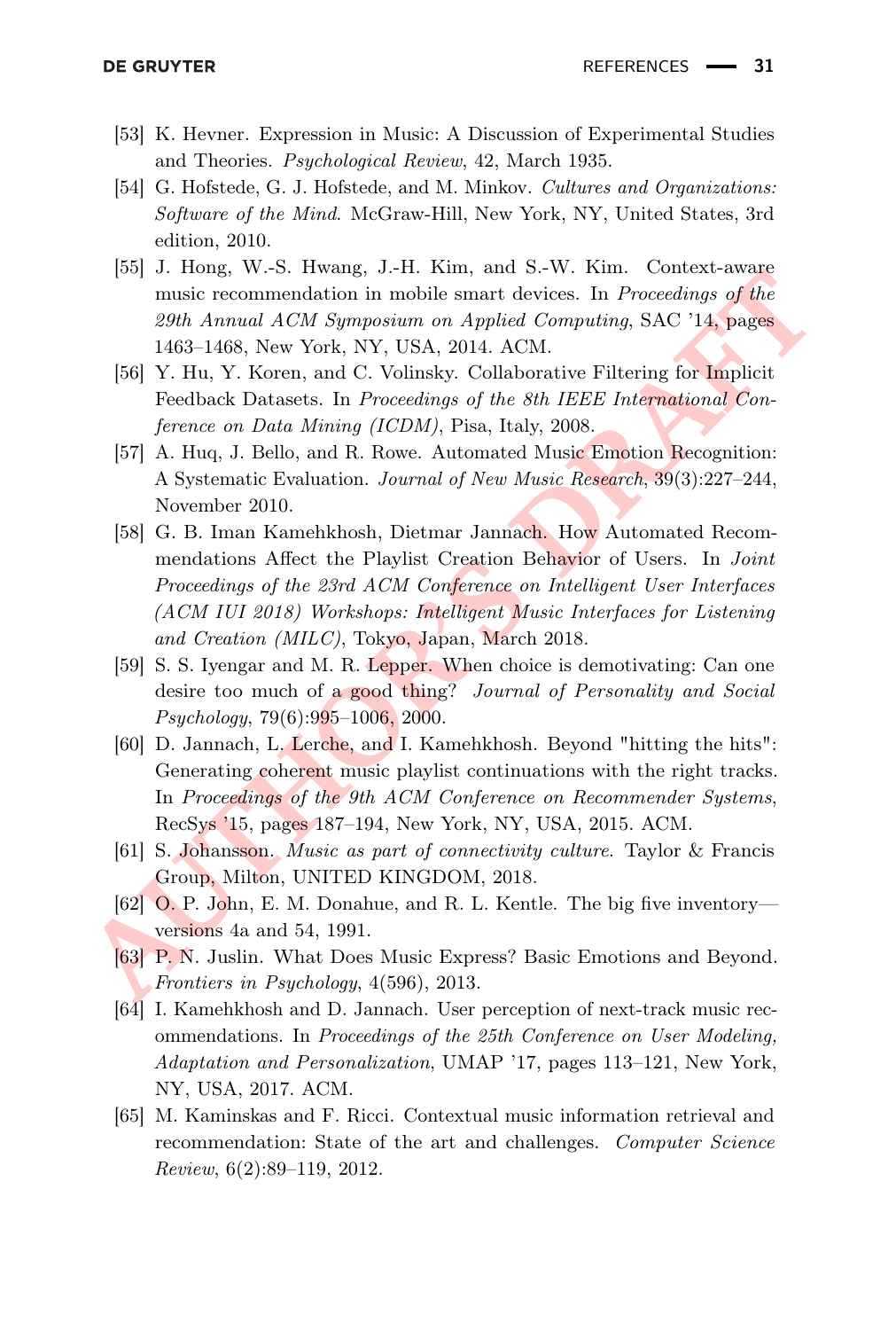- <span id="page-30-6"></span>[53] K. Hevner. Expression in Music: A Discussion of Experimental Studies and Theories. Psychological Review, 42, March 1935.
- <span id="page-30-4"></span>[54] G. Hofstede, G. J. Hofstede, and M. Minkov. Cultures and Organizations: Software of the Mind. McGraw-Hill, New York, NY, United States, 3rd edition, 2010.
- <span id="page-30-8"></span>[55] J. Hong, W.-S. Hwang, J.-H. Kim, and S.-W. Kim. Context-aware music recommendation in mobile smart devices. In Proceedings of the 29th Annual ACM Symposium on Applied Computing, SAC '14, pages 1463–1468, New York, NY, USA, 2014. ACM.
- <span id="page-30-1"></span>[56] Y. Hu, Y. Koren, and C. Volinsky. Collaborative Filtering for Implicit Feedback Datasets. In Proceedings of the 8th IEEE International Conference on Data Mining (ICDM), Pisa, Italy, 2008.
- <span id="page-30-12"></span><span id="page-30-11"></span><span id="page-30-10"></span><span id="page-30-9"></span><span id="page-30-7"></span><span id="page-30-5"></span><span id="page-30-3"></span><span id="page-30-2"></span><span id="page-30-0"></span>[57] A. Huq, J. Bello, and R. Rowe. Automated Music Emotion Recognition: A Systematic Evaluation. Journal of New Music Research, 39(3):227–244, November 2010.
- 1001 Consideration and D.C. Theory, Westermann Consideration in mobile smart devices. In Proceedings of the<br>29th Annual ACM Symposium on Applied Computing, SAC 11, pages<br>1463–1468, New York, NY, USA, 2014. ACM.<br>1667–1678, [58] G. B. Iman Kamehkhosh, Dietmar Jannach. How Automated Recommendations Affect the Playlist Creation Behavior of Users. In Joint Proceedings of the 23rd ACM Conference on Intelligent User Interfaces (ACM IUI 2018) Workshops: Intelligent Music Interfaces for Listening and Creation (MILC), Tokyo, Japan, March 2018.
	- [59] S. S. Iyengar and M. R. Lepper. When choice is demotivating: Can one desire too much of a good thing? Journal of Personality and Social Psychology, 79(6):995–1006, 2000.
	- [60] D. Jannach, L. Lerche, and I. Kamehkhosh. Beyond "hitting the hits": Generating coherent music playlist continuations with the right tracks. In Proceedings of the 9th ACM Conference on Recommender Systems, RecSys '15, pages 187–194, New York, NY, USA, 2015. ACM.
	- [61] S. Johansson. Music as part of connectivity culture. Taylor & Francis Group, Milton, UNITED KINGDOM, 2018.
	- [62] O. P. John, E. M. Donahue, and R. L. Kentle. The big five inventory versions 4a and 54, 1991.
	- [63] P. N. Juslin. What Does Music Express? Basic Emotions and Beyond. Frontiers in Psychology, 4(596), 2013.
	- [64] I. Kamehkhosh and D. Jannach. User perception of next-track music recommendations. In Proceedings of the 25th Conference on User Modeling, Adaptation and Personalization, UMAP '17, pages 113–121, New York, NY, USA, 2017. ACM.
	- [65] M. Kaminskas and F. Ricci. Contextual music information retrieval and recommendation: State of the art and challenges. Computer Science Review, 6(2):89–119, 2012.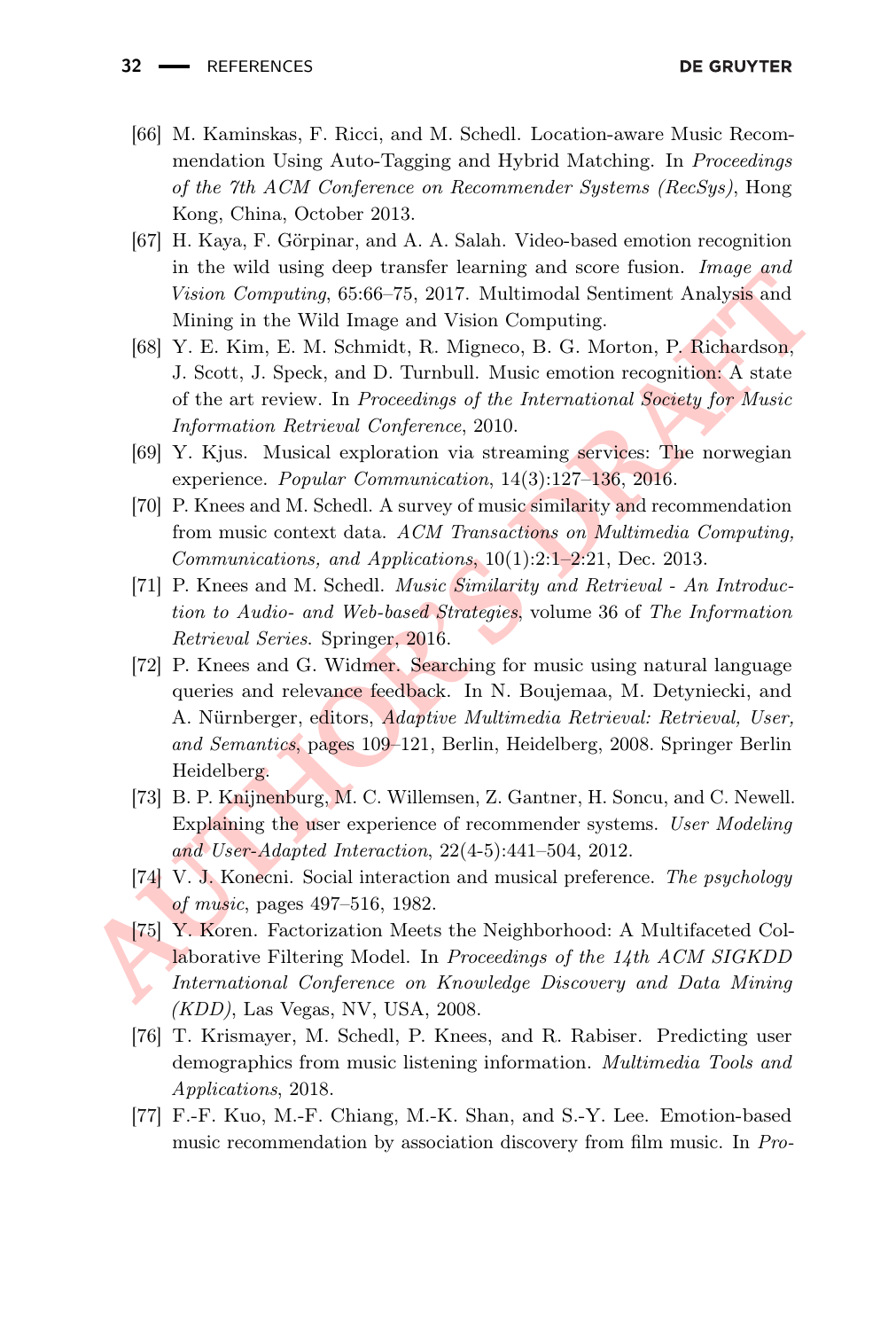- <span id="page-31-5"></span>[66] M. Kaminskas, F. Ricci, and M. Schedl. Location-aware Music Recommendation Using Auto-Tagging and Hybrid Matching. In *Proceedings* of the 7th ACM Conference on Recommender Systems (RecSys), Hong Kong, China, October 2013.
- <span id="page-31-7"></span>[67] H. Kaya, F. Görpinar, and A. A. Salah. Video-based emotion recognition in the wild using deep transfer learning and score fusion. Image and Vision Computing, 65:66–75, 2017. Multimodal Sentiment Analysis and Mining in the Wild Image and Vision Computing.
- <span id="page-31-8"></span>[68] Y. E. Kim, E. M. Schmidt, R. Migneco, B. G. Morton, P. Richardson, J. Scott, J. Speck, and D. Turnbull. Music emotion recognition: A state of the art review. In Proceedings of the International Society for Music Information Retrieval Conference, 2010.
- <span id="page-31-10"></span>[69] Y. Kjus. Musical exploration via streaming services: The norwegian experience. Popular Communication, 14(3):127–136, 2016.
- <span id="page-31-0"></span>[70] P. Knees and M. Schedl. A survey of music similarity and recommendation from music context data. ACM Transactions on Multimedia Computing, Communications, and Applications, 10(1):2:1–2:21, Dec. 2013.
- <span id="page-31-11"></span><span id="page-31-9"></span><span id="page-31-6"></span><span id="page-31-4"></span><span id="page-31-3"></span><span id="page-31-2"></span><span id="page-31-1"></span>[71] P. Knees and M. Schedl. Music Similarity and Retrieval - An Introduction to Audio- and Web-based Strategies, volume 36 of The Information Retrieval Series. Springer, 2016.
- 1. For the Will Homes Gety Handers Heather, 1. Will image and Sixton Computing, 65:66-75, 2017. Multimodal Sentimert Analysis and Mining in the Wild Image and Vision Computing.<br>
[68] Y. E. Kim, E., M. Schenkt, R. Migneco, [72] P. Knees and G. Widmer. Searching for music using natural language queries and relevance feedback. In N. Boujemaa, M. Detyniecki, and A. Nürnberger, editors, Adaptive Multimedia Retrieval: Retrieval, User, and Semantics, pages 109–121, Berlin, Heidelberg, 2008. Springer Berlin Heidelberg.
	- [73] B. P. Knijnenburg, M. C. Willemsen, Z. Gantner, H. Soncu, and C. Newell. Explaining the user experience of recommender systems. User Modeling and User-Adapted Interaction, 22(4-5):441–504, 2012.
	- [74] V. J. Konecni. Social interaction and musical preference. The psychology of music, pages 497–516, 1982.
	- [75] Y. Koren. Factorization Meets the Neighborhood: A Multifaceted Collaborative Filtering Model. In Proceedings of the 14th ACM SIGKDD International Conference on Knowledge Discovery and Data Mining (KDD), Las Vegas, NV, USA, 2008.
	- [76] T. Krismayer, M. Schedl, P. Knees, and R. Rabiser. Predicting user demographics from music listening information. Multimedia Tools and Applications, 2018.
	- [77] F.-F. Kuo, M.-F. Chiang, M.-K. Shan, and S.-Y. Lee. Emotion-based music recommendation by association discovery from film music. In Pro-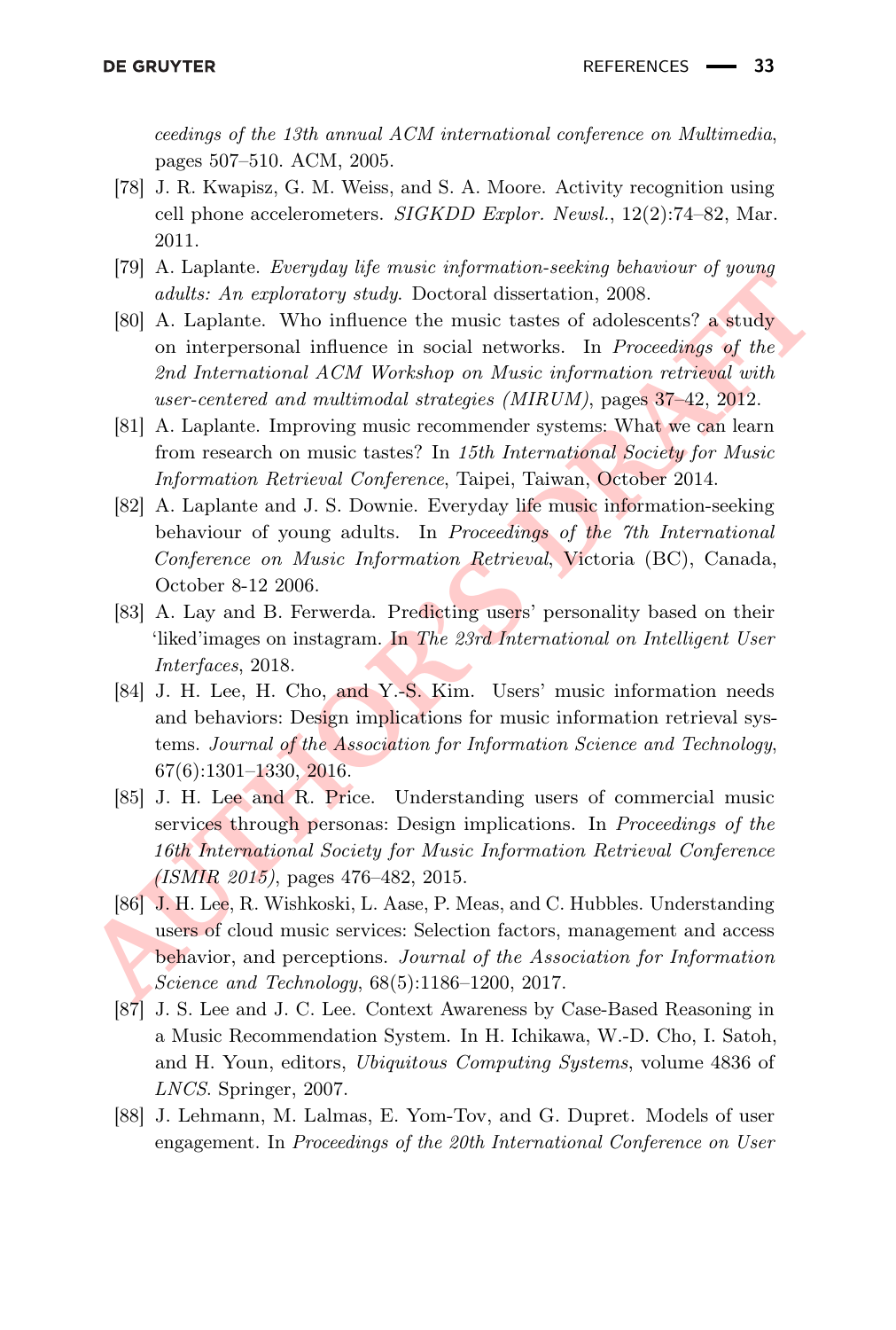ceedings of the 13th annual ACM international conference on Multimedia, pages 507–510. ACM, 2005.

- <span id="page-32-1"></span>[78] J. R. Kwapisz, G. M. Weiss, and S. A. Moore. Activity recognition using cell phone accelerometers. SIGKDD Explor. Newsl., 12(2):74–82, Mar. 2011.
- <span id="page-32-3"></span>[79] A. Laplante. Everyday life music information-seeking behaviour of young adults: An exploratory study. Doctoral dissertation, 2008.
- <span id="page-32-5"></span>[80] A. Laplante. Who influence the music tastes of adolescents? a study on interpersonal influence in social networks. In Proceedings of the 2nd International ACM Workshop on Music information retrieval with user-centered and multimodal strategies (MIRUM), pages 37–42, 2012.
- <span id="page-32-10"></span><span id="page-32-9"></span><span id="page-32-8"></span><span id="page-32-7"></span><span id="page-32-6"></span><span id="page-32-4"></span><span id="page-32-2"></span><span id="page-32-0"></span>[81] A. Laplante. Improving music recommender systems: What we can learn from research on music tastes? In 15th International Society for Music Information Retrieval Conference, Taipei, Taiwan, October 2014.
- 1741 Anglematic the planty of matter interesting particular in the planta and the plant interest and the multimede in social networks. In *Proceedings of the*<br>2nd Interesting matter as the plant of the matter of an interpr [82] A. Laplante and J. S. Downie. Everyday life music information-seeking behaviour of young adults. In Proceedings of the 7<sup>th</sup> International Conference on Music Information Retrieval, Victoria (BC), Canada, October 8-12 2006.
	- [83] A. Lay and B. Ferwerda. Predicting users' personality based on their 'liked'images on instagram. In The 23rd International on Intelligent User Interfaces, 2018.
	- [84] J. H. Lee, H. Cho, and Y.-S. Kim. Users' music information needs and behaviors: Design implications for music information retrieval systems. Journal of the Association for Information Science and Technology, 67(6):1301–1330, 2016.
	- [85] J. H. Lee and R. Price. Understanding users of commercial music services through personas: Design implications. In Proceedings of the 16th International Society for Music Information Retrieval Conference (ISMIR 2015), pages 476–482, 2015.
	- [86] J. H. Lee, R. Wishkoski, L. Aase, P. Meas, and C. Hubbles. Understanding users of cloud music services: Selection factors, management and access behavior, and perceptions. Journal of the Association for Information Science and Technology, 68(5):1186–1200, 2017.
	- [87] J. S. Lee and J. C. Lee. Context Awareness by Case-Based Reasoning in a Music Recommendation System. In H. Ichikawa, W.-D. Cho, I. Satoh, and H. Youn, editors, *Ubiquitous Computing Systems*, volume 4836 of LNCS. Springer, 2007.
	- [88] J. Lehmann, M. Lalmas, E. Yom-Tov, and G. Dupret. Models of user engagement. In Proceedings of the 20th International Conference on User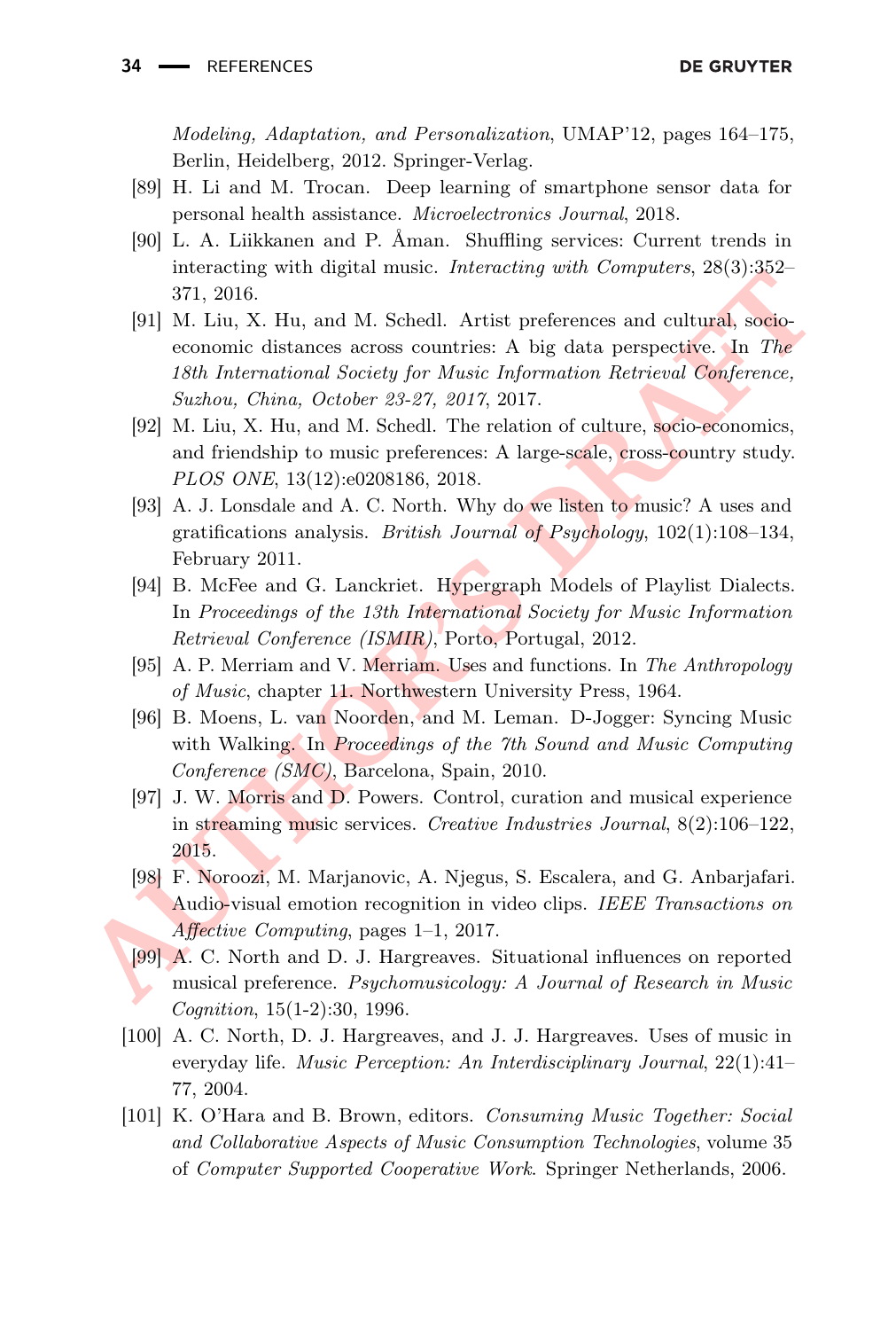Modeling, Adaptation, and Personalization, UMAP'12, pages 164–175, Berlin, Heidelberg, 2012. Springer-Verlag.

- <span id="page-33-9"></span>[89] H. Li and M. Trocan. Deep learning of smartphone sensor data for personal health assistance. Microelectronics Journal, 2018.
- <span id="page-33-11"></span>[90] L. A. Liikkanen and P. Åman. Shuffling services: Current trends in interacting with digital music. Interacting with Computers, 28(3):352– 371, 2016.
- <span id="page-33-12"></span><span id="page-33-10"></span><span id="page-33-8"></span><span id="page-33-7"></span><span id="page-33-6"></span><span id="page-33-5"></span><span id="page-33-4"></span><span id="page-33-3"></span><span id="page-33-2"></span><span id="page-33-1"></span><span id="page-33-0"></span>Fractional State The 18th International Society and Computers, 2003-00-<br> **AUTA Lin, X.** Hu, and M. Schell. Artist preferences and cultural, socio-<br>
economic distances accountries: A big data perspective. In The<br> *Bahrow, C* [91] M. Liu, X. Hu, and M. Schedl. Artist preferences and cultural, socioeconomic distances across countries: A big data perspective. In The 18th International Society for Music Information Retrieval Conference, Suzhou, China, October 23-27, 2017, 2017.
	- [92] M. Liu, X. Hu, and M. Schedl. The relation of culture, socio-economics, and friendship to music preferences: A large-scale, cross-country study. PLOS ONE, 13(12):e0208186, 2018.
	- [93] A. J. Lonsdale and A. C. North. Why do we listen to music? A uses and gratifications analysis. British Journal of Psychology,  $102(1):108-134$ , February 2011.
	- [94] B. McFee and G. Lanckriet. Hypergraph Models of Playlist Dialects. In Proceedings of the 13th International Society for Music Information Retrieval Conference (ISMIR), Porto, Portugal, 2012.
	- [95] A. P. Merriam and V. Merriam. Uses and functions. In The Anthropology of Music, chapter 11. Northwestern University Press, 1964.
	- [96] B. Moens, L. van Noorden, and M. Leman. D-Jogger: Syncing Music with Walking. In *Proceedings of the 7th Sound and Music Computing* Conference (SMC), Barcelona, Spain, 2010.
	- [97] J. W. Morris and D. Powers. Control, curation and musical experience in streaming music services. Creative Industries Journal, 8(2):106–122, 2015.
	- [98] F. Noroozi, M. Marjanovic, A. Njegus, S. Escalera, and G. Anbarjafari. Audio-visual emotion recognition in video clips. IEEE Transactions on Affective Computing, pages 1–1, 2017.
	- [99] A. C. North and D. J. Hargreaves. Situational influences on reported musical preference. Psychomusicology: A Journal of Research in Music Cognition, 15(1-2):30, 1996.
	- [100] A. C. North, D. J. Hargreaves, and J. J. Hargreaves. Uses of music in everyday life. Music Perception: An Interdisciplinary Journal, 22(1):41– 77, 2004.
	- [101] K. O'Hara and B. Brown, editors. Consuming Music Together: Social and Collaborative Aspects of Music Consumption Technologies, volume 35 of Computer Supported Cooperative Work. Springer Netherlands, 2006.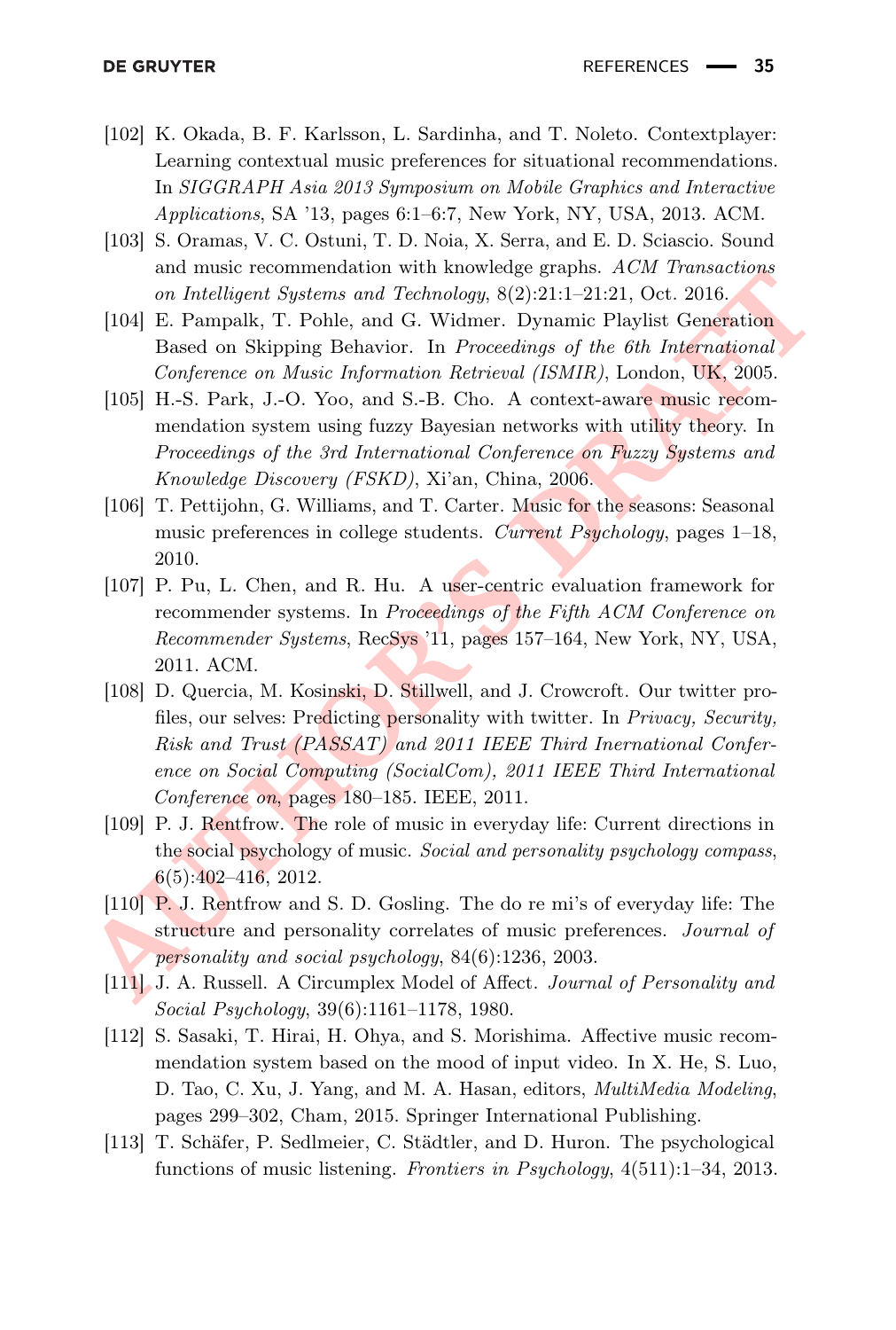- <span id="page-34-10"></span>[102] K. Okada, B. F. Karlsson, L. Sardinha, and T. Noleto. Contextplayer: Learning contextual music preferences for situational recommendations. In SIGGRAPH Asia 2013 Symposium on Mobile Graphics and Interactive Applications, SA '13, pages 6:1–6:7, New York, NY, USA, 2013. ACM.
- <span id="page-34-0"></span>[103] S. Oramas, V. C. Ostuni, T. D. Noia, X. Serra, and E. D. Sciascio. Sound and music recommendation with knowledge graphs. ACM Transactions on Intelligent Systems and Technology, 8(2):21:1–21:21, Oct. 2016.
- <span id="page-34-1"></span>[104] E. Pampalk, T. Pohle, and G. Widmer. Dynamic Playlist Generation Based on Skipping Behavior. In Proceedings of the 6th International Conference on Music Information Retrieval (ISMIR), London, UK, 2005.
- <span id="page-34-9"></span>[105] H.-S. Park, J.-O. Yoo, and S.-B. Cho. A context-aware music recommendation system using fuzzy Bayesian networks with utility theory. In Proceedings of the 3rd International Conference on Fuzzy Systems and Knowledge Discovery (FSKD), Xi'an, China, 2006.
- <span id="page-34-5"></span>[106] T. Pettijohn, G. Williams, and T. Carter. Music for the seasons: Seasonal music preferences in college students. Current Psychology, pages  $1-18$ , 2010.
- <span id="page-34-11"></span><span id="page-34-8"></span><span id="page-34-7"></span><span id="page-34-6"></span><span id="page-34-4"></span><span id="page-34-3"></span><span id="page-34-2"></span>[107] P. Pu, L. Chen, and R. Hu. A user-centric evaluation framework for recommender systems. In Proceedings of the Fifth ACM Conference on Recommender Systems, RecSys '11, pages 157–164, New York, NY, USA, 2011. ACM.
- and music reformation with interaction of the reformation of the methodogy,  $8(2):21:1-21:21$ , Oct. 2016,<br>
[104] E. Pampalk, T. Pohle, and G. Widmer. Dynamic Playlist Generation<br> *Conference on Music Information Retrieual (* [108] D. Quercia, M. Kosinski, D. Stillwell, and J. Crowcroft. Our twitter profiles, our selves: Predicting personality with twitter. In Privacy, Security, Risk and Trust (PASSAT) and 2011 IEEE Third Inernational Conference on Social Computing (SocialCom), 2011 IEEE Third International Conference on, pages 180–185. IEEE, 2011.
	- [109] P. J. Rentfrow. The role of music in everyday life: Current directions in the social psychology of music. Social and personality psychology compass, 6(5):402–416, 2012.
	- [110] P. J. Rentfrow and S. D. Gosling. The do re mi's of everyday life: The structure and personality correlates of music preferences. Journal of personality and social psychology, 84(6):1236, 2003.
	- [111] J. A. Russell. A Circumplex Model of Affect. Journal of Personality and Social Psychology, 39(6):1161–1178, 1980.
	- [112] S. Sasaki, T. Hirai, H. Ohya, and S. Morishima. Affective music recommendation system based on the mood of input video. In X. He, S. Luo, D. Tao, C. Xu, J. Yang, and M. A. Hasan, editors, *MultiMedia Modeling*, pages 299–302, Cham, 2015. Springer International Publishing.
	- [113] T. Schäfer, P. Sedlmeier, C. Städtler, and D. Huron. The psychological functions of music listening. Frontiers in Psychology, 4(511):1–34, 2013.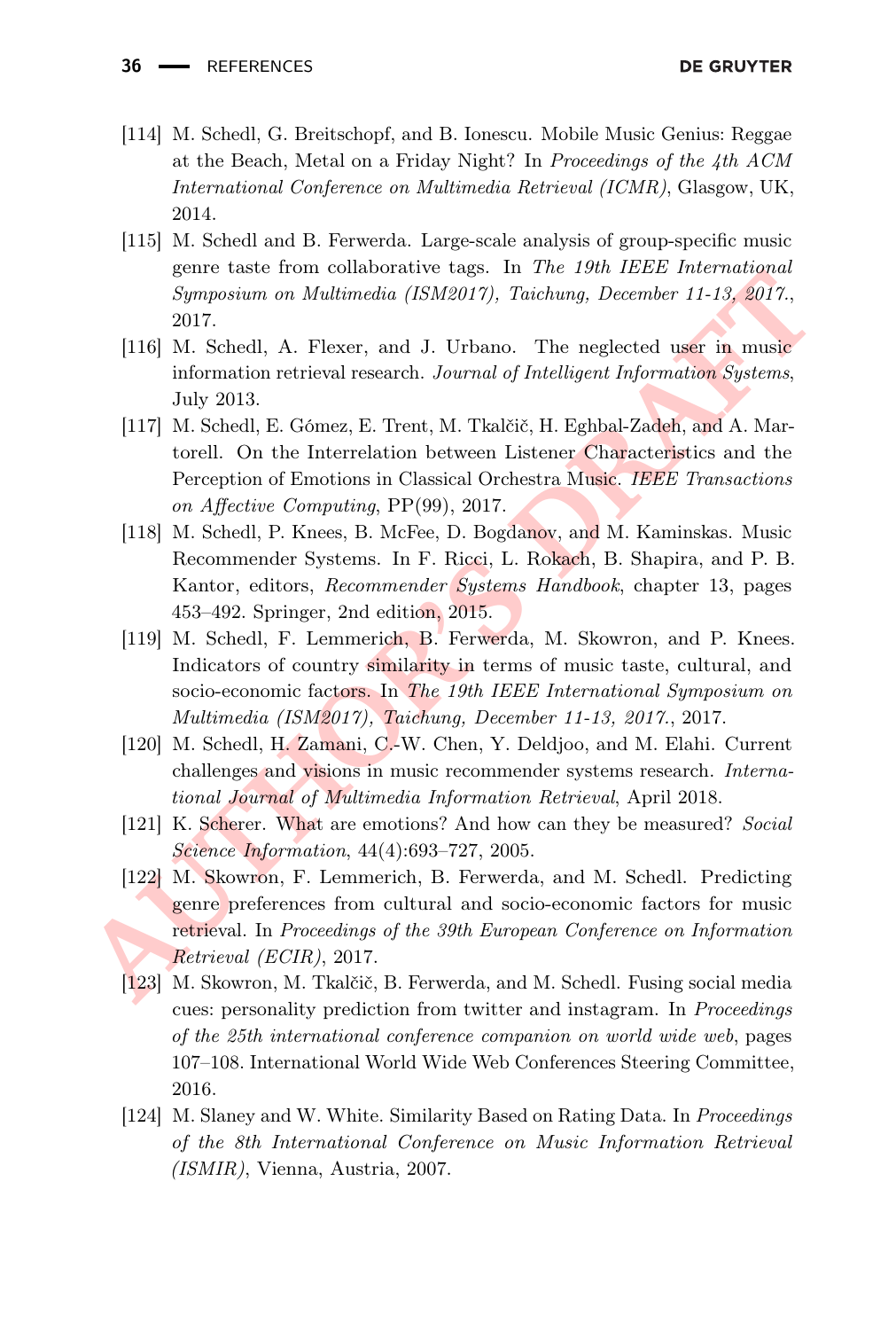- <span id="page-35-10"></span>[114] M. Schedl, G. Breitschopf, and B. Ionescu. Mobile Music Genius: Reggae at the Beach, Metal on a Friday Night? In Proceedings of the 4th ACM International Conference on Multimedia Retrieval (ICMR), Glasgow, UK, 2014.
- <span id="page-35-4"></span>[115] M. Schedl and B. Ferwerda. Large-scale analysis of group-specific music genre taste from collaborative tags. In The 19th IEEE International Symposium on Multimedia (ISM2017), Taichung, December 11-13, 2017., 2017.
- <span id="page-35-2"></span>[116] M. Schedl, A. Flexer, and J. Urbano. The neglected user in music information retrieval research. Journal of Intelligent Information Systems, July 2013.
- <span id="page-35-9"></span>[117] M. Schedl, E. Gómez, E. Trent, M. Tkalčič, H. Eghbal-Zadeh, and A. Martorell. On the Interrelation between Listener Characteristics and the Perception of Emotions in Classical Orchestra Music. IEEE Transactions on Affective Computing, PP(99), 2017.
- <span id="page-35-0"></span>[118] M. Schedl, P. Knees, B. McFee, D. Bogdanov, and M. Kaminskas. Music Recommender Systems. In F. Ricci, L. Rokach, B. Shapira, and P. B. Kantor, editors, Recommender Systems Handbook, chapter 13, pages 453–492. Springer, 2nd edition, 2015.
- <span id="page-35-5"></span>[119] M. Schedl, F. Lemmerich, B. Ferwerda, M. Skowron, and P. Knees. Indicators of country similarity in terms of music taste, cultural, and socio-economic factors. In The 19th IEEE International Symposium on Multimedia (ISM2017), Taichung, December 11-13, 2017., 2017.
- <span id="page-35-3"></span>[120] M. Schedl, H. Zamani, C.-W. Chen, Y. Deldjoo, and M. Elahi. Current challenges and visions in music recommender systems research. International Journal of Multimedia Information Retrieval, April 2018.
- <span id="page-35-8"></span><span id="page-35-7"></span><span id="page-35-6"></span><span id="page-35-1"></span>[121] K. Scherer. What are emotions? And how can they be measured? Social Science Information, 44(4):693-727, 2005.
- Example tasses root contained and *L* (*LSM2017)*, Taichung, December 11-13, 2017,<br>2017.<br>
Authoritative dialog (*LSM2017)*, Taichung, December 11-13, 2017,<br>
2017.<br>
2017.<br>
2017.<br>
2017.<br>
2017.<br>
2018.<br>
I ITô M. Scheld, A. Fle [122] M. Skowron, F. Lemmerich, B. Ferwerda, and M. Schedl. Predicting genre preferences from cultural and socio-economic factors for music retrieval. In Proceedings of the 39th European Conference on Information Retrieval (ECIR), 2017.
	- [123] M. Skowron, M. Tkalčič, B. Ferwerda, and M. Schedl. Fusing social media cues: personality prediction from twitter and instagram. In Proceedings of the 25th international conference companion on world wide web, pages 107–108. International World Wide Web Conferences Steering Committee, 2016.
	- [124] M. Slaney and W. White. Similarity Based on Rating Data. In Proceedings of the 8th International Conference on Music Information Retrieval (ISMIR), Vienna, Austria, 2007.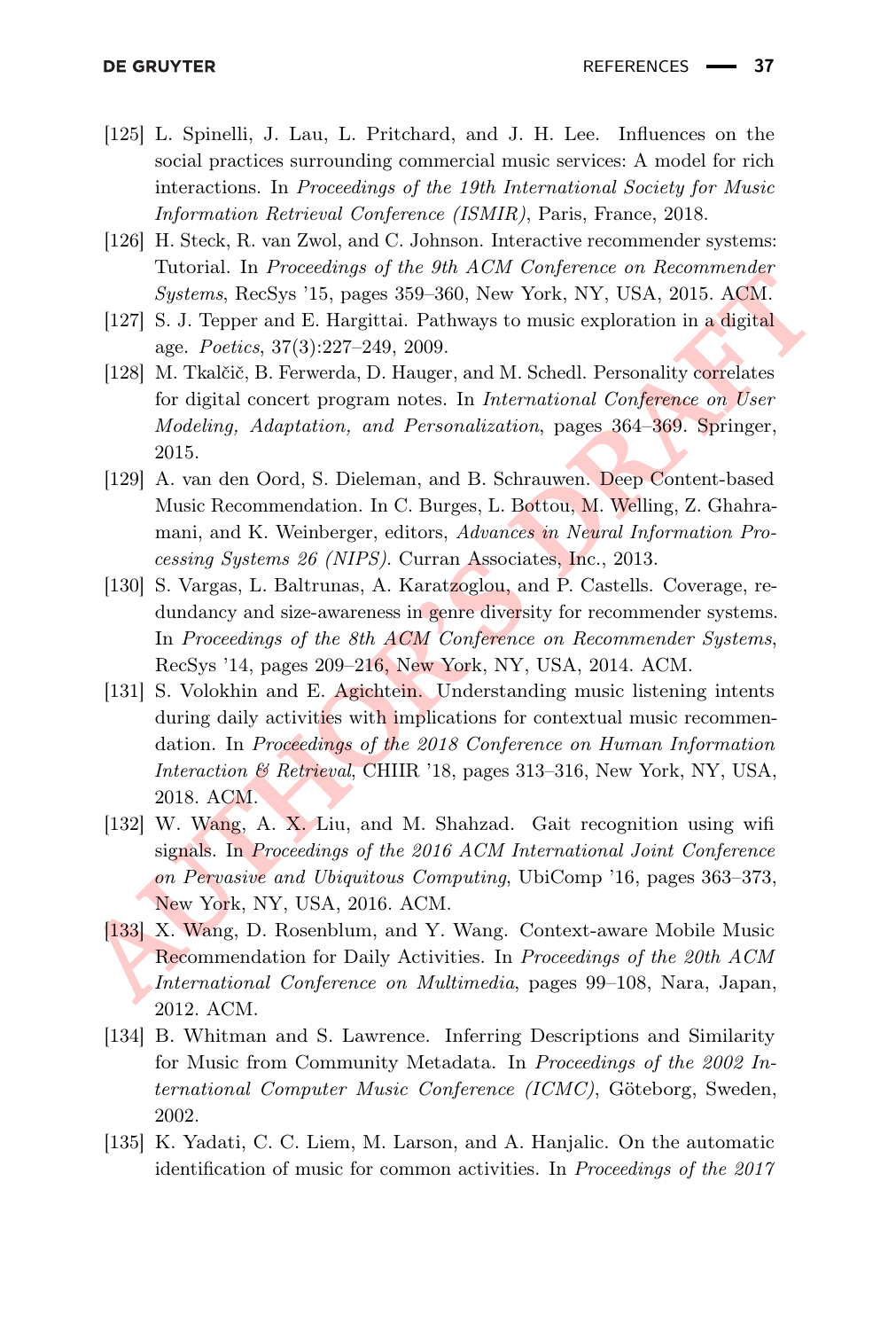- <span id="page-36-10"></span>[125] L. Spinelli, J. Lau, L. Pritchard, and J. H. Lee. Influences on the social practices surrounding commercial music services: A model for rich interactions. In Proceedings of the 19th International Society for Music Information Retrieval Conference (ISMIR), Paris, France, 2018.
- <span id="page-36-2"></span>[126] H. Steck, R. van Zwol, and C. Johnson. Interactive recommender systems: Tutorial. In Proceedings of the 9th ACM Conference on Recommender Systems, RecSys '15, pages 359–360, New York, NY, USA, 2015. ACM.
- <span id="page-36-8"></span>[127] S. J. Tepper and E. Hargittai. Pathways to music exploration in a digital age. Poetics, 37(3):227–249, 2009.
- <span id="page-36-3"></span>[128] M. Tkalčič, B. Ferwerda, D. Hauger, and M. Schedl. Personality correlates for digital concert program notes. In International Conference on User Modeling, Adaptation, and Personalization, pages 364–369. Springer, 2015.
- <span id="page-36-0"></span>[129] A. van den Oord, S. Dieleman, and B. Schrauwen. Deep Content-based Music Recommendation. In C. Burges, L. Bottou, M. Welling, Z. Ghahramani, and K. Weinberger, editors, Advances in Neural Information Processing Systems 26 (NIPS). Curran Associates, Inc., 2013.
- <span id="page-36-9"></span><span id="page-36-7"></span><span id="page-36-6"></span><span id="page-36-5"></span><span id="page-36-4"></span><span id="page-36-1"></span>[130] S. Vargas, L. Baltrunas, A. Karatzoglou, and P. Castells. Coverage, redundancy and size-awareness in genre diversity for recommender systems. In Proceedings of the 8th ACM Conference on Recommender Systems, RecSys '14, pages 209–216, New York, NY, USA, 2014. ACM.
- From the Frocehama, Here Front Congresser on Recommendation . The Front Congress, Aless, 315, apples 359–360, New York, NY, USA, 2015. ACM.<br>
127] S. J. Tepper and E. Hargittai. Pathways to music exploration in a digital<br>
1 [131] S. Volokhin and E. Agichtein. Understanding music listening intents during daily activities with implications for contextual music recommendation. In Proceedings of the 2018 Conference on Human Information Interaction & Retrieval, CHIIR '18, pages 313–316, New York, NY, USA, 2018. ACM.
	- [132] W. Wang, A. X. Liu, and M. Shahzad. Gait recognition using wifi signals. In Proceedings of the 2016 ACM International Joint Conference on Pervasive and Ubiquitous Computing, UbiComp '16, pages 363–373, New York, NY, USA, 2016. ACM.
	- [133] X. Wang, D. Rosenblum, and Y. Wang. Context-aware Mobile Music Recommendation for Daily Activities. In Proceedings of the 20th ACM International Conference on Multimedia, pages 99–108, Nara, Japan, 2012. ACM.
	- [134] B. Whitman and S. Lawrence. Inferring Descriptions and Similarity for Music from Community Metadata. In Proceedings of the 2002 International Computer Music Conference (ICMC), Göteborg, Sweden, 2002.
	- [135] K. Yadati, C. C. Liem, M. Larson, and A. Hanjalic. On the automatic identification of music for common activities. In Proceedings of the 2017